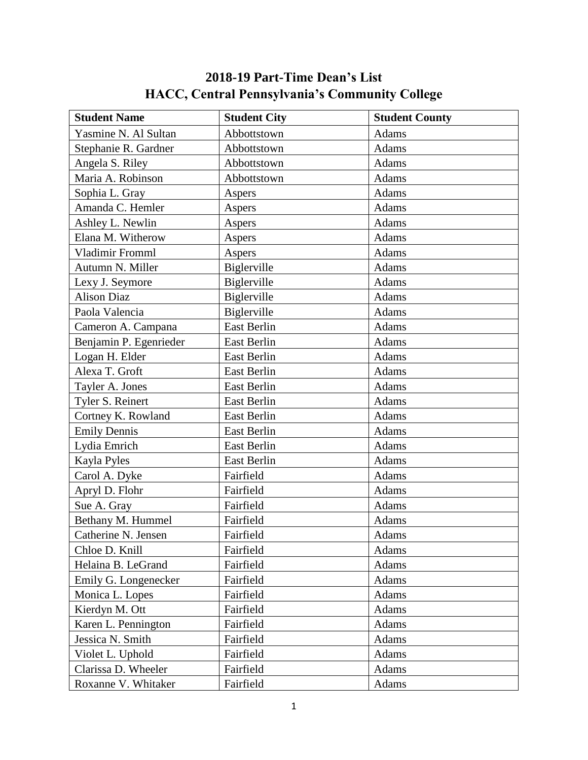## **2018-19 Part-Time Dean's List HACC, Central Pennsylvania's Community College**

| <b>Student City</b> | <b>Student County</b> |
|---------------------|-----------------------|
| Abbottstown         | Adams                 |
| Abbottstown         | <b>Adams</b>          |
| Abbottstown         | Adams                 |
| Abbottstown         | Adams                 |
| Aspers              | Adams                 |
| Aspers              | Adams                 |
| Aspers              | Adams                 |
| Aspers              | Adams                 |
| Aspers              | Adams                 |
| Biglerville         | Adams                 |
| Biglerville         | Adams                 |
| Biglerville         | Adams                 |
| Biglerville         | <b>Adams</b>          |
| East Berlin         | Adams                 |
| East Berlin         | Adams                 |
| <b>East Berlin</b>  | Adams                 |
| East Berlin         | Adams                 |
| <b>East Berlin</b>  | Adams                 |
| <b>East Berlin</b>  | Adams                 |
| East Berlin         | Adams                 |
| <b>East Berlin</b>  | Adams                 |
| East Berlin         | Adams                 |
| East Berlin         | Adams                 |
| Fairfield           | Adams                 |
| Fairfield           | Adams                 |
| Fairfield           | Adams                 |
| Fairfield           | Adams                 |
| Fairfield           | Adams                 |
| Fairfield           | Adams                 |
| Fairfield           | Adams                 |
| Fairfield           | Adams                 |
| Fairfield           | Adams                 |
| Fairfield           | Adams                 |
| Fairfield           | Adams                 |
| Fairfield           | Adams                 |
| Fairfield           | Adams                 |
| Fairfield           | Adams                 |
| Fairfield           | Adams                 |
|                     |                       |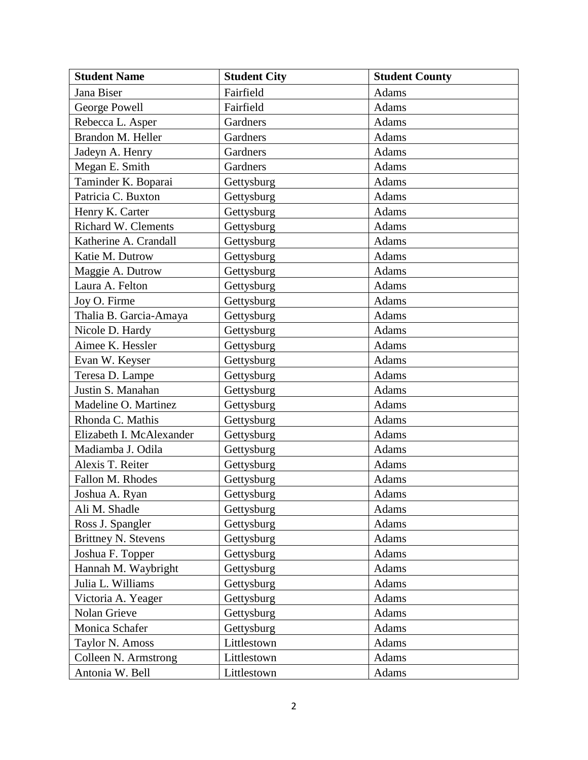| <b>Student Name</b>        | <b>Student City</b> | <b>Student County</b> |
|----------------------------|---------------------|-----------------------|
| Jana Biser                 | Fairfield           | Adams                 |
| George Powell              | Fairfield           | <b>Adams</b>          |
| Rebecca L. Asper           | Gardners            | Adams                 |
| Brandon M. Heller          | Gardners            | Adams                 |
| Jadeyn A. Henry            | Gardners            | Adams                 |
| Megan E. Smith             | Gardners            | Adams                 |
| Taminder K. Boparai        | Gettysburg          | Adams                 |
| Patricia C. Buxton         | Gettysburg          | <b>Adams</b>          |
| Henry K. Carter            | Gettysburg          | Adams                 |
| Richard W. Clements        | Gettysburg          | Adams                 |
| Katherine A. Crandall      | Gettysburg          | Adams                 |
| Katie M. Dutrow            | Gettysburg          | Adams                 |
| Maggie A. Dutrow           | Gettysburg          | Adams                 |
| Laura A. Felton            | Gettysburg          | Adams                 |
| Joy O. Firme               | Gettysburg          | Adams                 |
| Thalia B. Garcia-Amaya     | Gettysburg          | Adams                 |
| Nicole D. Hardy            | Gettysburg          | Adams                 |
| Aimee K. Hessler           | Gettysburg          | <b>Adams</b>          |
| Evan W. Keyser             | Gettysburg          | Adams                 |
| Teresa D. Lampe            | Gettysburg          | Adams                 |
| Justin S. Manahan          | Gettysburg          | Adams                 |
| Madeline O. Martinez       | Gettysburg          | Adams                 |
| Rhonda C. Mathis           | Gettysburg          | Adams                 |
| Elizabeth I. McAlexander   | Gettysburg          | Adams                 |
| Madiamba J. Odila          | Gettysburg          | <b>Adams</b>          |
| Alexis T. Reiter           | Gettysburg          | Adams                 |
| Fallon M. Rhodes           | Gettysburg          | Adams                 |
| Joshua A. Ryan             | Gettysburg          | Adams                 |
| Ali M. Shadle              | Gettysburg          | Adams                 |
| Ross J. Spangler           | Gettysburg          | Adams                 |
| <b>Brittney N. Stevens</b> | Gettysburg          | Adams                 |
| Joshua F. Topper           | Gettysburg          | Adams                 |
| Hannah M. Waybright        | Gettysburg          | Adams                 |
| Julia L. Williams          | Gettysburg          | Adams                 |
| Victoria A. Yeager         | Gettysburg          | Adams                 |
| Nolan Grieve               | Gettysburg          | Adams                 |
| Monica Schafer             | Gettysburg          | Adams                 |
| Taylor N. Amoss            | Littlestown         | Adams                 |
| Colleen N. Armstrong       | Littlestown         | Adams                 |
| Antonia W. Bell            | Littlestown         | Adams                 |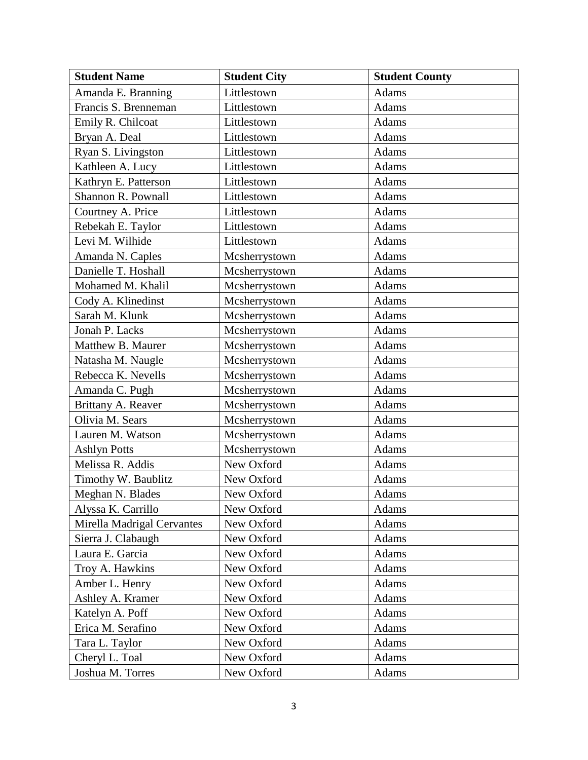| <b>Student Name</b>        | <b>Student City</b> | <b>Student County</b> |
|----------------------------|---------------------|-----------------------|
| Amanda E. Branning         | Littlestown         | <b>Adams</b>          |
| Francis S. Brenneman       | Littlestown         | <b>Adams</b>          |
| Emily R. Chilcoat          | Littlestown         | Adams                 |
| Bryan A. Deal              | Littlestown         | Adams                 |
| Ryan S. Livingston         | Littlestown         | Adams                 |
| Kathleen A. Lucy           | Littlestown         | Adams                 |
| Kathryn E. Patterson       | Littlestown         | Adams                 |
| Shannon R. Pownall         | Littlestown         | <b>Adams</b>          |
| Courtney A. Price          | Littlestown         | Adams                 |
| Rebekah E. Taylor          | Littlestown         | Adams                 |
| Levi M. Wilhide            | Littlestown         | Adams                 |
| Amanda N. Caples           | Mcsherrystown       | Adams                 |
| Danielle T. Hoshall        | Mcsherrystown       | Adams                 |
| Mohamed M. Khalil          | Mcsherrystown       | Adams                 |
| Cody A. Klinedinst         | Mcsherrystown       | Adams                 |
| Sarah M. Klunk             | Mcsherrystown       | Adams                 |
| Jonah P. Lacks             | Mcsherrystown       | Adams                 |
| Matthew B. Maurer          | Mcsherrystown       | Adams                 |
| Natasha M. Naugle          | Mcsherrystown       | Adams                 |
| Rebecca K. Nevells         | Mcsherrystown       | Adams                 |
| Amanda C. Pugh             | Mcsherrystown       | Adams                 |
| Brittany A. Reaver         | Mcsherrystown       | Adams                 |
| Olivia M. Sears            | Mcsherrystown       | Adams                 |
| Lauren M. Watson           | Mcsherrystown       | Adams                 |
| <b>Ashlyn Potts</b>        | Mcsherrystown       | <b>Adams</b>          |
| Melissa R. Addis           | New Oxford          | Adams                 |
| Timothy W. Baublitz        | New Oxford          | Adams                 |
| Meghan N. Blades           | New Oxford          | <b>Adams</b>          |
| Alyssa K. Carrillo         | New Oxford          | Adams                 |
| Mirella Madrigal Cervantes | New Oxford          | Adams                 |
| Sierra J. Clabaugh         | New Oxford          | Adams                 |
| Laura E. Garcia            | New Oxford          | Adams                 |
| Troy A. Hawkins            | New Oxford          | Adams                 |
| Amber L. Henry             | New Oxford          | Adams                 |
| Ashley A. Kramer           | New Oxford          | Adams                 |
| Katelyn A. Poff            | New Oxford          | Adams                 |
| Erica M. Serafino          | New Oxford          | Adams                 |
| Tara L. Taylor             | New Oxford          | Adams                 |
| Cheryl L. Toal             | New Oxford          | Adams                 |
| Joshua M. Torres           | New Oxford          | Adams                 |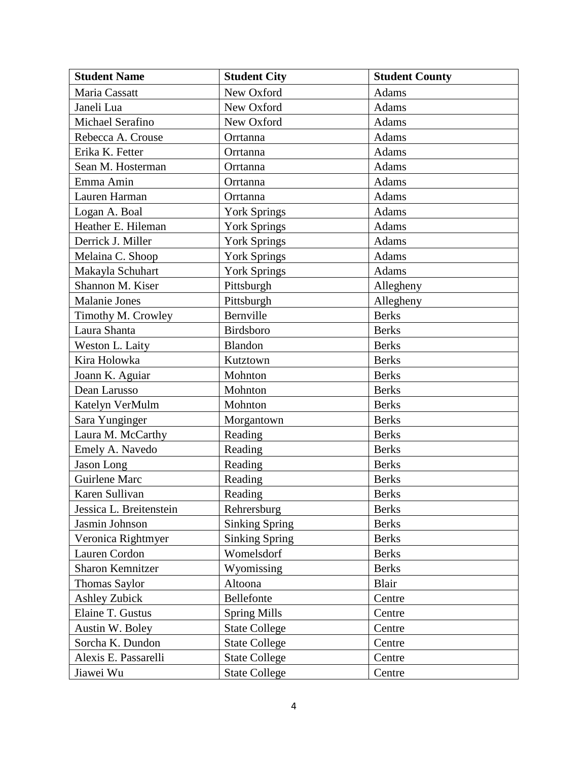| <b>Student Name</b>     | <b>Student City</b>   | <b>Student County</b> |
|-------------------------|-----------------------|-----------------------|
| Maria Cassatt           | New Oxford            | Adams                 |
| Janeli Lua              | New Oxford            | Adams                 |
| Michael Serafino        | New Oxford            | Adams                 |
| Rebecca A. Crouse       | Orrtanna              | Adams                 |
| Erika K. Fetter         | Orrtanna              | Adams                 |
| Sean M. Hosterman       | Orrtanna              | Adams                 |
| Emma Amin               | Orrtanna              | Adams                 |
| Lauren Harman           | Orrtanna              | Adams                 |
| Logan A. Boal           | <b>York Springs</b>   | Adams                 |
| Heather E. Hileman      | <b>York Springs</b>   | Adams                 |
| Derrick J. Miller       | <b>York Springs</b>   | Adams                 |
| Melaina C. Shoop        | York Springs          | Adams                 |
| Makayla Schuhart        | <b>York Springs</b>   | Adams                 |
| Shannon M. Kiser        | Pittsburgh            | Allegheny             |
| Malanie Jones           | Pittsburgh            | Allegheny             |
| Timothy M. Crowley      | Bernville             | <b>Berks</b>          |
| Laura Shanta            | Birdsboro             | <b>Berks</b>          |
| Weston L. Laity         | Blandon               | <b>Berks</b>          |
| Kira Holowka            | Kutztown              | <b>Berks</b>          |
| Joann K. Aguiar         | Mohnton               | <b>Berks</b>          |
| Dean Larusso            | Mohnton               | <b>Berks</b>          |
| Katelyn VerMulm         | Mohnton               | <b>Berks</b>          |
| Sara Yunginger          | Morgantown            | <b>Berks</b>          |
| Laura M. McCarthy       | Reading               | <b>Berks</b>          |
| Emely A. Navedo         | Reading               | <b>Berks</b>          |
| Jason Long              | Reading               | <b>Berks</b>          |
| Guirlene Marc           | Reading               | <b>Berks</b>          |
| Karen Sullivan          | Reading               | <b>Berks</b>          |
| Jessica L. Breitenstein | Rehrersburg           | <b>Berks</b>          |
| Jasmin Johnson          | <b>Sinking Spring</b> | <b>Berks</b>          |
| Veronica Rightmyer      | <b>Sinking Spring</b> | <b>Berks</b>          |
| Lauren Cordon           | Womelsdorf            | <b>Berks</b>          |
| <b>Sharon Kemnitzer</b> | Wyomissing            | <b>Berks</b>          |
| Thomas Saylor           | Altoona               | Blair                 |
| <b>Ashley Zubick</b>    | Bellefonte            | Centre                |
| Elaine T. Gustus        | <b>Spring Mills</b>   | Centre                |
| Austin W. Boley         | <b>State College</b>  | Centre                |
| Sorcha K. Dundon        | <b>State College</b>  | Centre                |
| Alexis E. Passarelli    | <b>State College</b>  | Centre                |
| Jiawei Wu               | <b>State College</b>  | Centre                |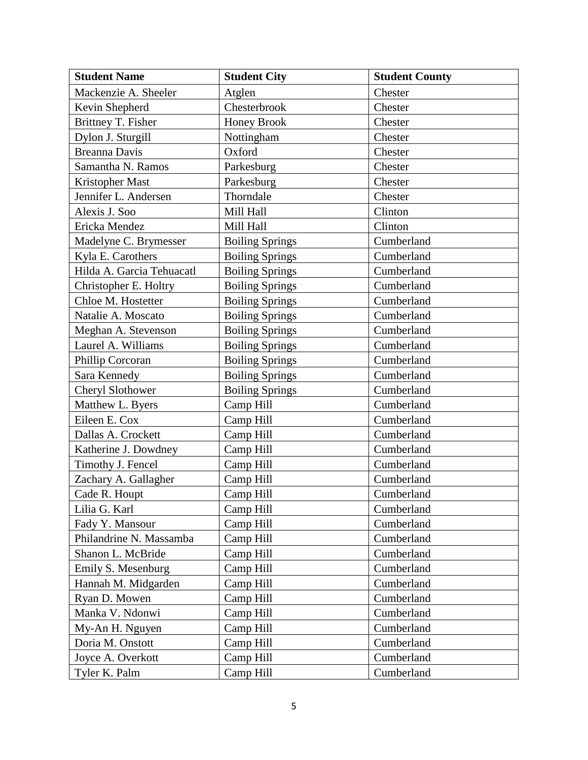| <b>Student Name</b>       | <b>Student City</b>    | <b>Student County</b> |
|---------------------------|------------------------|-----------------------|
| Mackenzie A. Sheeler      | Atglen                 | Chester               |
| Kevin Shepherd            | Chesterbrook           | Chester               |
| Brittney T. Fisher        | <b>Honey Brook</b>     | Chester               |
| Dylon J. Sturgill         | Nottingham             | Chester               |
| <b>Breanna Davis</b>      | Oxford                 | Chester               |
| Samantha N. Ramos         | Parkesburg             | Chester               |
| Kristopher Mast           | Parkesburg             | Chester               |
| Jennifer L. Andersen      | Thorndale              | Chester               |
| Alexis J. Soo             | Mill Hall              | Clinton               |
| Ericka Mendez             | Mill Hall              | Clinton               |
| Madelyne C. Brymesser     | <b>Boiling Springs</b> | Cumberland            |
| Kyla E. Carothers         | <b>Boiling Springs</b> | Cumberland            |
| Hilda A. Garcia Tehuacatl | <b>Boiling Springs</b> | Cumberland            |
| Christopher E. Holtry     | <b>Boiling Springs</b> | Cumberland            |
| Chloe M. Hostetter        | <b>Boiling Springs</b> | Cumberland            |
| Natalie A. Moscato        | <b>Boiling Springs</b> | Cumberland            |
| Meghan A. Stevenson       | <b>Boiling Springs</b> | Cumberland            |
| Laurel A. Williams        | <b>Boiling Springs</b> | Cumberland            |
| Phillip Corcoran          | <b>Boiling Springs</b> | Cumberland            |
| Sara Kennedy              | <b>Boiling Springs</b> | Cumberland            |
| Cheryl Slothower          | <b>Boiling Springs</b> | Cumberland            |
| Matthew L. Byers          | Camp Hill              | Cumberland            |
| Eileen E. Cox             | Camp Hill              | Cumberland            |
| Dallas A. Crockett        | Camp Hill              | Cumberland            |
| Katherine J. Dowdney      | Camp Hill              | Cumberland            |
| Timothy J. Fencel         | Camp Hill              | Cumberland            |
| Zachary A. Gallagher      | Camp Hill              | Cumberland            |
| Cade R. Houpt             | Camp Hill              | Cumberland            |
| Lilia G. Karl             | Camp Hill              | Cumberland            |
| Fady Y. Mansour           | Camp Hill              | Cumberland            |
| Philandrine N. Massamba   | Camp Hill              | Cumberland            |
| Shanon L. McBride         | Camp Hill              | Cumberland            |
| Emily S. Mesenburg        | Camp Hill              | Cumberland            |
| Hannah M. Midgarden       | Camp Hill              | Cumberland            |
| Ryan D. Mowen             | Camp Hill              | Cumberland            |
| Manka V. Ndonwi           | Camp Hill              | Cumberland            |
| My-An H. Nguyen           | Camp Hill              | Cumberland            |
| Doria M. Onstott          | Camp Hill              | Cumberland            |
| Joyce A. Overkott         | Camp Hill              | Cumberland            |
| Tyler K. Palm             | Camp Hill              | Cumberland            |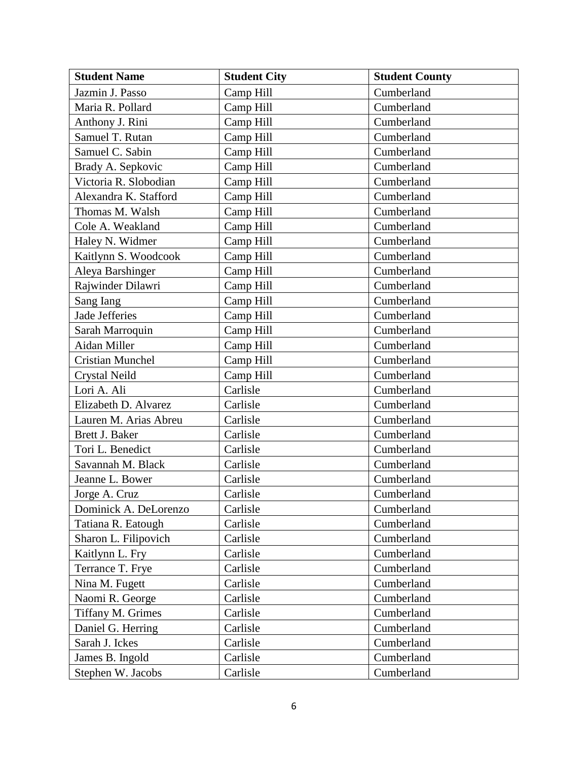| <b>Student Name</b>     | <b>Student City</b> | <b>Student County</b> |
|-------------------------|---------------------|-----------------------|
| Jazmin J. Passo         | Camp Hill           | Cumberland            |
| Maria R. Pollard        | Camp Hill           | Cumberland            |
| Anthony J. Rini         | Camp Hill           | Cumberland            |
| Samuel T. Rutan         | Camp Hill           | Cumberland            |
| Samuel C. Sabin         | Camp Hill           | Cumberland            |
| Brady A. Sepkovic       | Camp Hill           | Cumberland            |
| Victoria R. Slobodian   | Camp Hill           | Cumberland            |
| Alexandra K. Stafford   | Camp Hill           | Cumberland            |
| Thomas M. Walsh         | Camp Hill           | Cumberland            |
| Cole A. Weakland        | Camp Hill           | Cumberland            |
| Haley N. Widmer         | Camp Hill           | Cumberland            |
| Kaitlynn S. Woodcook    | Camp Hill           | Cumberland            |
| Aleya Barshinger        | Camp Hill           | Cumberland            |
| Rajwinder Dilawri       | Camp Hill           | Cumberland            |
| Sang Iang               | Camp Hill           | Cumberland            |
| Jade Jefferies          | Camp Hill           | Cumberland            |
| Sarah Marroquin         | Camp Hill           | Cumberland            |
| Aidan Miller            | Camp Hill           | Cumberland            |
| <b>Cristian Munchel</b> | Camp Hill           | Cumberland            |
| <b>Crystal Neild</b>    | Camp Hill           | Cumberland            |
| Lori A. Ali             | Carlisle            | Cumberland            |
| Elizabeth D. Alvarez    | Carlisle            | Cumberland            |
| Lauren M. Arias Abreu   | Carlisle            | Cumberland            |
| Brett J. Baker          | Carlisle            | Cumberland            |
| Tori L. Benedict        | Carlisle            | Cumberland            |
| Savannah M. Black       | Carlisle            | Cumberland            |
| Jeanne L. Bower         | Carlisle            | Cumberland            |
| Jorge A. Cruz           | Carlisle            | Cumberland            |
| Dominick A. DeLorenzo   | Carlisle            | Cumberland            |
| Tatiana R. Eatough      | Carlisle            | Cumberland            |
| Sharon L. Filipovich    | Carlisle            | Cumberland            |
| Kaitlynn L. Fry         | Carlisle            | Cumberland            |
| Terrance T. Frye        | Carlisle            | Cumberland            |
| Nina M. Fugett          | Carlisle            | Cumberland            |
| Naomi R. George         | Carlisle            | Cumberland            |
| Tiffany M. Grimes       | Carlisle            | Cumberland            |
| Daniel G. Herring       | Carlisle            | Cumberland            |
| Sarah J. Ickes          | Carlisle            | Cumberland            |
| James B. Ingold         | Carlisle            | Cumberland            |
| Stephen W. Jacobs       | Carlisle            | Cumberland            |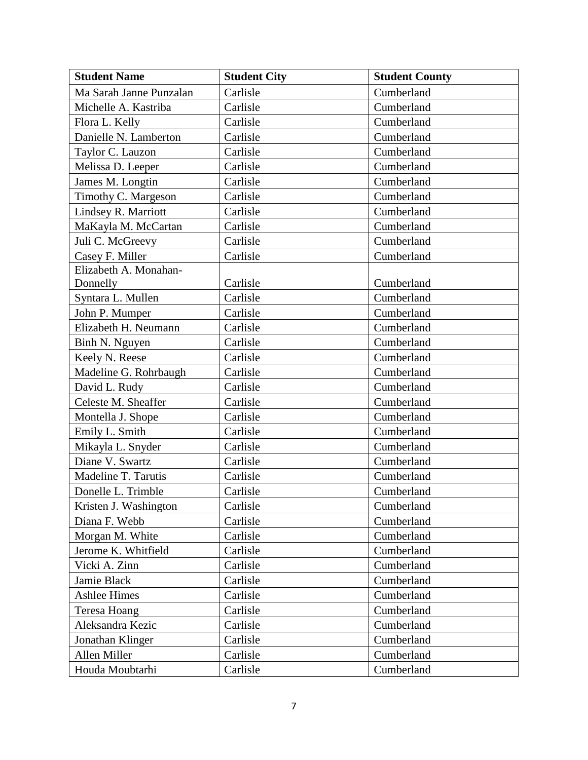| <b>Student Name</b>     | <b>Student City</b> | <b>Student County</b> |
|-------------------------|---------------------|-----------------------|
| Ma Sarah Janne Punzalan | Carlisle            | Cumberland            |
| Michelle A. Kastriba    | Carlisle            | Cumberland            |
| Flora L. Kelly          | Carlisle            | Cumberland            |
| Danielle N. Lamberton   | Carlisle            | Cumberland            |
| Taylor C. Lauzon        | Carlisle            | Cumberland            |
| Melissa D. Leeper       | Carlisle            | Cumberland            |
| James M. Longtin        | Carlisle            | Cumberland            |
| Timothy C. Margeson     | Carlisle            | Cumberland            |
| Lindsey R. Marriott     | Carlisle            | Cumberland            |
| MaKayla M. McCartan     | Carlisle            | Cumberland            |
| Juli C. McGreevy        | Carlisle            | Cumberland            |
| Casey F. Miller         | Carlisle            | Cumberland            |
| Elizabeth A. Monahan-   |                     |                       |
| Donnelly                | Carlisle            | Cumberland            |
| Syntara L. Mullen       | Carlisle            | Cumberland            |
| John P. Mumper          | Carlisle            | Cumberland            |
| Elizabeth H. Neumann    | Carlisle            | Cumberland            |
| Binh N. Nguyen          | Carlisle            | Cumberland            |
| Keely N. Reese          | Carlisle            | Cumberland            |
| Madeline G. Rohrbaugh   | Carlisle            | Cumberland            |
| David L. Rudy           | Carlisle            | Cumberland            |
| Celeste M. Sheaffer     | Carlisle            | Cumberland            |
| Montella J. Shope       | Carlisle            | Cumberland            |
| Emily L. Smith          | Carlisle            | Cumberland            |
| Mikayla L. Snyder       | Carlisle            | Cumberland            |
| Diane V. Swartz         | Carlisle            | Cumberland            |
| Madeline T. Tarutis     | Carlisle            | Cumberland            |
| Donelle L. Trimble      | Carlisle            | Cumberland            |
| Kristen J. Washington   | Carlisle            | Cumberland            |
| Diana F. Webb           | Carlisle            | Cumberland            |
| Morgan M. White         | Carlisle            | Cumberland            |
| Jerome K. Whitfield     | Carlisle            | Cumberland            |
| Vicki A. Zinn           | Carlisle            | Cumberland            |
| Jamie Black             | Carlisle            | Cumberland            |
| <b>Ashlee Himes</b>     | Carlisle            | Cumberland            |
| Teresa Hoang            | Carlisle            | Cumberland            |
| Aleksandra Kezic        | Carlisle            | Cumberland            |
| Jonathan Klinger        | Carlisle            | Cumberland            |
| Allen Miller            | Carlisle            | Cumberland            |
| Houda Moubtarhi         | Carlisle            | Cumberland            |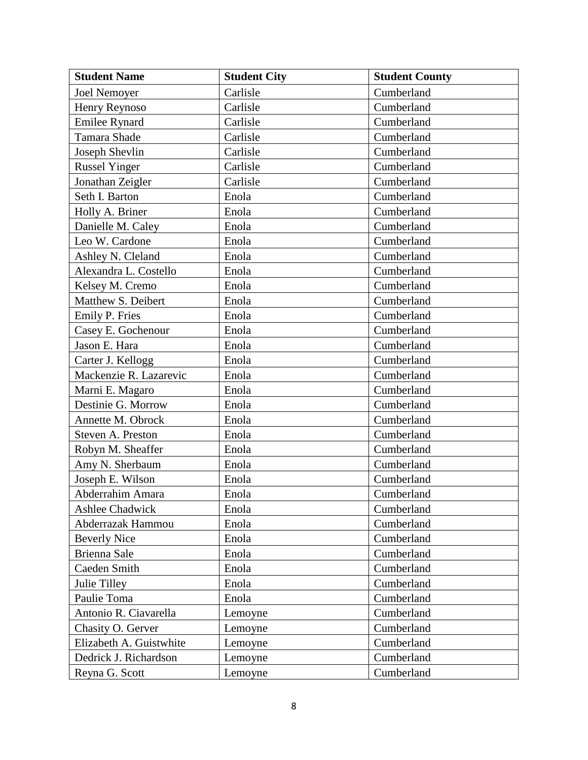| <b>Student Name</b>     | <b>Student City</b> | <b>Student County</b> |
|-------------------------|---------------------|-----------------------|
| <b>Joel Nemoyer</b>     | Carlisle            | Cumberland            |
| Henry Reynoso           | Carlisle            | Cumberland            |
| Emilee Rynard           | Carlisle            | Cumberland            |
| Tamara Shade            | Carlisle            | Cumberland            |
| Joseph Shevlin          | Carlisle            | Cumberland            |
| <b>Russel Yinger</b>    | Carlisle            | Cumberland            |
| Jonathan Zeigler        | Carlisle            | Cumberland            |
| Seth I. Barton          | Enola               | Cumberland            |
| Holly A. Briner         | Enola               | Cumberland            |
| Danielle M. Caley       | Enola               | Cumberland            |
| Leo W. Cardone          | Enola               | Cumberland            |
| Ashley N. Cleland       | Enola               | Cumberland            |
| Alexandra L. Costello   | Enola               | Cumberland            |
| Kelsey M. Cremo         | Enola               | Cumberland            |
| Matthew S. Deibert      | Enola               | Cumberland            |
| Emily P. Fries          | Enola               | Cumberland            |
| Casey E. Gochenour      | Enola               | Cumberland            |
| Jason E. Hara           | Enola               | Cumberland            |
| Carter J. Kellogg       | Enola               | Cumberland            |
| Mackenzie R. Lazarevic  | Enola               | Cumberland            |
| Marni E. Magaro         | Enola               | Cumberland            |
| Destinie G. Morrow      | Enola               | Cumberland            |
| Annette M. Obrock       | Enola               | Cumberland            |
| Steven A. Preston       | Enola               | Cumberland            |
| Robyn M. Sheaffer       | Enola               | Cumberland            |
| Amy N. Sherbaum         | Enola               | Cumberland            |
| Joseph E. Wilson        | Enola               | Cumberland            |
| Abderrahim Amara        | Enola               | Cumberland            |
| Ashlee Chadwick         | Enola               | Cumberland            |
| Abderrazak Hammou       | Enola               | Cumberland            |
| <b>Beverly Nice</b>     | Enola               | Cumberland            |
| Brienna Sale            | Enola               | Cumberland            |
| Caeden Smith            | Enola               | Cumberland            |
| Julie Tilley            | Enola               | Cumberland            |
| Paulie Toma             | Enola               | Cumberland            |
| Antonio R. Ciavarella   | Lemoyne             | Cumberland            |
| Chasity O. Gerver       | Lemoyne             | Cumberland            |
| Elizabeth A. Guistwhite | Lemoyne             | Cumberland            |
| Dedrick J. Richardson   | Lemoyne             | Cumberland            |
| Reyna G. Scott          | Lemoyne             | Cumberland            |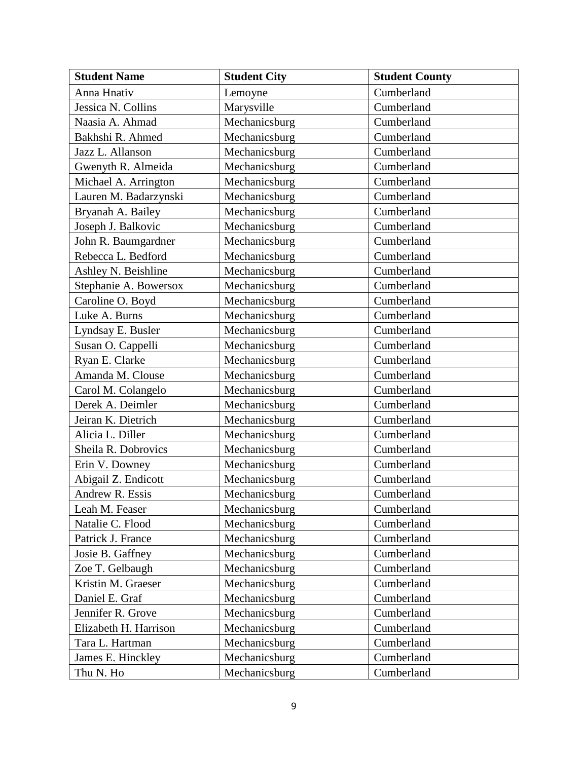| <b>Student Name</b>   | <b>Student City</b> | <b>Student County</b> |
|-----------------------|---------------------|-----------------------|
| Anna Hnativ           | Lemoyne             | Cumberland            |
| Jessica N. Collins    | Marysville          | Cumberland            |
| Naasia A. Ahmad       | Mechanicsburg       | Cumberland            |
| Bakhshi R. Ahmed      | Mechanicsburg       | Cumberland            |
| Jazz L. Allanson      | Mechanicsburg       | Cumberland            |
| Gwenyth R. Almeida    | Mechanicsburg       | Cumberland            |
| Michael A. Arrington  | Mechanicsburg       | Cumberland            |
| Lauren M. Badarzynski | Mechanicsburg       | Cumberland            |
| Bryanah A. Bailey     | Mechanicsburg       | Cumberland            |
| Joseph J. Balkovic    | Mechanicsburg       | Cumberland            |
| John R. Baumgardner   | Mechanicsburg       | Cumberland            |
| Rebecca L. Bedford    | Mechanicsburg       | Cumberland            |
| Ashley N. Beishline   | Mechanicsburg       | Cumberland            |
| Stephanie A. Bowersox | Mechanicsburg       | Cumberland            |
| Caroline O. Boyd      | Mechanicsburg       | Cumberland            |
| Luke A. Burns         | Mechanicsburg       | Cumberland            |
| Lyndsay E. Busler     | Mechanicsburg       | Cumberland            |
| Susan O. Cappelli     | Mechanicsburg       | Cumberland            |
| Ryan E. Clarke        | Mechanicsburg       | Cumberland            |
| Amanda M. Clouse      | Mechanicsburg       | Cumberland            |
| Carol M. Colangelo    | Mechanicsburg       | Cumberland            |
| Derek A. Deimler      | Mechanicsburg       | Cumberland            |
| Jeiran K. Dietrich    | Mechanicsburg       | Cumberland            |
| Alicia L. Diller      | Mechanicsburg       | Cumberland            |
| Sheila R. Dobrovics   | Mechanicsburg       | Cumberland            |
| Erin V. Downey        | Mechanicsburg       | Cumberland            |
| Abigail Z. Endicott   | Mechanicsburg       | Cumberland            |
| Andrew R. Essis       | Mechanicsburg       | Cumberland            |
| Leah M. Feaser        | Mechanicsburg       | Cumberland            |
| Natalie C. Flood      | Mechanicsburg       | Cumberland            |
| Patrick J. France     | Mechanicsburg       | Cumberland            |
| Josie B. Gaffney      | Mechanicsburg       | Cumberland            |
| Zoe T. Gelbaugh       | Mechanicsburg       | Cumberland            |
| Kristin M. Graeser    | Mechanicsburg       | Cumberland            |
| Daniel E. Graf        | Mechanicsburg       | Cumberland            |
| Jennifer R. Grove     | Mechanicsburg       | Cumberland            |
| Elizabeth H. Harrison | Mechanicsburg       | Cumberland            |
| Tara L. Hartman       | Mechanicsburg       | Cumberland            |
| James E. Hinckley     | Mechanicsburg       | Cumberland            |
| Thu N. Ho             | Mechanicsburg       | Cumberland            |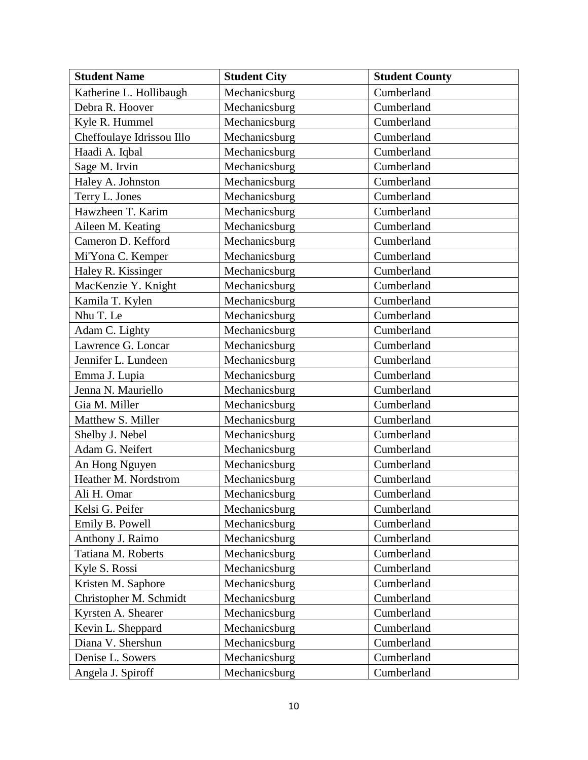| <b>Student Name</b>       | <b>Student City</b> | <b>Student County</b> |
|---------------------------|---------------------|-----------------------|
| Katherine L. Hollibaugh   | Mechanicsburg       | Cumberland            |
| Debra R. Hoover           | Mechanicsburg       | Cumberland            |
| Kyle R. Hummel            | Mechanicsburg       | Cumberland            |
| Cheffoulaye Idrissou Illo | Mechanicsburg       | Cumberland            |
| Haadi A. Iqbal            | Mechanicsburg       | Cumberland            |
| Sage M. Irvin             | Mechanicsburg       | Cumberland            |
| Haley A. Johnston         | Mechanicsburg       | Cumberland            |
| Terry L. Jones            | Mechanicsburg       | Cumberland            |
| Hawzheen T. Karim         | Mechanicsburg       | Cumberland            |
| Aileen M. Keating         | Mechanicsburg       | Cumberland            |
| Cameron D. Kefford        | Mechanicsburg       | Cumberland            |
| Mi'Yona C. Kemper         | Mechanicsburg       | Cumberland            |
| Haley R. Kissinger        | Mechanicsburg       | Cumberland            |
| MacKenzie Y. Knight       | Mechanicsburg       | Cumberland            |
| Kamila T. Kylen           | Mechanicsburg       | Cumberland            |
| Nhu T. Le                 | Mechanicsburg       | Cumberland            |
| Adam C. Lighty            | Mechanicsburg       | Cumberland            |
| Lawrence G. Loncar        | Mechanicsburg       | Cumberland            |
| Jennifer L. Lundeen       | Mechanicsburg       | Cumberland            |
| Emma J. Lupia             | Mechanicsburg       | Cumberland            |
| Jenna N. Mauriello        | Mechanicsburg       | Cumberland            |
| Gia M. Miller             | Mechanicsburg       | Cumberland            |
| Matthew S. Miller         | Mechanicsburg       | Cumberland            |
| Shelby J. Nebel           | Mechanicsburg       | Cumberland            |
| Adam G. Neifert           | Mechanicsburg       | Cumberland            |
| An Hong Nguyen            | Mechanicsburg       | Cumberland            |
| Heather M. Nordstrom      | Mechanicsburg       | Cumberland            |
| Ali H. Omar               | Mechanicsburg       | Cumberland            |
| Kelsi G. Peifer           | Mechanicsburg       | Cumberland            |
| Emily B. Powell           | Mechanicsburg       | Cumberland            |
| Anthony J. Raimo          | Mechanicsburg       | Cumberland            |
| Tatiana M. Roberts        | Mechanicsburg       | Cumberland            |
| Kyle S. Rossi             | Mechanicsburg       | Cumberland            |
| Kristen M. Saphore        | Mechanicsburg       | Cumberland            |
| Christopher M. Schmidt    | Mechanicsburg       | Cumberland            |
| Kyrsten A. Shearer        | Mechanicsburg       | Cumberland            |
| Kevin L. Sheppard         | Mechanicsburg       | Cumberland            |
| Diana V. Shershun         | Mechanicsburg       | Cumberland            |
| Denise L. Sowers          | Mechanicsburg       | Cumberland            |
| Angela J. Spiroff         | Mechanicsburg       | Cumberland            |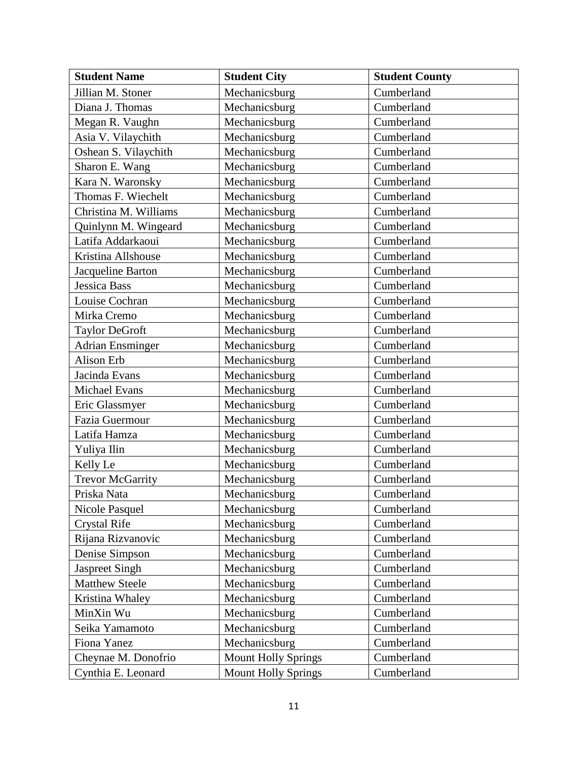| <b>Student Name</b>     | <b>Student City</b>        | <b>Student County</b> |
|-------------------------|----------------------------|-----------------------|
| Jillian M. Stoner       | Mechanicsburg              | Cumberland            |
| Diana J. Thomas         | Mechanicsburg              | Cumberland            |
| Megan R. Vaughn         | Mechanicsburg              | Cumberland            |
| Asia V. Vilaychith      | Mechanicsburg              | Cumberland            |
| Oshean S. Vilaychith    | Mechanicsburg              | Cumberland            |
| Sharon E. Wang          | Mechanicsburg              | Cumberland            |
| Kara N. Waronsky        | Mechanicsburg              | Cumberland            |
| Thomas F. Wiechelt      | Mechanicsburg              | Cumberland            |
| Christina M. Williams   | Mechanicsburg              | Cumberland            |
| Quinlynn M. Wingeard    | Mechanicsburg              | Cumberland            |
| Latifa Addarkaoui       | Mechanicsburg              | Cumberland            |
| Kristina Allshouse      | Mechanicsburg              | Cumberland            |
| Jacqueline Barton       | Mechanicsburg              | Cumberland            |
| <b>Jessica Bass</b>     | Mechanicsburg              | Cumberland            |
| Louise Cochran          | Mechanicsburg              | Cumberland            |
| Mirka Cremo             | Mechanicsburg              | Cumberland            |
| Taylor DeGroft          | Mechanicsburg              | Cumberland            |
| <b>Adrian Ensminger</b> | Mechanicsburg              | Cumberland            |
| Alison Erb              | Mechanicsburg              | Cumberland            |
| Jacinda Evans           | Mechanicsburg              | Cumberland            |
| Michael Evans           | Mechanicsburg              | Cumberland            |
| Eric Glassmyer          | Mechanicsburg              | Cumberland            |
| Fazia Guermour          | Mechanicsburg              | Cumberland            |
| Latifa Hamza            | Mechanicsburg              | Cumberland            |
| Yuliya Ilin             | Mechanicsburg              | Cumberland            |
| Kelly Le                | Mechanicsburg              | Cumberland            |
| <b>Trevor McGarrity</b> | Mechanicsburg              | Cumberland            |
| Priska Nata             | Mechanicsburg              | Cumberland            |
| Nicole Pasquel          | Mechanicsburg              | Cumberland            |
| <b>Crystal Rife</b>     | Mechanicsburg              | Cumberland            |
| Rijana Rizvanovic       | Mechanicsburg              | Cumberland            |
| Denise Simpson          | Mechanicsburg              | Cumberland            |
| <b>Jaspreet Singh</b>   | Mechanicsburg              | Cumberland            |
| <b>Matthew Steele</b>   | Mechanicsburg              | Cumberland            |
| Kristina Whaley         | Mechanicsburg              | Cumberland            |
| MinXin Wu               | Mechanicsburg              | Cumberland            |
| Seika Yamamoto          | Mechanicsburg              | Cumberland            |
| Fiona Yanez             | Mechanicsburg              | Cumberland            |
| Cheynae M. Donofrio     | <b>Mount Holly Springs</b> | Cumberland            |
| Cynthia E. Leonard      | <b>Mount Holly Springs</b> | Cumberland            |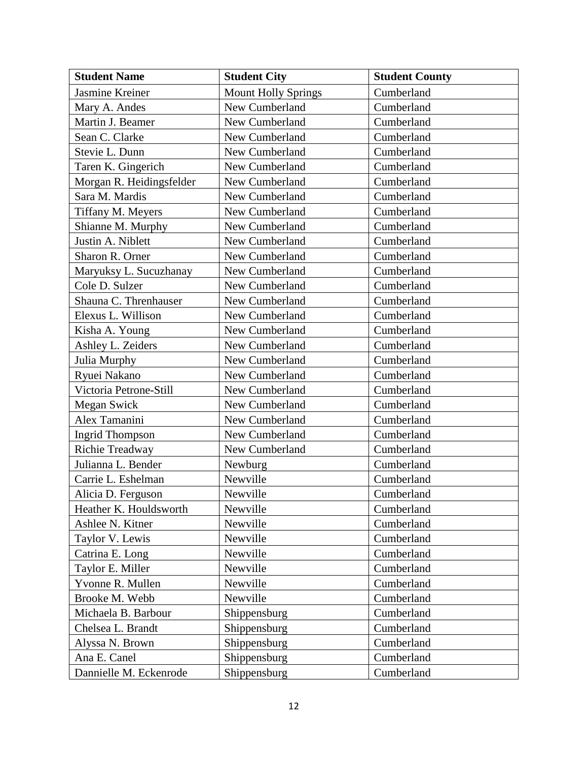| <b>Student Name</b>      | <b>Student City</b>        | <b>Student County</b> |
|--------------------------|----------------------------|-----------------------|
| Jasmine Kreiner          | <b>Mount Holly Springs</b> | Cumberland            |
| Mary A. Andes            | New Cumberland             | Cumberland            |
| Martin J. Beamer         | New Cumberland             | Cumberland            |
| Sean C. Clarke           | New Cumberland             | Cumberland            |
| Stevie L. Dunn           | New Cumberland             | Cumberland            |
| Taren K. Gingerich       | New Cumberland             | Cumberland            |
| Morgan R. Heidingsfelder | New Cumberland             | Cumberland            |
| Sara M. Mardis           | New Cumberland             | Cumberland            |
| Tiffany M. Meyers        | New Cumberland             | Cumberland            |
| Shianne M. Murphy        | New Cumberland             | Cumberland            |
| Justin A. Niblett        | New Cumberland             | Cumberland            |
| Sharon R. Orner          | New Cumberland             | Cumberland            |
| Maryuksy L. Sucuzhanay   | New Cumberland             | Cumberland            |
| Cole D. Sulzer           | New Cumberland             | Cumberland            |
| Shauna C. Threnhauser    | New Cumberland             | Cumberland            |
| Elexus L. Willison       | New Cumberland             | Cumberland            |
| Kisha A. Young           | New Cumberland             | Cumberland            |
| Ashley L. Zeiders        | New Cumberland             | Cumberland            |
| Julia Murphy             | New Cumberland             | Cumberland            |
| Ryuei Nakano             | New Cumberland             | Cumberland            |
| Victoria Petrone-Still   | New Cumberland             | Cumberland            |
| <b>Megan Swick</b>       | New Cumberland             | Cumberland            |
| Alex Tamanini            | New Cumberland             | Cumberland            |
| <b>Ingrid Thompson</b>   | New Cumberland             | Cumberland            |
| Richie Treadway          | New Cumberland             | Cumberland            |
| Julianna L. Bender       | Newburg                    | Cumberland            |
| Carrie L. Eshelman       | Newville                   | Cumberland            |
| Alicia D. Ferguson       | Newville                   | Cumberland            |
| Heather K. Houldsworth   | Newville                   | Cumberland            |
| Ashlee N. Kitner         | Newville                   | Cumberland            |
| Taylor V. Lewis          | Newville                   | Cumberland            |
| Catrina E. Long          | Newville                   | Cumberland            |
| Taylor E. Miller         | Newville                   | Cumberland            |
| Yvonne R. Mullen         | Newville                   | Cumberland            |
| Brooke M. Webb           | Newville                   | Cumberland            |
| Michaela B. Barbour      | Shippensburg               | Cumberland            |
| Chelsea L. Brandt        | Shippensburg               | Cumberland            |
| Alyssa N. Brown          | Shippensburg               | Cumberland            |
| Ana E. Canel             | Shippensburg               | Cumberland            |
| Dannielle M. Eckenrode   | Shippensburg               | Cumberland            |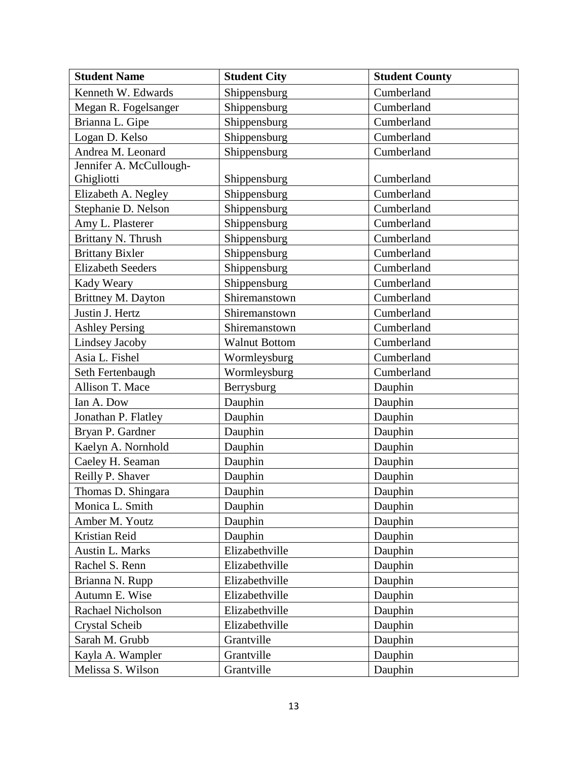| <b>Student Name</b>      | <b>Student City</b>  | <b>Student County</b> |
|--------------------------|----------------------|-----------------------|
| Kenneth W. Edwards       | Shippensburg         | Cumberland            |
| Megan R. Fogelsanger     | Shippensburg         | Cumberland            |
| Brianna L. Gipe          | Shippensburg         | Cumberland            |
| Logan D. Kelso           | Shippensburg         | Cumberland            |
| Andrea M. Leonard        | Shippensburg         | Cumberland            |
| Jennifer A. McCullough-  |                      |                       |
| Ghigliotti               | Shippensburg         | Cumberland            |
| Elizabeth A. Negley      | Shippensburg         | Cumberland            |
| Stephanie D. Nelson      | Shippensburg         | Cumberland            |
| Amy L. Plasterer         | Shippensburg         | Cumberland            |
| Brittany N. Thrush       | Shippensburg         | Cumberland            |
| <b>Brittany Bixler</b>   | Shippensburg         | Cumberland            |
| <b>Elizabeth Seeders</b> | Shippensburg         | Cumberland            |
| Kady Weary               | Shippensburg         | Cumberland            |
| Brittney M. Dayton       | Shiremanstown        | Cumberland            |
| Justin J. Hertz          | Shiremanstown        | Cumberland            |
| <b>Ashley Persing</b>    | Shiremanstown        | Cumberland            |
| Lindsey Jacoby           | <b>Walnut Bottom</b> | Cumberland            |
| Asia L. Fishel           | Wormleysburg         | Cumberland            |
| Seth Fertenbaugh         | Wormleysburg         | Cumberland            |
| Allison T. Mace          | Berrysburg           | Dauphin               |
| Ian A. Dow               | Dauphin              | Dauphin               |
| Jonathan P. Flatley      | Dauphin              | Dauphin               |
| Bryan P. Gardner         | Dauphin              | Dauphin               |
| Kaelyn A. Nornhold       | Dauphin              | Dauphin               |
| Caeley H. Seaman         | Dauphin              | Dauphin               |
| Reilly P. Shaver         | Dauphin              | Dauphin               |
| Thomas D. Shingara       | Dauphin              | Dauphin               |
| Monica L. Smith          | Dauphin              | Dauphin               |
| Amber M. Youtz           | Dauphin              | Dauphin               |
| Kristian Reid            | Dauphin              | Dauphin               |
| Austin L. Marks          | Elizabethville       | Dauphin               |
| Rachel S. Renn           | Elizabethville       | Dauphin               |
| Brianna N. Rupp          | Elizabethville       | Dauphin               |
| Autumn E. Wise           | Elizabethville       | Dauphin               |
| Rachael Nicholson        | Elizabethville       | Dauphin               |
| Crystal Scheib           | Elizabethville       | Dauphin               |
| Sarah M. Grubb           | Grantville           | Dauphin               |
| Kayla A. Wampler         | Grantville           | Dauphin               |
| Melissa S. Wilson        | Grantville           | Dauphin               |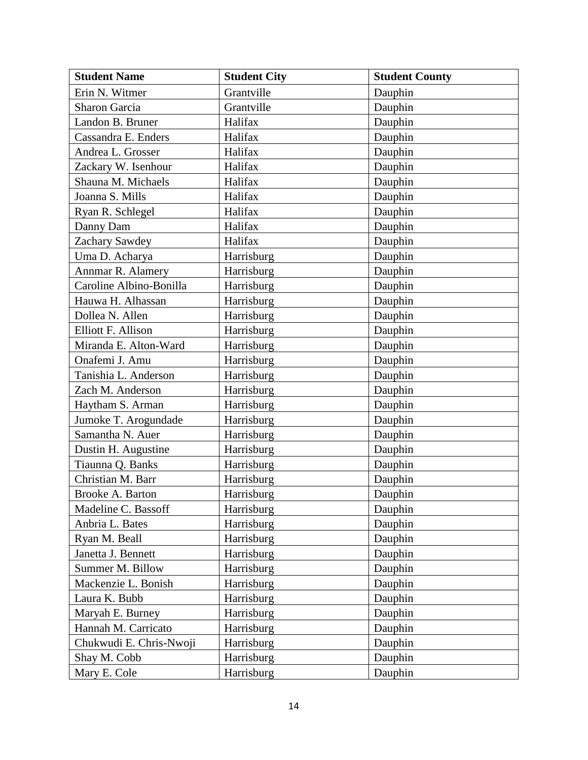| <b>Student Name</b>     | <b>Student City</b> | <b>Student County</b> |
|-------------------------|---------------------|-----------------------|
| Erin N. Witmer          | Grantville          | Dauphin               |
| <b>Sharon Garcia</b>    | Grantville          | Dauphin               |
| Landon B. Bruner        | Halifax             | Dauphin               |
| Cassandra E. Enders     | Halifax             | Dauphin               |
| Andrea L. Grosser       | Halifax             | Dauphin               |
| Zackary W. Isenhour     | Halifax             | Dauphin               |
| Shauna M. Michaels      | Halifax             | Dauphin               |
| Joanna S. Mills         | Halifax             | Dauphin               |
| Ryan R. Schlegel        | Halifax             | Dauphin               |
| Danny Dam               | Halifax             | Dauphin               |
| Zachary Sawdey          | Halifax             | Dauphin               |
| Uma D. Acharya          | Harrisburg          | Dauphin               |
| Annmar R. Alamery       | Harrisburg          | Dauphin               |
| Caroline Albino-Bonilla | Harrisburg          | Dauphin               |
| Hauwa H. Alhassan       | Harrisburg          | Dauphin               |
| Dollea N. Allen         | Harrisburg          | Dauphin               |
| Elliott F. Allison      | Harrisburg          | Dauphin               |
| Miranda E. Alton-Ward   | Harrisburg          | Dauphin               |
| Onafemi J. Amu          | Harrisburg          | Dauphin               |
| Tanishia L. Anderson    | Harrisburg          | Dauphin               |
| Zach M. Anderson        | Harrisburg          | Dauphin               |
| Haytham S. Arman        | Harrisburg          | Dauphin               |
| Jumoke T. Arogundade    | Harrisburg          | Dauphin               |
| Samantha N. Auer        | Harrisburg          | Dauphin               |
| Dustin H. Augustine     | Harrisburg          | Dauphin               |
| Tiaunna Q. Banks        | Harrisburg          | Dauphin               |
| Christian M. Barr       | Harrisburg          | Dauphin               |
| Brooke A. Barton        | Harrisburg          | Dauphin               |
| Madeline C. Bassoff     | Harrisburg          | Dauphin               |
| Anbria L. Bates         | Harrisburg          | Dauphin               |
| Ryan M. Beall           | Harrisburg          | Dauphin               |
| Janetta J. Bennett      | Harrisburg          | Dauphin               |
| Summer M. Billow        | Harrisburg          | Dauphin               |
| Mackenzie L. Bonish     | Harrisburg          | Dauphin               |
| Laura K. Bubb           | Harrisburg          | Dauphin               |
| Maryah E. Burney        | Harrisburg          | Dauphin               |
| Hannah M. Carricato     | Harrisburg          | Dauphin               |
| Chukwudi E. Chris-Nwoji | Harrisburg          | Dauphin               |
| Shay M. Cobb            | Harrisburg          | Dauphin               |
| Mary E. Cole            | Harrisburg          | Dauphin               |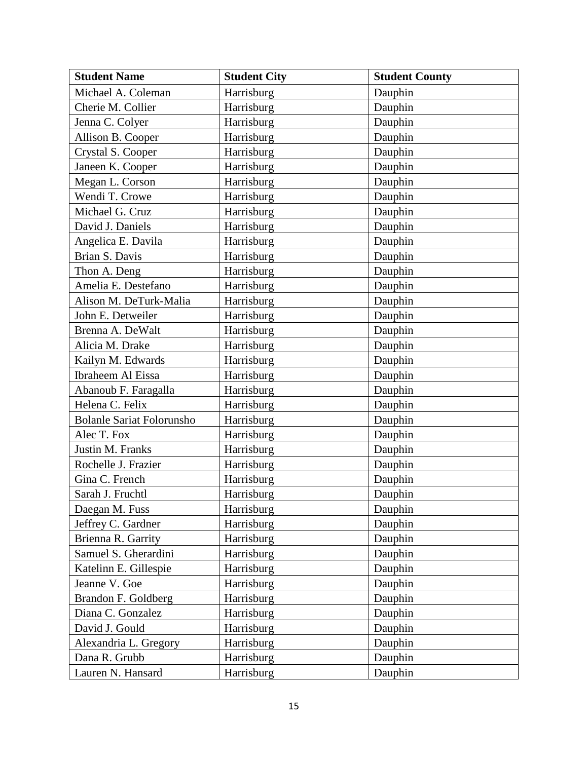| <b>Student Name</b>              | <b>Student City</b> | <b>Student County</b> |
|----------------------------------|---------------------|-----------------------|
| Michael A. Coleman               | Harrisburg          | Dauphin               |
| Cherie M. Collier                | Harrisburg          | Dauphin               |
| Jenna C. Colyer                  | Harrisburg          | Dauphin               |
| Allison B. Cooper                | Harrisburg          | Dauphin               |
| Crystal S. Cooper                | Harrisburg          | Dauphin               |
| Janeen K. Cooper                 | Harrisburg          | Dauphin               |
| Megan L. Corson                  | Harrisburg          | Dauphin               |
| Wendi T. Crowe                   | Harrisburg          | Dauphin               |
| Michael G. Cruz                  | Harrisburg          | Dauphin               |
| David J. Daniels                 | Harrisburg          | Dauphin               |
| Angelica E. Davila               | Harrisburg          | Dauphin               |
| Brian S. Davis                   | Harrisburg          | Dauphin               |
| Thon A. Deng                     | Harrisburg          | Dauphin               |
| Amelia E. Destefano              | Harrisburg          | Dauphin               |
| Alison M. DeTurk-Malia           | Harrisburg          | Dauphin               |
| John E. Detweiler                | Harrisburg          | Dauphin               |
| Brenna A. DeWalt                 | Harrisburg          | Dauphin               |
| Alicia M. Drake                  | Harrisburg          | Dauphin               |
| Kailyn M. Edwards                | Harrisburg          | Dauphin               |
| Ibraheem Al Eissa                | Harrisburg          | Dauphin               |
| Abanoub F. Faragalla             | Harrisburg          | Dauphin               |
| Helena C. Felix                  | Harrisburg          | Dauphin               |
| <b>Bolanle Sariat Folorunsho</b> | Harrisburg          | Dauphin               |
| Alec T. Fox                      | Harrisburg          | Dauphin               |
| Justin M. Franks                 | Harrisburg          | Dauphin               |
| Rochelle J. Frazier              | Harrisburg          | Dauphin               |
| Gina C. French                   | Harrisburg          | Dauphin               |
| Sarah J. Fruchtl                 | Harrisburg          | Dauphin               |
| Daegan M. Fuss                   | Harrisburg          | Dauphin               |
| Jeffrey C. Gardner               | Harrisburg          | Dauphin               |
| Brienna R. Garrity               | Harrisburg          | Dauphin               |
| Samuel S. Gherardini             | Harrisburg          | Dauphin               |
| Katelinn E. Gillespie            | Harrisburg          | Dauphin               |
| Jeanne V. Goe                    | Harrisburg          | Dauphin               |
| Brandon F. Goldberg              | Harrisburg          | Dauphin               |
| Diana C. Gonzalez                | Harrisburg          | Dauphin               |
| David J. Gould                   | Harrisburg          | Dauphin               |
| Alexandria L. Gregory            | Harrisburg          | Dauphin               |
| Dana R. Grubb                    | Harrisburg          | Dauphin               |
| Lauren N. Hansard                | Harrisburg          | Dauphin               |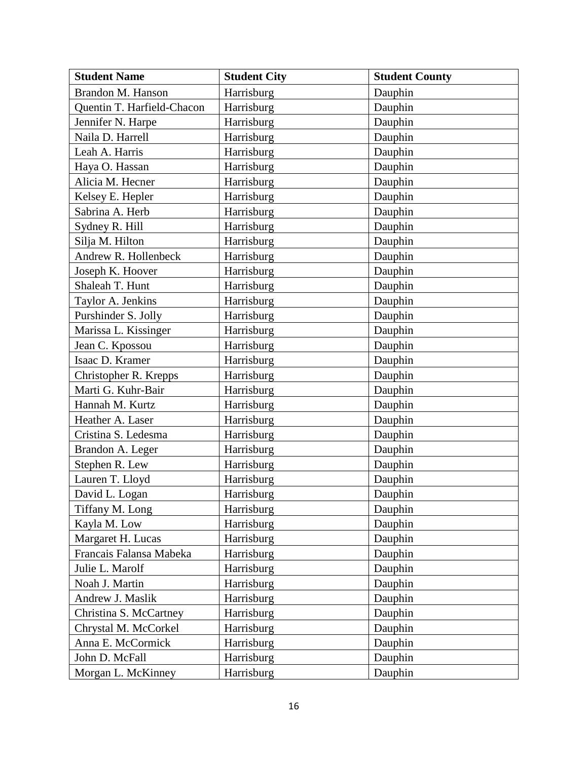| <b>Student Name</b>        | <b>Student City</b> | <b>Student County</b> |
|----------------------------|---------------------|-----------------------|
| Brandon M. Hanson          | Harrisburg          | Dauphin               |
| Quentin T. Harfield-Chacon | Harrisburg          | Dauphin               |
| Jennifer N. Harpe          | Harrisburg          | Dauphin               |
| Naila D. Harrell           | Harrisburg          | Dauphin               |
| Leah A. Harris             | Harrisburg          | Dauphin               |
| Haya O. Hassan             | Harrisburg          | Dauphin               |
| Alicia M. Hecner           | Harrisburg          | Dauphin               |
| Kelsey E. Hepler           | Harrisburg          | Dauphin               |
| Sabrina A. Herb            | Harrisburg          | Dauphin               |
| Sydney R. Hill             | Harrisburg          | Dauphin               |
| Silja M. Hilton            | Harrisburg          | Dauphin               |
| Andrew R. Hollenbeck       | Harrisburg          | Dauphin               |
| Joseph K. Hoover           | Harrisburg          | Dauphin               |
| Shaleah T. Hunt            | Harrisburg          | Dauphin               |
| Taylor A. Jenkins          | Harrisburg          | Dauphin               |
| Purshinder S. Jolly        | Harrisburg          | Dauphin               |
| Marissa L. Kissinger       | Harrisburg          | Dauphin               |
| Jean C. Kpossou            | Harrisburg          | Dauphin               |
| Isaac D. Kramer            | Harrisburg          | Dauphin               |
| Christopher R. Krepps      | Harrisburg          | Dauphin               |
| Marti G. Kuhr-Bair         | Harrisburg          | Dauphin               |
| Hannah M. Kurtz            | Harrisburg          | Dauphin               |
| Heather A. Laser           | Harrisburg          | Dauphin               |
| Cristina S. Ledesma        | Harrisburg          | Dauphin               |
| Brandon A. Leger           | Harrisburg          | Dauphin               |
| Stephen R. Lew             | Harrisburg          | Dauphin               |
| Lauren T. Lloyd            | Harrisburg          | Dauphin               |
| David L. Logan             | Harrisburg          | Dauphin               |
| Tiffany M. Long            | Harrisburg          | Dauphin               |
| Kayla M. Low               | Harrisburg          | Dauphin               |
| Margaret H. Lucas          | Harrisburg          | Dauphin               |
| Francais Falansa Mabeka    | Harrisburg          | Dauphin               |
| Julie L. Marolf            | Harrisburg          | Dauphin               |
| Noah J. Martin             | Harrisburg          | Dauphin               |
| Andrew J. Maslik           | Harrisburg          | Dauphin               |
| Christina S. McCartney     | Harrisburg          | Dauphin               |
| Chrystal M. McCorkel       | Harrisburg          | Dauphin               |
| Anna E. McCormick          | Harrisburg          | Dauphin               |
| John D. McFall             | Harrisburg          | Dauphin               |
| Morgan L. McKinney         | Harrisburg          | Dauphin               |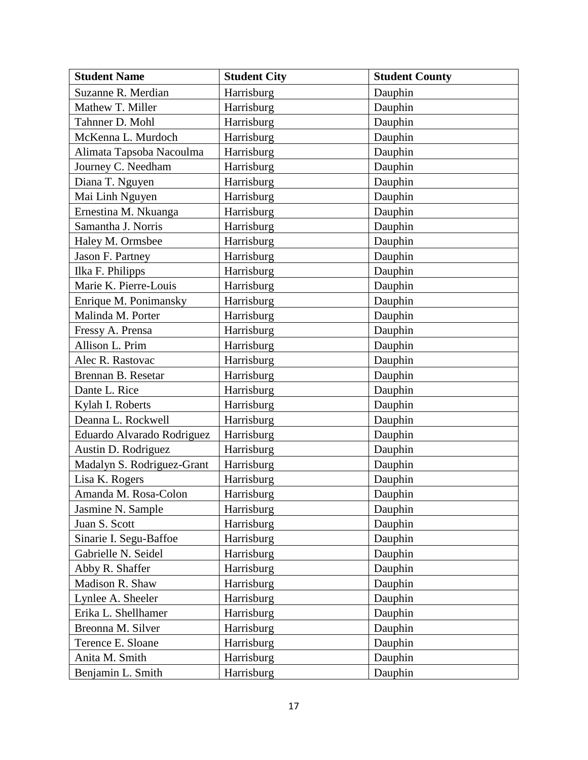| <b>Student Name</b>        | <b>Student City</b> | <b>Student County</b> |
|----------------------------|---------------------|-----------------------|
| Suzanne R. Merdian         | Harrisburg          | Dauphin               |
| Mathew T. Miller           | Harrisburg          | Dauphin               |
| Tahnner D. Mohl            | Harrisburg          | Dauphin               |
| McKenna L. Murdoch         | Harrisburg          | Dauphin               |
| Alimata Tapsoba Nacoulma   | Harrisburg          | Dauphin               |
| Journey C. Needham         | Harrisburg          | Dauphin               |
| Diana T. Nguyen            | Harrisburg          | Dauphin               |
| Mai Linh Nguyen            | Harrisburg          | Dauphin               |
| Ernestina M. Nkuanga       | Harrisburg          | Dauphin               |
| Samantha J. Norris         | Harrisburg          | Dauphin               |
| Haley M. Ormsbee           | Harrisburg          | Dauphin               |
| Jason F. Partney           | Harrisburg          | Dauphin               |
| Ilka F. Philipps           | Harrisburg          | Dauphin               |
| Marie K. Pierre-Louis      | Harrisburg          | Dauphin               |
| Enrique M. Ponimansky      | Harrisburg          | Dauphin               |
| Malinda M. Porter          | Harrisburg          | Dauphin               |
| Fressy A. Prensa           | Harrisburg          | Dauphin               |
| Allison L. Prim            | Harrisburg          | Dauphin               |
| Alec R. Rastovac           | Harrisburg          | Dauphin               |
| Brennan B. Resetar         | Harrisburg          | Dauphin               |
| Dante L. Rice              | Harrisburg          | Dauphin               |
| Kylah I. Roberts           | Harrisburg          | Dauphin               |
| Deanna L. Rockwell         | Harrisburg          | Dauphin               |
| Eduardo Alvarado Rodriguez | Harrisburg          | Dauphin               |
| Austin D. Rodriguez        | Harrisburg          | Dauphin               |
| Madalyn S. Rodriguez-Grant | Harrisburg          | Dauphin               |
| Lisa K. Rogers             | Harrisburg          | Dauphin               |
| Amanda M. Rosa-Colon       | Harrisburg          | Dauphin               |
| Jasmine N. Sample          | Harrisburg          | Dauphin               |
| Juan S. Scott              | Harrisburg          | Dauphin               |
| Sinarie I. Segu-Baffoe     | Harrisburg          | Dauphin               |
| Gabrielle N. Seidel        | Harrisburg          | Dauphin               |
| Abby R. Shaffer            | Harrisburg          | Dauphin               |
| Madison R. Shaw            | Harrisburg          | Dauphin               |
| Lynlee A. Sheeler          | Harrisburg          | Dauphin               |
| Erika L. Shellhamer        | Harrisburg          | Dauphin               |
| Breonna M. Silver          | Harrisburg          | Dauphin               |
| Terence E. Sloane          | Harrisburg          | Dauphin               |
| Anita M. Smith             | Harrisburg          | Dauphin               |
| Benjamin L. Smith          | Harrisburg          | Dauphin               |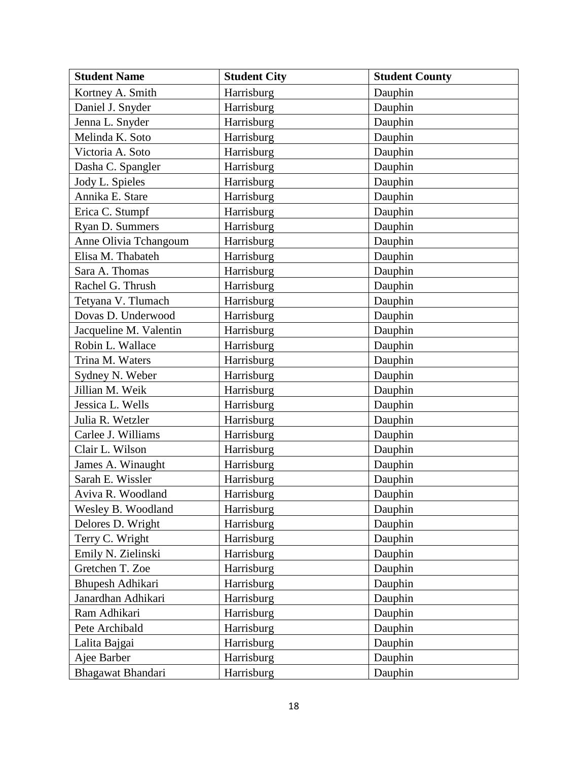| <b>Student Name</b>    | <b>Student City</b> | <b>Student County</b> |
|------------------------|---------------------|-----------------------|
| Kortney A. Smith       | Harrisburg          | Dauphin               |
| Daniel J. Snyder       | Harrisburg          | Dauphin               |
| Jenna L. Snyder        | Harrisburg          | Dauphin               |
| Melinda K. Soto        | Harrisburg          | Dauphin               |
| Victoria A. Soto       | Harrisburg          | Dauphin               |
| Dasha C. Spangler      | Harrisburg          | Dauphin               |
| Jody L. Spieles        | Harrisburg          | Dauphin               |
| Annika E. Stare        | Harrisburg          | Dauphin               |
| Erica C. Stumpf        | Harrisburg          | Dauphin               |
| Ryan D. Summers        | Harrisburg          | Dauphin               |
| Anne Olivia Tchangoum  | Harrisburg          | Dauphin               |
| Elisa M. Thabateh      | Harrisburg          | Dauphin               |
| Sara A. Thomas         | Harrisburg          | Dauphin               |
| Rachel G. Thrush       | Harrisburg          | Dauphin               |
| Tetyana V. Tlumach     | Harrisburg          | Dauphin               |
| Dovas D. Underwood     | Harrisburg          | Dauphin               |
| Jacqueline M. Valentin | Harrisburg          | Dauphin               |
| Robin L. Wallace       | Harrisburg          | Dauphin               |
| Trina M. Waters        | Harrisburg          | Dauphin               |
| Sydney N. Weber        | Harrisburg          | Dauphin               |
| Jillian M. Weik        | Harrisburg          | Dauphin               |
| Jessica L. Wells       | Harrisburg          | Dauphin               |
| Julia R. Wetzler       | Harrisburg          | Dauphin               |
| Carlee J. Williams     | Harrisburg          | Dauphin               |
| Clair L. Wilson        | Harrisburg          | Dauphin               |
| James A. Winaught      | Harrisburg          | Dauphin               |
| Sarah E. Wissler       | Harrisburg          | Dauphin               |
| Aviva R. Woodland      | Harrisburg          | Dauphin               |
| Wesley B. Woodland     | Harrisburg          | Dauphin               |
| Delores D. Wright      | Harrisburg          | Dauphin               |
| Terry C. Wright        | Harrisburg          | Dauphin               |
| Emily N. Zielinski     | Harrisburg          | Dauphin               |
| Gretchen T. Zoe        | Harrisburg          | Dauphin               |
| Bhupesh Adhikari       | Harrisburg          | Dauphin               |
| Janardhan Adhikari     | Harrisburg          | Dauphin               |
| Ram Adhikari           | Harrisburg          | Dauphin               |
| Pete Archibald         | Harrisburg          | Dauphin               |
| Lalita Bajgai          | Harrisburg          | Dauphin               |
| Ajee Barber            | Harrisburg          | Dauphin               |
| Bhagawat Bhandari      | Harrisburg          | Dauphin               |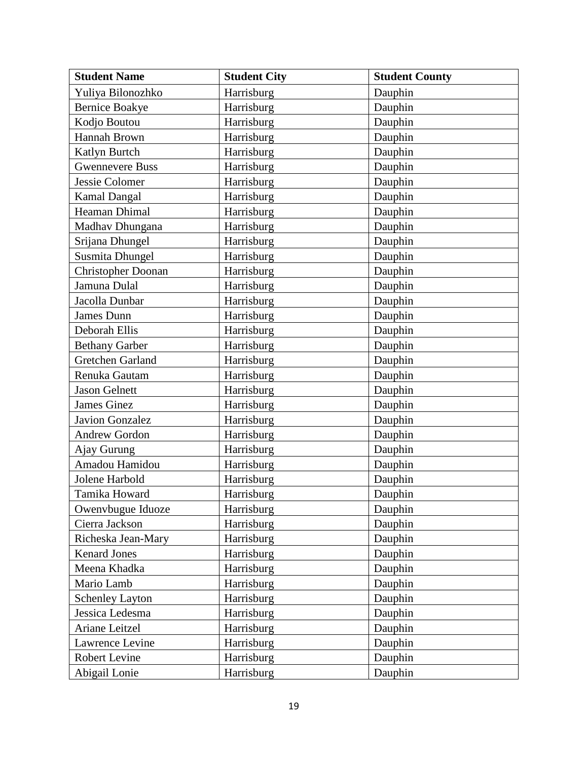| <b>Student Name</b>       | <b>Student City</b> | <b>Student County</b> |
|---------------------------|---------------------|-----------------------|
| Yuliya Bilonozhko         | Harrisburg          | Dauphin               |
| <b>Bernice Boakye</b>     | Harrisburg          | Dauphin               |
| Kodjo Boutou              | Harrisburg          | Dauphin               |
| <b>Hannah Brown</b>       | Harrisburg          | Dauphin               |
| Katlyn Burtch             | Harrisburg          | Dauphin               |
| <b>Gwennevere Buss</b>    | Harrisburg          | Dauphin               |
| Jessie Colomer            | Harrisburg          | Dauphin               |
| <b>Kamal Dangal</b>       | Harrisburg          | Dauphin               |
| Heaman Dhimal             | Harrisburg          | Dauphin               |
| Madhav Dhungana           | Harrisburg          | Dauphin               |
| Srijana Dhungel           | Harrisburg          | Dauphin               |
| Susmita Dhungel           | Harrisburg          | Dauphin               |
| <b>Christopher Doonan</b> | Harrisburg          | Dauphin               |
| Jamuna Dulal              | Harrisburg          | Dauphin               |
| Jacolla Dunbar            | Harrisburg          | Dauphin               |
| James Dunn                | Harrisburg          | Dauphin               |
| Deborah Ellis             | Harrisburg          | Dauphin               |
| <b>Bethany Garber</b>     | Harrisburg          | Dauphin               |
| Gretchen Garland          | Harrisburg          | Dauphin               |
| Renuka Gautam             | Harrisburg          | Dauphin               |
| <b>Jason Gelnett</b>      | Harrisburg          | Dauphin               |
| <b>James Ginez</b>        | Harrisburg          | Dauphin               |
| <b>Javion Gonzalez</b>    | Harrisburg          | Dauphin               |
| <b>Andrew Gordon</b>      | Harrisburg          | Dauphin               |
| Ajay Gurung               | Harrisburg          | Dauphin               |
| Amadou Hamidou            | Harrisburg          | Dauphin               |
| Jolene Harbold            | Harrisburg          | Dauphin               |
| Tamika Howard             | Harrisburg          | Dauphin               |
| Owenvbugue Iduoze         | Harrisburg          | Dauphin               |
| Cierra Jackson            | Harrisburg          | Dauphin               |
| Richeska Jean-Mary        | Harrisburg          | Dauphin               |
| <b>Kenard Jones</b>       | Harrisburg          | Dauphin               |
| Meena Khadka              | Harrisburg          | Dauphin               |
| Mario Lamb                | Harrisburg          | Dauphin               |
| <b>Schenley Layton</b>    | Harrisburg          | Dauphin               |
| Jessica Ledesma           | Harrisburg          | Dauphin               |
| Ariane Leitzel            | Harrisburg          | Dauphin               |
| Lawrence Levine           | Harrisburg          | Dauphin               |
| <b>Robert Levine</b>      | Harrisburg          | Dauphin               |
| Abigail Lonie             | Harrisburg          | Dauphin               |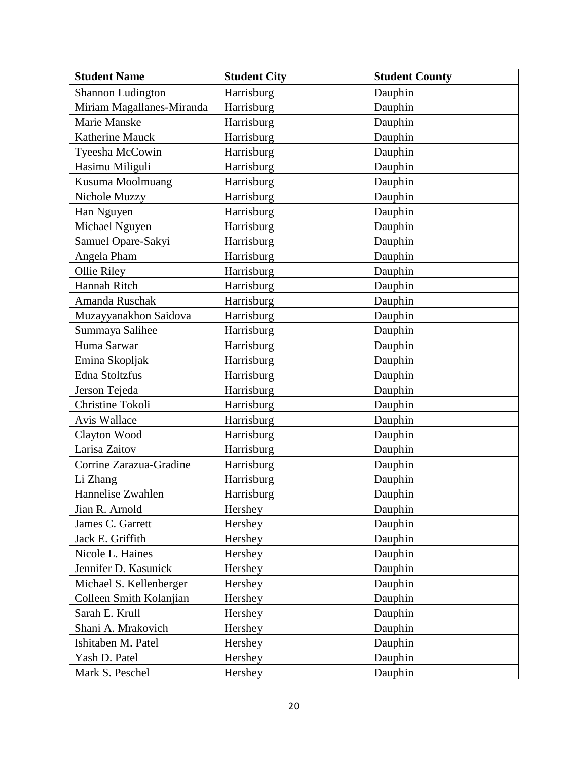| <b>Student Name</b>       | <b>Student City</b> | <b>Student County</b> |
|---------------------------|---------------------|-----------------------|
| Shannon Ludington         | Harrisburg          | Dauphin               |
| Miriam Magallanes-Miranda | Harrisburg          | Dauphin               |
| Marie Manske              | Harrisburg          | Dauphin               |
| Katherine Mauck           | Harrisburg          | Dauphin               |
| Tyeesha McCowin           | Harrisburg          | Dauphin               |
| Hasimu Miliguli           | Harrisburg          | Dauphin               |
| Kusuma Moolmuang          | Harrisburg          | Dauphin               |
| Nichole Muzzy             | Harrisburg          | Dauphin               |
| Han Nguyen                | Harrisburg          | Dauphin               |
| Michael Nguyen            | Harrisburg          | Dauphin               |
| Samuel Opare-Sakyi        | Harrisburg          | Dauphin               |
| Angela Pham               | Harrisburg          | Dauphin               |
| Ollie Riley               | Harrisburg          | Dauphin               |
| Hannah Ritch              | Harrisburg          | Dauphin               |
| Amanda Ruschak            | Harrisburg          | Dauphin               |
| Muzayyanakhon Saidova     | Harrisburg          | Dauphin               |
| Summaya Salihee           | Harrisburg          | Dauphin               |
| Huma Sarwar               | Harrisburg          | Dauphin               |
| Emina Skopljak            | Harrisburg          | Dauphin               |
| Edna Stoltzfus            | Harrisburg          | Dauphin               |
| Jerson Tejeda             | Harrisburg          | Dauphin               |
| Christine Tokoli          | Harrisburg          | Dauphin               |
| Avis Wallace              | Harrisburg          | Dauphin               |
| Clayton Wood              | Harrisburg          | Dauphin               |
| Larisa Zaitov             | Harrisburg          | Dauphin               |
| Corrine Zarazua-Gradine   | Harrisburg          | Dauphin               |
| Li Zhang                  | Harrisburg          | Dauphin               |
| Hannelise Zwahlen         | Harrisburg          | Dauphin               |
| Jian R. Arnold            | Hershey             | Dauphin               |
| James C. Garrett          | Hershey             | Dauphin               |
| Jack E. Griffith          | Hershey             | Dauphin               |
| Nicole L. Haines          | Hershey             | Dauphin               |
| Jennifer D. Kasunick      | Hershey             | Dauphin               |
| Michael S. Kellenberger   | Hershey             | Dauphin               |
| Colleen Smith Kolanjian   | Hershey             | Dauphin               |
| Sarah E. Krull            | Hershey             | Dauphin               |
| Shani A. Mrakovich        | Hershey             | Dauphin               |
| Ishitaben M. Patel        | Hershey             | Dauphin               |
| Yash D. Patel             | Hershey             | Dauphin               |
| Mark S. Peschel           | Hershey             | Dauphin               |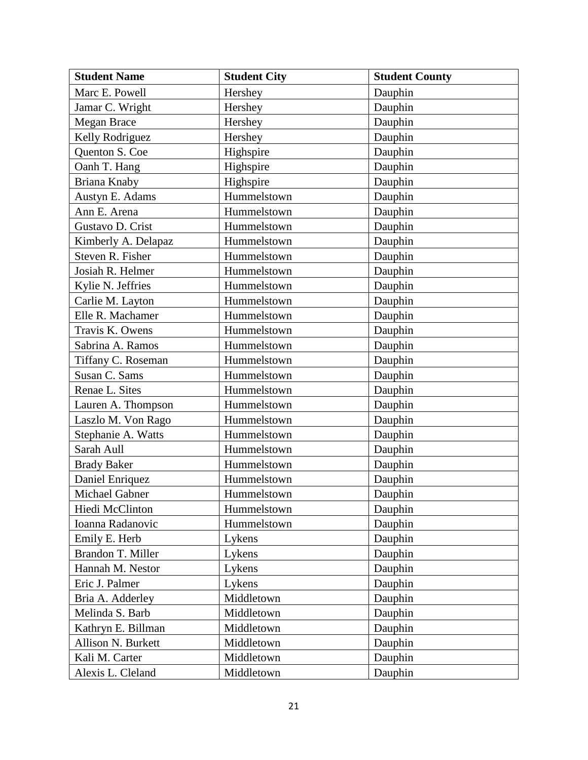| <b>Student Name</b>   | <b>Student City</b> | <b>Student County</b> |
|-----------------------|---------------------|-----------------------|
| Marc E. Powell        | Hershey             | Dauphin               |
| Jamar C. Wright       | Hershey             | Dauphin               |
| Megan Brace           | Hershey             | Dauphin               |
| Kelly Rodriguez       | Hershey             | Dauphin               |
| Quenton S. Coe        | Highspire           | Dauphin               |
| Oanh T. Hang          | Highspire           | Dauphin               |
| Briana Knaby          | Highspire           | Dauphin               |
| Austyn E. Adams       | Hummelstown         | Dauphin               |
| Ann E. Arena          | Hummelstown         | Dauphin               |
| Gustavo D. Crist      | Hummelstown         | Dauphin               |
| Kimberly A. Delapaz   | Hummelstown         | Dauphin               |
| Steven R. Fisher      | Hummelstown         | Dauphin               |
| Josiah R. Helmer      | Hummelstown         | Dauphin               |
| Kylie N. Jeffries     | Hummelstown         | Dauphin               |
| Carlie M. Layton      | Hummelstown         | Dauphin               |
| Elle R. Machamer      | Hummelstown         | Dauphin               |
| Travis K. Owens       | Hummelstown         | Dauphin               |
| Sabrina A. Ramos      | Hummelstown         | Dauphin               |
| Tiffany C. Roseman    | Hummelstown         | Dauphin               |
| Susan C. Sams         | Hummelstown         | Dauphin               |
| Renae L. Sites        | Hummelstown         | Dauphin               |
| Lauren A. Thompson    | Hummelstown         | Dauphin               |
| Laszlo M. Von Rago    | Hummelstown         | Dauphin               |
| Stephanie A. Watts    | Hummelstown         | Dauphin               |
| Sarah Aull            | Hummelstown         | Dauphin               |
| <b>Brady Baker</b>    | Hummelstown         | Dauphin               |
| Daniel Enriquez       | Hummelstown         | Dauphin               |
| <b>Michael Gabner</b> | Hummelstown         | Dauphin               |
| Hiedi McClinton       | Hummelstown         | Dauphin               |
| Ioanna Radanovic      | Hummelstown         | Dauphin               |
| Emily E. Herb         | Lykens              | Dauphin               |
| Brandon T. Miller     | Lykens              | Dauphin               |
| Hannah M. Nestor      | Lykens              | Dauphin               |
| Eric J. Palmer        | Lykens              | Dauphin               |
| Bria A. Adderley      | Middletown          | Dauphin               |
| Melinda S. Barb       | Middletown          | Dauphin               |
| Kathryn E. Billman    | Middletown          | Dauphin               |
| Allison N. Burkett    | Middletown          | Dauphin               |
| Kali M. Carter        | Middletown          | Dauphin               |
| Alexis L. Cleland     | Middletown          | Dauphin               |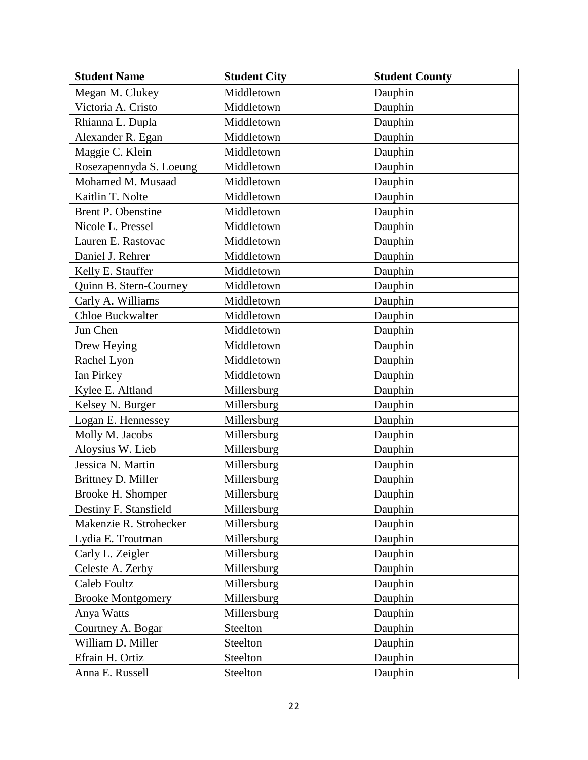| <b>Student Name</b>      | <b>Student City</b> | <b>Student County</b> |
|--------------------------|---------------------|-----------------------|
| Megan M. Clukey          | Middletown          | Dauphin               |
| Victoria A. Cristo       | Middletown          | Dauphin               |
| Rhianna L. Dupla         | Middletown          | Dauphin               |
| Alexander R. Egan        | Middletown          | Dauphin               |
| Maggie C. Klein          | Middletown          | Dauphin               |
| Rosezapennyda S. Loeung  | Middletown          | Dauphin               |
| Mohamed M. Musaad        | Middletown          | Dauphin               |
| Kaitlin T. Nolte         | Middletown          | Dauphin               |
| Brent P. Obenstine       | Middletown          | Dauphin               |
| Nicole L. Pressel        | Middletown          | Dauphin               |
| Lauren E. Rastovac       | Middletown          | Dauphin               |
| Daniel J. Rehrer         | Middletown          | Dauphin               |
| Kelly E. Stauffer        | Middletown          | Dauphin               |
| Quinn B. Stern-Courney   | Middletown          | Dauphin               |
| Carly A. Williams        | Middletown          | Dauphin               |
| <b>Chloe Buckwalter</b>  | Middletown          | Dauphin               |
| Jun Chen                 | Middletown          | Dauphin               |
| Drew Heying              | Middletown          | Dauphin               |
| Rachel Lyon              | Middletown          | Dauphin               |
| Ian Pirkey               | Middletown          | Dauphin               |
| Kylee E. Altland         | Millersburg         | Dauphin               |
| Kelsey N. Burger         | Millersburg         | Dauphin               |
| Logan E. Hennessey       | Millersburg         | Dauphin               |
| Molly M. Jacobs          | Millersburg         | Dauphin               |
| Aloysius W. Lieb         | Millersburg         | Dauphin               |
| Jessica N. Martin        | Millersburg         | Dauphin               |
| Brittney D. Miller       | Millersburg         | Dauphin               |
| Brooke H. Shomper        | Millersburg         | Dauphin               |
| Destiny F. Stansfield    | Millersburg         | Dauphin               |
| Makenzie R. Strohecker   | Millersburg         | Dauphin               |
| Lydia E. Troutman        | Millersburg         | Dauphin               |
| Carly L. Zeigler         | Millersburg         | Dauphin               |
| Celeste A. Zerby         | Millersburg         | Dauphin               |
| Caleb Foultz             | Millersburg         | Dauphin               |
| <b>Brooke Montgomery</b> | Millersburg         | Dauphin               |
| Anya Watts               | Millersburg         | Dauphin               |
| Courtney A. Bogar        | Steelton            | Dauphin               |
| William D. Miller        | Steelton            | Dauphin               |
| Efrain H. Ortiz          | Steelton            | Dauphin               |
| Anna E. Russell          | Steelton            | Dauphin               |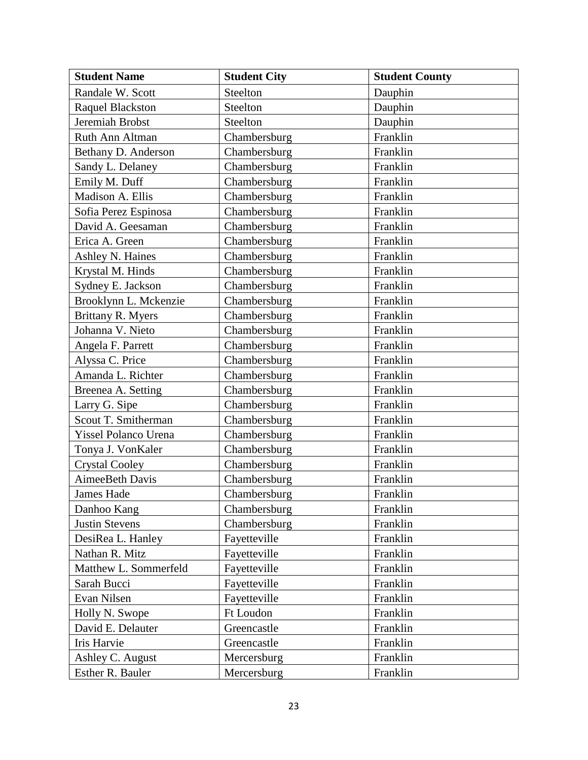| <b>Student Name</b>         | <b>Student City</b> | <b>Student County</b> |
|-----------------------------|---------------------|-----------------------|
| Randale W. Scott            | Steelton            | Dauphin               |
| <b>Raquel Blackston</b>     | Steelton            | Dauphin               |
| Jeremiah Brobst             | Steelton            | Dauphin               |
| Ruth Ann Altman             | Chambersburg        | Franklin              |
| Bethany D. Anderson         | Chambersburg        | Franklin              |
| Sandy L. Delaney            | Chambersburg        | Franklin              |
| Emily M. Duff               | Chambersburg        | Franklin              |
| Madison A. Ellis            | Chambersburg        | Franklin              |
| Sofia Perez Espinosa        | Chambersburg        | Franklin              |
| David A. Geesaman           | Chambersburg        | Franklin              |
| Erica A. Green              | Chambersburg        | Franklin              |
| Ashley N. Haines            | Chambersburg        | Franklin              |
| Krystal M. Hinds            | Chambersburg        | Franklin              |
| Sydney E. Jackson           | Chambersburg        | Franklin              |
| Brooklynn L. Mckenzie       | Chambersburg        | Franklin              |
| Brittany R. Myers           | Chambersburg        | Franklin              |
| Johanna V. Nieto            | Chambersburg        | Franklin              |
| Angela F. Parrett           | Chambersburg        | Franklin              |
| Alyssa C. Price             | Chambersburg        | Franklin              |
| Amanda L. Richter           | Chambersburg        | Franklin              |
| Breenea A. Setting          | Chambersburg        | Franklin              |
| Larry G. Sipe               | Chambersburg        | Franklin              |
| Scout T. Smitherman         | Chambersburg        | Franklin              |
| <b>Yissel Polanco Urena</b> | Chambersburg        | Franklin              |
| Tonya J. VonKaler           | Chambersburg        | Franklin              |
| <b>Crystal Cooley</b>       | Chambersburg        | Franklin              |
| AimeeBeth Davis             | Chambersburg        | Franklin              |
| <b>James Hade</b>           | Chambersburg        | Franklin              |
| Danhoo Kang                 | Chambersburg        | Franklin              |
| <b>Justin Stevens</b>       | Chambersburg        | Franklin              |
| DesiRea L. Hanley           | Fayetteville        | Franklin              |
| Nathan R. Mitz              | Fayetteville        | Franklin              |
| Matthew L. Sommerfeld       | Fayetteville        | Franklin              |
| Sarah Bucci                 | Fayetteville        | Franklin              |
| Evan Nilsen                 | Fayetteville        | Franklin              |
| Holly N. Swope              | Ft Loudon           | Franklin              |
| David E. Delauter           | Greencastle         | Franklin              |
| Iris Harvie                 | Greencastle         | Franklin              |
| Ashley C. August            | Mercersburg         | Franklin              |
| Esther R. Bauler            | Mercersburg         | Franklin              |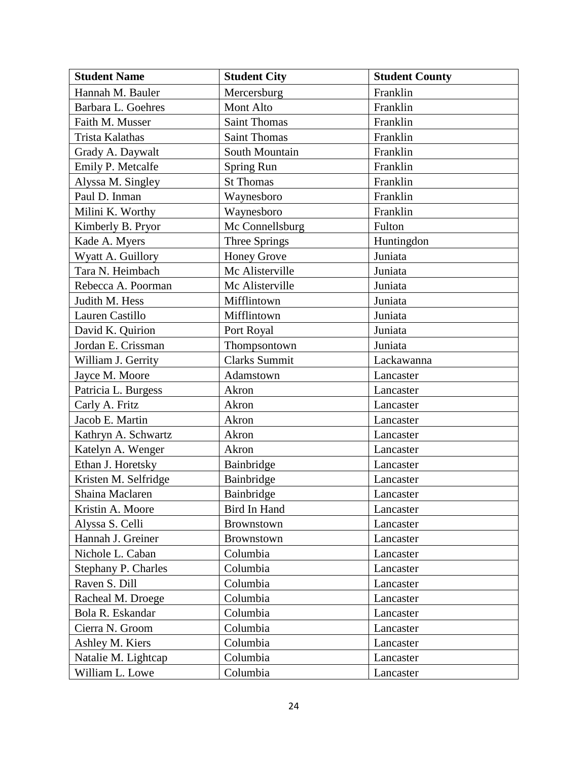| <b>Student Name</b>        | <b>Student City</b>  | <b>Student County</b> |
|----------------------------|----------------------|-----------------------|
| Hannah M. Bauler           | Mercersburg          | Franklin              |
| Barbara L. Goehres         | Mont Alto            | Franklin              |
| Faith M. Musser            | <b>Saint Thomas</b>  | Franklin              |
| Trista Kalathas            | <b>Saint Thomas</b>  | Franklin              |
| Grady A. Daywalt           | South Mountain       | Franklin              |
| Emily P. Metcalfe          | <b>Spring Run</b>    | Franklin              |
| Alyssa M. Singley          | <b>St Thomas</b>     | Franklin              |
| Paul D. Inman              | Waynesboro           | Franklin              |
| Milini K. Worthy           | Waynesboro           | Franklin              |
| Kimberly B. Pryor          | Mc Connellsburg      | Fulton                |
| Kade A. Myers              | Three Springs        | Huntingdon            |
| Wyatt A. Guillory          | <b>Honey Grove</b>   | Juniata               |
| Tara N. Heimbach           | Mc Alisterville      | Juniata               |
| Rebecca A. Poorman         | Mc Alisterville      | Juniata               |
| Judith M. Hess             | Mifflintown          | Juniata               |
| Lauren Castillo            | Mifflintown          | Juniata               |
| David K. Quirion           | Port Royal           | Juniata               |
| Jordan E. Crissman         | Thompsontown         | Juniata               |
| William J. Gerrity         | <b>Clarks Summit</b> | Lackawanna            |
| Jayce M. Moore             | Adamstown            | Lancaster             |
| Patricia L. Burgess        | Akron                | Lancaster             |
| Carly A. Fritz             | Akron                | Lancaster             |
| Jacob E. Martin            | Akron                | Lancaster             |
| Kathryn A. Schwartz        | Akron                | Lancaster             |
| Katelyn A. Wenger          | Akron                | Lancaster             |
| Ethan J. Horetsky          | Bainbridge           | Lancaster             |
| Kristen M. Selfridge       | Bainbridge           | Lancaster             |
| Shaina Maclaren            | Bainbridge           | Lancaster             |
| Kristin A. Moore           | Bird In Hand         | Lancaster             |
| Alyssa S. Celli            | <b>Brownstown</b>    | Lancaster             |
| Hannah J. Greiner          | Brownstown           | Lancaster             |
| Nichole L. Caban           | Columbia             | Lancaster             |
| <b>Stephany P. Charles</b> | Columbia             | Lancaster             |
| Raven S. Dill              | Columbia             | Lancaster             |
| Racheal M. Droege          | Columbia             | Lancaster             |
| Bola R. Eskandar           | Columbia             | Lancaster             |
| Cierra N. Groom            | Columbia             | Lancaster             |
| Ashley M. Kiers            | Columbia             | Lancaster             |
| Natalie M. Lightcap        | Columbia             | Lancaster             |
| William L. Lowe            | Columbia             | Lancaster             |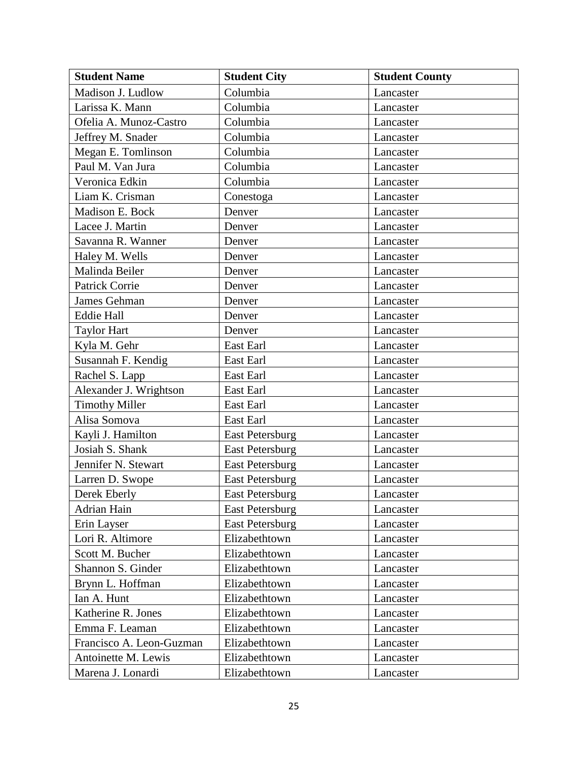| <b>Student Name</b>      | <b>Student City</b>    | <b>Student County</b> |
|--------------------------|------------------------|-----------------------|
| Madison J. Ludlow        | Columbia               | Lancaster             |
| Larissa K. Mann          | Columbia               | Lancaster             |
| Ofelia A. Munoz-Castro   | Columbia               | Lancaster             |
| Jeffrey M. Snader        | Columbia               | Lancaster             |
| Megan E. Tomlinson       | Columbia               | Lancaster             |
| Paul M. Van Jura         | Columbia               | Lancaster             |
| Veronica Edkin           | Columbia               | Lancaster             |
| Liam K. Crisman          | Conestoga              | Lancaster             |
| Madison E. Bock          | Denver                 | Lancaster             |
| Lacee J. Martin          | Denver                 | Lancaster             |
| Savanna R. Wanner        | Denver                 | Lancaster             |
| Haley M. Wells           | Denver                 | Lancaster             |
| Malinda Beiler           | Denver                 | Lancaster             |
| <b>Patrick Corrie</b>    | Denver                 | Lancaster             |
| James Gehman             | Denver                 | Lancaster             |
| <b>Eddie Hall</b>        | Denver                 | Lancaster             |
| <b>Taylor Hart</b>       | Denver                 | Lancaster             |
| Kyla M. Gehr             | East Earl              | Lancaster             |
| Susannah F. Kendig       | East Earl              | Lancaster             |
| Rachel S. Lapp           | East Earl              | Lancaster             |
| Alexander J. Wrightson   | East Earl              | Lancaster             |
| <b>Timothy Miller</b>    | East Earl              | Lancaster             |
| Alisa Somova             | East Earl              | Lancaster             |
| Kayli J. Hamilton        | <b>East Petersburg</b> | Lancaster             |
| Josiah S. Shank          | <b>East Petersburg</b> | Lancaster             |
| Jennifer N. Stewart      | <b>East Petersburg</b> | Lancaster             |
| Larren D. Swope          | <b>East Petersburg</b> | Lancaster             |
| Derek Eberly             | <b>East Petersburg</b> | Lancaster             |
| Adrian Hain              | <b>East Petersburg</b> | Lancaster             |
| Erin Layser              | <b>East Petersburg</b> | Lancaster             |
| Lori R. Altimore         | Elizabethtown          | Lancaster             |
| Scott M. Bucher          | Elizabethtown          | Lancaster             |
| Shannon S. Ginder        | Elizabethtown          | Lancaster             |
| Brynn L. Hoffman         | Elizabethtown          | Lancaster             |
| Ian A. Hunt              | Elizabethtown          | Lancaster             |
| Katherine R. Jones       | Elizabethtown          | Lancaster             |
| Emma F. Leaman           | Elizabethtown          | Lancaster             |
| Francisco A. Leon-Guzman | Elizabethtown          | Lancaster             |
| Antoinette M. Lewis      | Elizabethtown          | Lancaster             |
| Marena J. Lonardi        | Elizabethtown          | Lancaster             |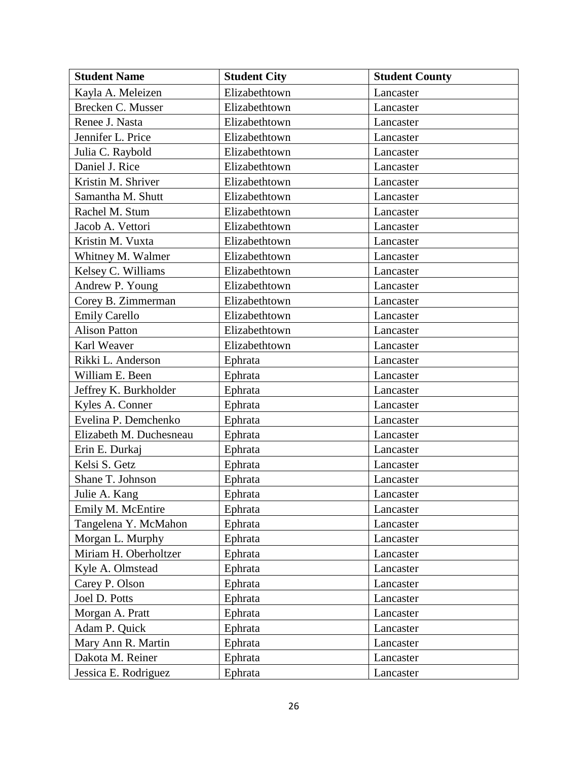| <b>Student Name</b>     | <b>Student City</b> | <b>Student County</b> |
|-------------------------|---------------------|-----------------------|
| Kayla A. Meleizen       | Elizabethtown       | Lancaster             |
| Brecken C. Musser       | Elizabethtown       | Lancaster             |
| Renee J. Nasta          | Elizabethtown       | Lancaster             |
| Jennifer L. Price       | Elizabethtown       | Lancaster             |
| Julia C. Raybold        | Elizabethtown       | Lancaster             |
| Daniel J. Rice          | Elizabethtown       | Lancaster             |
| Kristin M. Shriver      | Elizabethtown       | Lancaster             |
| Samantha M. Shutt       | Elizabethtown       | Lancaster             |
| Rachel M. Stum          | Elizabethtown       | Lancaster             |
| Jacob A. Vettori        | Elizabethtown       | Lancaster             |
| Kristin M. Vuxta        | Elizabethtown       | Lancaster             |
| Whitney M. Walmer       | Elizabethtown       | Lancaster             |
| Kelsey C. Williams      | Elizabethtown       | Lancaster             |
| Andrew P. Young         | Elizabethtown       | Lancaster             |
| Corey B. Zimmerman      | Elizabethtown       | Lancaster             |
| <b>Emily Carello</b>    | Elizabethtown       | Lancaster             |
| <b>Alison Patton</b>    | Elizabethtown       | Lancaster             |
| Karl Weaver             | Elizabethtown       | Lancaster             |
| Rikki L. Anderson       | Ephrata             | Lancaster             |
| William E. Been         | Ephrata             | Lancaster             |
| Jeffrey K. Burkholder   | Ephrata             | Lancaster             |
| Kyles A. Conner         | Ephrata             | Lancaster             |
| Evelina P. Demchenko    | Ephrata             | Lancaster             |
| Elizabeth M. Duchesneau | Ephrata             | Lancaster             |
| Erin E. Durkaj          | Ephrata             | Lancaster             |
| Kelsi S. Getz           | Ephrata             | Lancaster             |
| Shane T. Johnson        | Ephrata             | Lancaster             |
| Julie A. Kang           | Ephrata             | Lancaster             |
| Emily M. McEntire       | Ephrata             | Lancaster             |
| Tangelena Y. McMahon    | Ephrata             | Lancaster             |
| Morgan L. Murphy        | Ephrata             | Lancaster             |
| Miriam H. Oberholtzer   | Ephrata             | Lancaster             |
| Kyle A. Olmstead        | Ephrata             | Lancaster             |
| Carey P. Olson          | Ephrata             | Lancaster             |
| Joel D. Potts           | Ephrata             | Lancaster             |
| Morgan A. Pratt         | Ephrata             | Lancaster             |
| Adam P. Quick           | Ephrata             | Lancaster             |
| Mary Ann R. Martin      | Ephrata             | Lancaster             |
| Dakota M. Reiner        | Ephrata             | Lancaster             |
| Jessica E. Rodriguez    | Ephrata             | Lancaster             |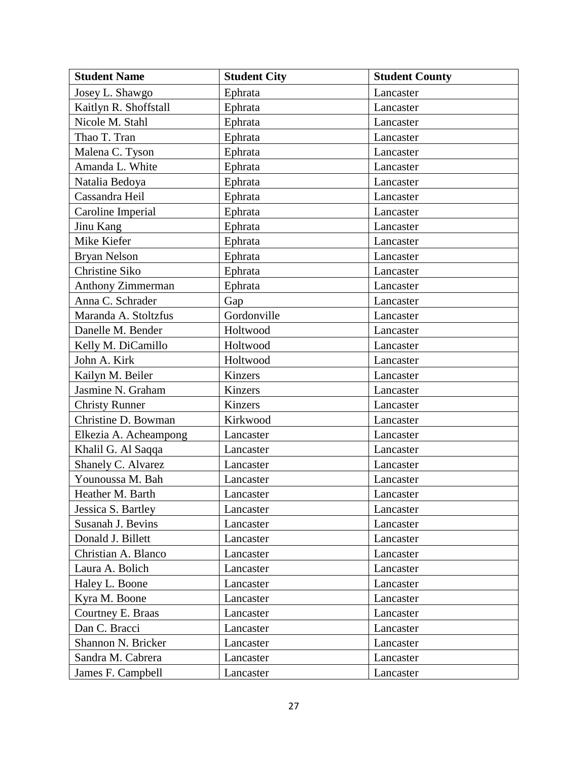| <b>Student Name</b>   | <b>Student City</b> | <b>Student County</b> |
|-----------------------|---------------------|-----------------------|
| Josey L. Shawgo       | Ephrata             | Lancaster             |
| Kaitlyn R. Shoffstall | Ephrata             | Lancaster             |
| Nicole M. Stahl       | Ephrata             | Lancaster             |
| Thao T. Tran          | Ephrata             | Lancaster             |
| Malena C. Tyson       | Ephrata             | Lancaster             |
| Amanda L. White       | Ephrata             | Lancaster             |
| Natalia Bedoya        | Ephrata             | Lancaster             |
| Cassandra Heil        | Ephrata             | Lancaster             |
| Caroline Imperial     | Ephrata             | Lancaster             |
| Jinu Kang             | Ephrata             | Lancaster             |
| Mike Kiefer           | Ephrata             | Lancaster             |
| <b>Bryan Nelson</b>   | Ephrata             | Lancaster             |
| Christine Siko        | Ephrata             | Lancaster             |
| Anthony Zimmerman     | Ephrata             | Lancaster             |
| Anna C. Schrader      | Gap                 | Lancaster             |
| Maranda A. Stoltzfus  | Gordonville         | Lancaster             |
| Danelle M. Bender     | Holtwood            | Lancaster             |
| Kelly M. DiCamillo    | Holtwood            | Lancaster             |
| John A. Kirk          | Holtwood            | Lancaster             |
| Kailyn M. Beiler      | Kinzers             | Lancaster             |
| Jasmine N. Graham     | Kinzers             | Lancaster             |
| <b>Christy Runner</b> | Kinzers             | Lancaster             |
| Christine D. Bowman   | Kirkwood            | Lancaster             |
| Elkezia A. Acheampong | Lancaster           | Lancaster             |
| Khalil G. Al Saqqa    | Lancaster           | Lancaster             |
| Shanely C. Alvarez    | Lancaster           | Lancaster             |
| Younoussa M. Bah      | Lancaster           | Lancaster             |
| Heather M. Barth      | Lancaster           | Lancaster             |
| Jessica S. Bartley    | Lancaster           | Lancaster             |
| Susanah J. Bevins     | Lancaster           | Lancaster             |
| Donald J. Billett     | Lancaster           | Lancaster             |
| Christian A. Blanco   | Lancaster           | Lancaster             |
| Laura A. Bolich       | Lancaster           | Lancaster             |
| Haley L. Boone        | Lancaster           | Lancaster             |
| Kyra M. Boone         | Lancaster           | Lancaster             |
| Courtney E. Braas     | Lancaster           | Lancaster             |
| Dan C. Bracci         | Lancaster           | Lancaster             |
| Shannon N. Bricker    | Lancaster           | Lancaster             |
| Sandra M. Cabrera     | Lancaster           | Lancaster             |
| James F. Campbell     | Lancaster           | Lancaster             |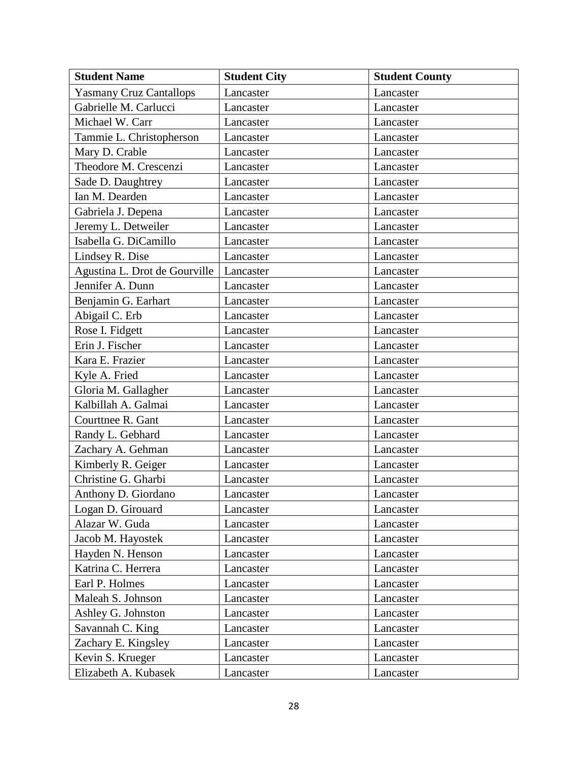| <b>Student Name</b>            | <b>Student City</b> | <b>Student County</b> |
|--------------------------------|---------------------|-----------------------|
| <b>Yasmany Cruz Cantallops</b> | Lancaster           | Lancaster             |
| Gabrielle M. Carlucci          | Lancaster           | Lancaster             |
| Michael W. Carr                | Lancaster           | Lancaster             |
| Tammie L. Christopherson       | Lancaster           | Lancaster             |
| Mary D. Crable                 | Lancaster           | Lancaster             |
| Theodore M. Crescenzi          | Lancaster           | Lancaster             |
| Sade D. Daughtrey              | Lancaster           | Lancaster             |
| Ian M. Dearden                 | Lancaster           | Lancaster             |
| Gabriela J. Depena             | Lancaster           | Lancaster             |
| Jeremy L. Detweiler            | Lancaster           | Lancaster             |
| Isabella G. DiCamillo          | Lancaster           | Lancaster             |
| Lindsey R. Dise                | Lancaster           | Lancaster             |
| Agustina L. Drot de Gourville  | Lancaster           | Lancaster             |
| Jennifer A. Dunn               | Lancaster           | Lancaster             |
| Benjamin G. Earhart            | Lancaster           | Lancaster             |
| Abigail C. Erb                 | Lancaster           | Lancaster             |
| Rose I. Fidgett                | Lancaster           | Lancaster             |
| Erin J. Fischer                | Lancaster           | Lancaster             |
| Kara E. Frazier                | Lancaster           | Lancaster             |
| Kyle A. Fried                  | Lancaster           | Lancaster             |
| Gloria M. Gallagher            | Lancaster           | Lancaster             |
| Kalbillah A. Galmai            | Lancaster           | Lancaster             |
| Courttnee R. Gant              | Lancaster           | Lancaster             |
| Randy L. Gebhard               | Lancaster           | Lancaster             |
| Zachary A. Gehman              | Lancaster           | Lancaster             |
| Kimberly R. Geiger             | Lancaster           | Lancaster             |
| Christine G. Gharbi            | Lancaster           | Lancaster             |
| Anthony D. Giordano            | Lancaster           | Lancaster             |
| Logan D. Girouard              | Lancaster           | Lancaster             |
| Alazar W. Guda                 | Lancaster           | Lancaster             |
| Jacob M. Hayostek              | Lancaster           | Lancaster             |
| Hayden N. Henson               | Lancaster           | Lancaster             |
| Katrina C. Herrera             | Lancaster           | Lancaster             |
| Earl P. Holmes                 | Lancaster           | Lancaster             |
| Maleah S. Johnson              | Lancaster           | Lancaster             |
| Ashley G. Johnston             | Lancaster           | Lancaster             |
| Savannah C. King               | Lancaster           | Lancaster             |
| Zachary E. Kingsley            | Lancaster           | Lancaster             |
| Kevin S. Krueger               | Lancaster           | Lancaster             |
| Elizabeth A. Kubasek           | Lancaster           | Lancaster             |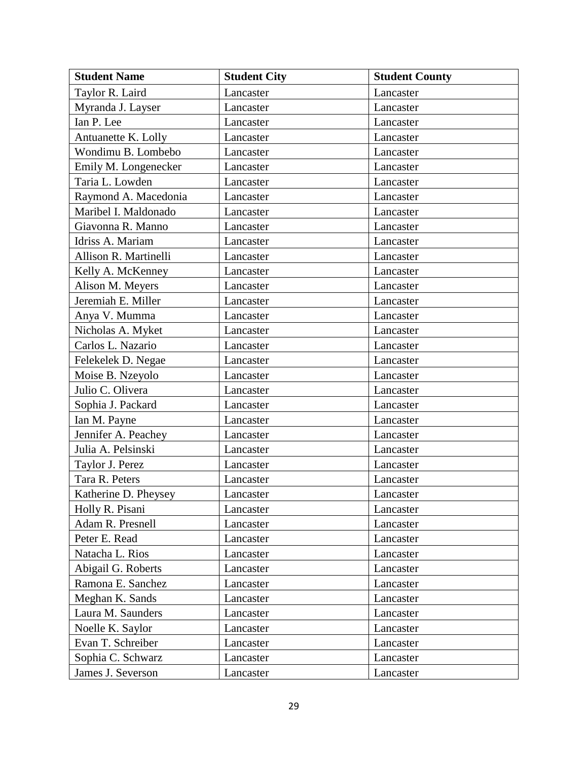| <b>Student Name</b>   | <b>Student City</b> | <b>Student County</b> |
|-----------------------|---------------------|-----------------------|
| Taylor R. Laird       | Lancaster           | Lancaster             |
| Myranda J. Layser     | Lancaster           | Lancaster             |
| Ian P. Lee            | Lancaster           | Lancaster             |
| Antuanette K. Lolly   | Lancaster           | Lancaster             |
| Wondimu B. Lombebo    | Lancaster           | Lancaster             |
| Emily M. Longenecker  | Lancaster           | Lancaster             |
| Taria L. Lowden       | Lancaster           | Lancaster             |
| Raymond A. Macedonia  | Lancaster           | Lancaster             |
| Maribel I. Maldonado  | Lancaster           | Lancaster             |
| Giavonna R. Manno     | Lancaster           | Lancaster             |
| Idriss A. Mariam      | Lancaster           | Lancaster             |
| Allison R. Martinelli | Lancaster           | Lancaster             |
| Kelly A. McKenney     | Lancaster           | Lancaster             |
| Alison M. Meyers      | Lancaster           | Lancaster             |
| Jeremiah E. Miller    | Lancaster           | Lancaster             |
| Anya V. Mumma         | Lancaster           | Lancaster             |
| Nicholas A. Myket     | Lancaster           | Lancaster             |
| Carlos L. Nazario     | Lancaster           | Lancaster             |
| Felekelek D. Negae    | Lancaster           | Lancaster             |
| Moise B. Nzeyolo      | Lancaster           | Lancaster             |
| Julio C. Olivera      | Lancaster           | Lancaster             |
| Sophia J. Packard     | Lancaster           | Lancaster             |
| Ian M. Payne          | Lancaster           | Lancaster             |
| Jennifer A. Peachey   | Lancaster           | Lancaster             |
| Julia A. Pelsinski    | Lancaster           | Lancaster             |
| Taylor J. Perez       | Lancaster           | Lancaster             |
| Tara R. Peters        | Lancaster           | Lancaster             |
| Katherine D. Pheysey  | Lancaster           | Lancaster             |
| Holly R. Pisani       | Lancaster           | Lancaster             |
| Adam R. Presnell      | Lancaster           | Lancaster             |
| Peter E. Read         | Lancaster           | Lancaster             |
| Natacha L. Rios       | Lancaster           | Lancaster             |
| Abigail G. Roberts    | Lancaster           | Lancaster             |
| Ramona E. Sanchez     | Lancaster           | Lancaster             |
| Meghan K. Sands       | Lancaster           | Lancaster             |
| Laura M. Saunders     | Lancaster           | Lancaster             |
| Noelle K. Saylor      | Lancaster           | Lancaster             |
| Evan T. Schreiber     | Lancaster           | Lancaster             |
| Sophia C. Schwarz     | Lancaster           | Lancaster             |
| James J. Severson     | Lancaster           | Lancaster             |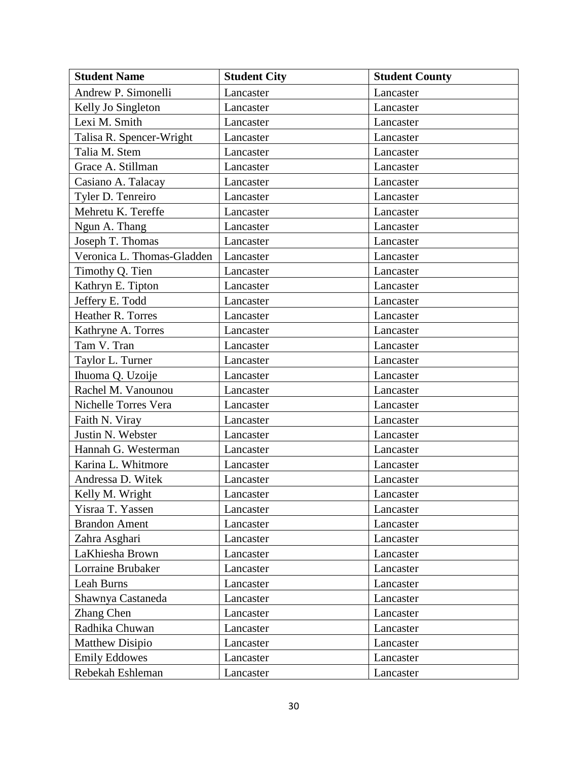| <b>Student Name</b>        | <b>Student City</b> | <b>Student County</b> |
|----------------------------|---------------------|-----------------------|
| Andrew P. Simonelli        | Lancaster           | Lancaster             |
| Kelly Jo Singleton         | Lancaster           | Lancaster             |
| Lexi M. Smith              | Lancaster           | Lancaster             |
| Talisa R. Spencer-Wright   | Lancaster           | Lancaster             |
| Talia M. Stem              | Lancaster           | Lancaster             |
| Grace A. Stillman          | Lancaster           | Lancaster             |
| Casiano A. Talacay         | Lancaster           | Lancaster             |
| Tyler D. Tenreiro          | Lancaster           | Lancaster             |
| Mehretu K. Tereffe         | Lancaster           | Lancaster             |
| Ngun A. Thang              | Lancaster           | Lancaster             |
| Joseph T. Thomas           | Lancaster           | Lancaster             |
| Veronica L. Thomas-Gladden | Lancaster           | Lancaster             |
| Timothy Q. Tien            | Lancaster           | Lancaster             |
| Kathryn E. Tipton          | Lancaster           | Lancaster             |
| Jeffery E. Todd            | Lancaster           | Lancaster             |
| Heather R. Torres          | Lancaster           | Lancaster             |
| Kathryne A. Torres         | Lancaster           | Lancaster             |
| Tam V. Tran                | Lancaster           | Lancaster             |
| Taylor L. Turner           | Lancaster           | Lancaster             |
| Ihuoma Q. Uzoije           | Lancaster           | Lancaster             |
| Rachel M. Vanounou         | Lancaster           | Lancaster             |
| Nichelle Torres Vera       | Lancaster           | Lancaster             |
| Faith N. Viray             | Lancaster           | Lancaster             |
| Justin N. Webster          | Lancaster           | Lancaster             |
| Hannah G. Westerman        | Lancaster           | Lancaster             |
| Karina L. Whitmore         | Lancaster           | Lancaster             |
| Andressa D. Witek          | Lancaster           | Lancaster             |
| Kelly M. Wright            | Lancaster           | Lancaster             |
| Yisraa T. Yassen           | Lancaster           | Lancaster             |
| <b>Brandon Ament</b>       | Lancaster           | Lancaster             |
| Zahra Asghari              | Lancaster           | Lancaster             |
| LaKhiesha Brown            | Lancaster           | Lancaster             |
| Lorraine Brubaker          | Lancaster           | Lancaster             |
| Leah Burns                 | Lancaster           | Lancaster             |
| Shawnya Castaneda          | Lancaster           | Lancaster             |
| Zhang Chen                 | Lancaster           | Lancaster             |
| Radhika Chuwan             | Lancaster           | Lancaster             |
| <b>Matthew Disipio</b>     | Lancaster           | Lancaster             |
| <b>Emily Eddowes</b>       | Lancaster           | Lancaster             |
| Rebekah Eshleman           | Lancaster           | Lancaster             |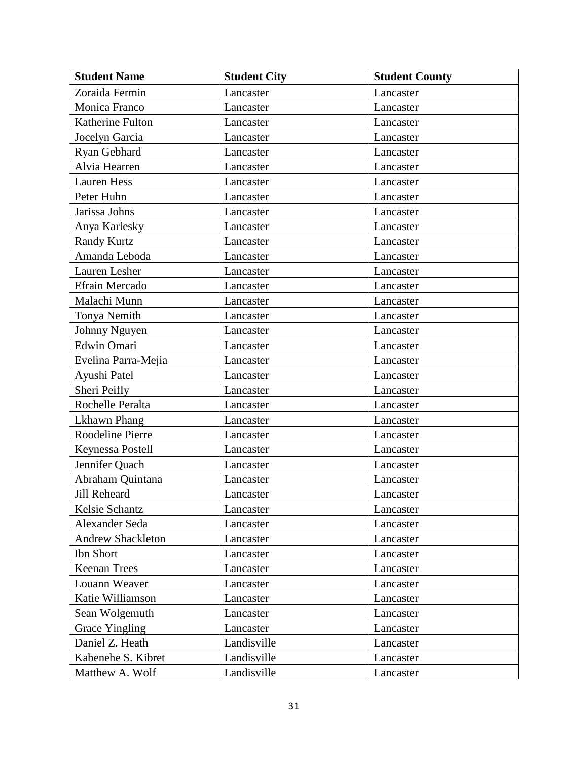| <b>Student Name</b>      | <b>Student City</b> | <b>Student County</b> |
|--------------------------|---------------------|-----------------------|
| Zoraida Fermin           | Lancaster           | Lancaster             |
| Monica Franco            | Lancaster           | Lancaster             |
| Katherine Fulton         | Lancaster           | Lancaster             |
| Jocelyn Garcia           | Lancaster           | Lancaster             |
| Ryan Gebhard             | Lancaster           | Lancaster             |
| Alvia Hearren            | Lancaster           | Lancaster             |
| <b>Lauren Hess</b>       | Lancaster           | Lancaster             |
| Peter Huhn               | Lancaster           | Lancaster             |
| Jarissa Johns            | Lancaster           | Lancaster             |
| Anya Karlesky            | Lancaster           | Lancaster             |
| <b>Randy Kurtz</b>       | Lancaster           | Lancaster             |
| Amanda Leboda            | Lancaster           | Lancaster             |
| Lauren Lesher            | Lancaster           | Lancaster             |
| Efrain Mercado           | Lancaster           | Lancaster             |
| Malachi Munn             | Lancaster           | Lancaster             |
| Tonya Nemith             | Lancaster           | Lancaster             |
| Johnny Nguyen            | Lancaster           | Lancaster             |
| Edwin Omari              | Lancaster           | Lancaster             |
| Evelina Parra-Mejia      | Lancaster           | Lancaster             |
| Ayushi Patel             | Lancaster           | Lancaster             |
| Sheri Peifly             | Lancaster           | Lancaster             |
| Rochelle Peralta         | Lancaster           | Lancaster             |
| Lkhawn Phang             | Lancaster           | Lancaster             |
| Roodeline Pierre         | Lancaster           | Lancaster             |
| Keynessa Postell         | Lancaster           | Lancaster             |
| Jennifer Quach           | Lancaster           | Lancaster             |
| Abraham Quintana         | Lancaster           | Lancaster             |
| Jill Reheard             | Lancaster           | Lancaster             |
| Kelsie Schantz           | Lancaster           | Lancaster             |
| Alexander Seda           | Lancaster           | Lancaster             |
| <b>Andrew Shackleton</b> | Lancaster           | Lancaster             |
| Ibn Short                | Lancaster           | Lancaster             |
| <b>Keenan Trees</b>      | Lancaster           | Lancaster             |
| Louann Weaver            | Lancaster           | Lancaster             |
| Katie Williamson         | Lancaster           | Lancaster             |
| Sean Wolgemuth           | Lancaster           | Lancaster             |
| Grace Yingling           | Lancaster           | Lancaster             |
| Daniel Z. Heath          | Landisville         | Lancaster             |
| Kabenehe S. Kibret       | Landisville         | Lancaster             |
| Matthew A. Wolf          | Landisville         | Lancaster             |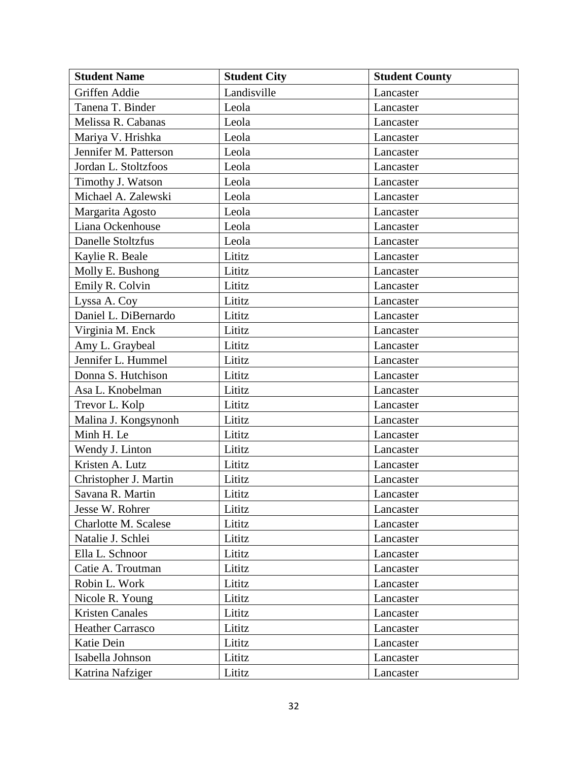| <b>Student Name</b>     | <b>Student City</b> | <b>Student County</b> |
|-------------------------|---------------------|-----------------------|
| Griffen Addie           | Landisville         | Lancaster             |
| Tanena T. Binder        | Leola               | Lancaster             |
| Melissa R. Cabanas      | Leola               | Lancaster             |
| Mariya V. Hrishka       | Leola               | Lancaster             |
| Jennifer M. Patterson   | Leola               | Lancaster             |
| Jordan L. Stoltzfoos    | Leola               | Lancaster             |
| Timothy J. Watson       | Leola               | Lancaster             |
| Michael A. Zalewski     | Leola               | Lancaster             |
| Margarita Agosto        | Leola               | Lancaster             |
| Liana Ockenhouse        | Leola               | Lancaster             |
| Danelle Stoltzfus       | Leola               | Lancaster             |
| Kaylie R. Beale         | Lititz              | Lancaster             |
| Molly E. Bushong        | Lititz              | Lancaster             |
| Emily R. Colvin         | Lititz              | Lancaster             |
| Lyssa A. Coy            | Lititz              | Lancaster             |
| Daniel L. DiBernardo    | Lititz              | Lancaster             |
| Virginia M. Enck        | Lititz              | Lancaster             |
| Amy L. Graybeal         | Lititz              | Lancaster             |
| Jennifer L. Hummel      | Lititz              | Lancaster             |
| Donna S. Hutchison      | Lititz              | Lancaster             |
| Asa L. Knobelman        | Lititz              | Lancaster             |
| Trevor L. Kolp          | Lititz              | Lancaster             |
| Malina J. Kongsynonh    | Lititz              | Lancaster             |
| Minh H. Le              | Lititz              | Lancaster             |
| Wendy J. Linton         | Lititz              | Lancaster             |
| Kristen A. Lutz         | Lititz              | Lancaster             |
| Christopher J. Martin   | Lititz              | Lancaster             |
| Savana R. Martin        | Lititz              | Lancaster             |
| Jesse W. Rohrer         | Lititz              | Lancaster             |
| Charlotte M. Scalese    | Lititz              | Lancaster             |
| Natalie J. Schlei       | Lititz              | Lancaster             |
| Ella L. Schnoor         | Lititz              | Lancaster             |
| Catie A. Troutman       | Lititz              | Lancaster             |
| Robin L. Work           | Lititz              | Lancaster             |
| Nicole R. Young         | Lititz              | Lancaster             |
| <b>Kristen Canales</b>  | Lititz              | Lancaster             |
| <b>Heather Carrasco</b> | Lititz              | Lancaster             |
| Katie Dein              | Lititz              | Lancaster             |
| Isabella Johnson        | Lititz              | Lancaster             |
| Katrina Nafziger        | Lititz              | Lancaster             |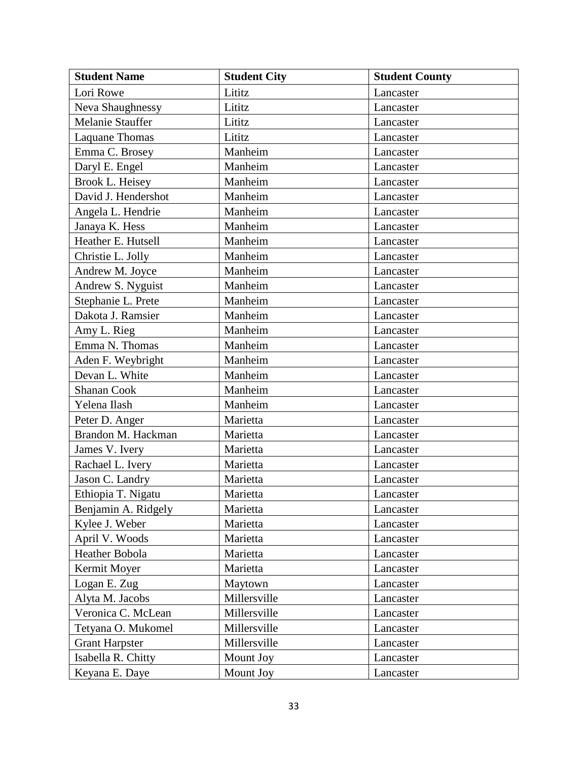| <b>Student Name</b>   | <b>Student City</b> | <b>Student County</b> |
|-----------------------|---------------------|-----------------------|
| Lori Rowe             | Lititz              | Lancaster             |
| Neva Shaughnessy      | Lititz              | Lancaster             |
| Melanie Stauffer      | Lititz              | Lancaster             |
| <b>Laquane Thomas</b> | Lititz              | Lancaster             |
| Emma C. Brosey        | Manheim             | Lancaster             |
| Daryl E. Engel        | Manheim             | Lancaster             |
| Brook L. Heisey       | Manheim             | Lancaster             |
| David J. Hendershot   | Manheim             | Lancaster             |
| Angela L. Hendrie     | Manheim             | Lancaster             |
| Janaya K. Hess        | Manheim             | Lancaster             |
| Heather E. Hutsell    | Manheim             | Lancaster             |
| Christie L. Jolly     | Manheim             | Lancaster             |
| Andrew M. Joyce       | Manheim             | Lancaster             |
| Andrew S. Nyguist     | Manheim             | Lancaster             |
| Stephanie L. Prete    | Manheim             | Lancaster             |
| Dakota J. Ramsier     | Manheim             | Lancaster             |
| Amy L. Rieg           | Manheim             | Lancaster             |
| Emma N. Thomas        | Manheim             | Lancaster             |
| Aden F. Weybright     | Manheim             | Lancaster             |
| Devan L. White        | Manheim             | Lancaster             |
| Shanan Cook           | Manheim             | Lancaster             |
| Yelena Ilash          | Manheim             | Lancaster             |
| Peter D. Anger        | Marietta            | Lancaster             |
| Brandon M. Hackman    | Marietta            | Lancaster             |
| James V. Ivery        | Marietta            | Lancaster             |
| Rachael L. Ivery      | Marietta            | Lancaster             |
| Jason C. Landry       | Marietta            | Lancaster             |
| Ethiopia T. Nigatu    | Marietta            | Lancaster             |
| Benjamin A. Ridgely   | Marietta            | Lancaster             |
| Kylee J. Weber        | Marietta            | Lancaster             |
| April V. Woods        | Marietta            | Lancaster             |
| Heather Bobola        | Marietta            | Lancaster             |
| Kermit Moyer          | Marietta            | Lancaster             |
| Logan E. Zug          | Maytown             | Lancaster             |
| Alyta M. Jacobs       | Millersville        | Lancaster             |
| Veronica C. McLean    | Millersville        | Lancaster             |
| Tetyana O. Mukomel    | Millersville        | Lancaster             |
| <b>Grant Harpster</b> | Millersville        | Lancaster             |
| Isabella R. Chitty    | Mount Joy           | Lancaster             |
| Keyana E. Daye        | Mount Joy           | Lancaster             |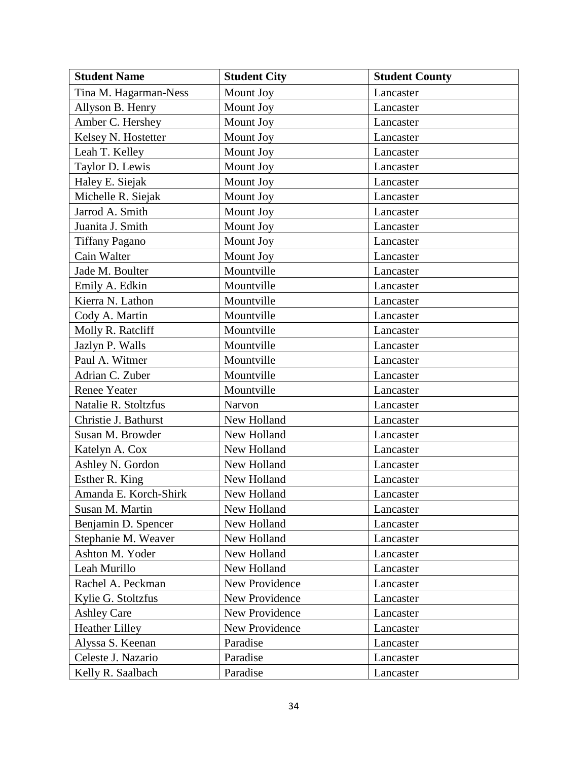| <b>Student Name</b>   | <b>Student City</b> | <b>Student County</b> |
|-----------------------|---------------------|-----------------------|
| Tina M. Hagarman-Ness | Mount Joy           | Lancaster             |
| Allyson B. Henry      | Mount Joy           | Lancaster             |
| Amber C. Hershey      | Mount Joy           | Lancaster             |
| Kelsey N. Hostetter   | Mount Joy           | Lancaster             |
| Leah T. Kelley        | Mount Joy           | Lancaster             |
| Taylor D. Lewis       | Mount Joy           | Lancaster             |
| Haley E. Siejak       | Mount Joy           | Lancaster             |
| Michelle R. Siejak    | Mount Joy           | Lancaster             |
| Jarrod A. Smith       | Mount Joy           | Lancaster             |
| Juanita J. Smith      | Mount Joy           | Lancaster             |
| <b>Tiffany Pagano</b> | Mount Joy           | Lancaster             |
| Cain Walter           | Mount Joy           | Lancaster             |
| Jade M. Boulter       | Mountville          | Lancaster             |
| Emily A. Edkin        | Mountville          | Lancaster             |
| Kierra N. Lathon      | Mountville          | Lancaster             |
| Cody A. Martin        | Mountville          | Lancaster             |
| Molly R. Ratcliff     | Mountville          | Lancaster             |
| Jazlyn P. Walls       | Mountville          | Lancaster             |
| Paul A. Witmer        | Mountville          | Lancaster             |
| Adrian C. Zuber       | Mountville          | Lancaster             |
| <b>Renee Yeater</b>   | Mountville          | Lancaster             |
| Natalie R. Stoltzfus  | Narvon              | Lancaster             |
| Christie J. Bathurst  | New Holland         | Lancaster             |
| Susan M. Browder      | New Holland         | Lancaster             |
| Katelyn A. Cox        | New Holland         | Lancaster             |
| Ashley N. Gordon      | New Holland         | Lancaster             |
| Esther R. King        | New Holland         | Lancaster             |
| Amanda E. Korch-Shirk | New Holland         | Lancaster             |
| Susan M. Martin       | New Holland         | Lancaster             |
| Benjamin D. Spencer   | New Holland         | Lancaster             |
| Stephanie M. Weaver   | New Holland         | Lancaster             |
| Ashton M. Yoder       | New Holland         | Lancaster             |
| Leah Murillo          | New Holland         | Lancaster             |
| Rachel A. Peckman     | New Providence      | Lancaster             |
| Kylie G. Stoltzfus    | New Providence      | Lancaster             |
| <b>Ashley Care</b>    | New Providence      | Lancaster             |
| <b>Heather Lilley</b> | New Providence      | Lancaster             |
| Alyssa S. Keenan      | Paradise            | Lancaster             |
| Celeste J. Nazario    | Paradise            | Lancaster             |
| Kelly R. Saalbach     | Paradise            | Lancaster             |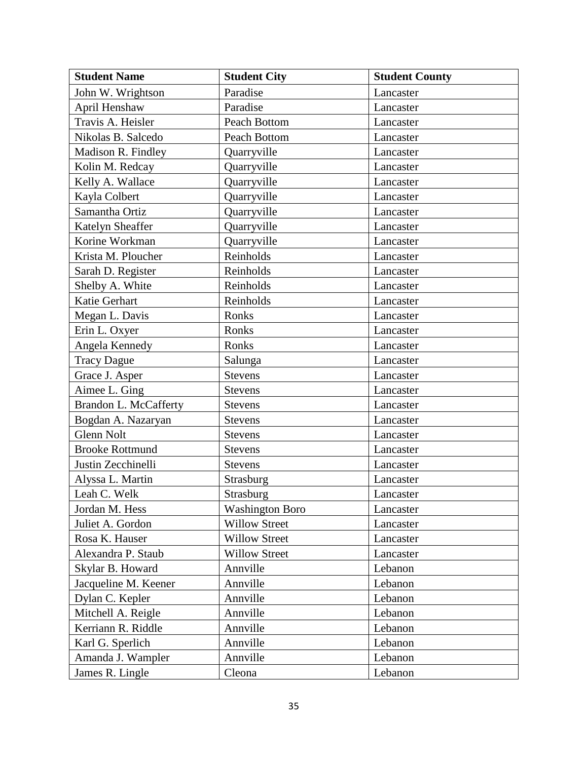| <b>Student Name</b>     | <b>Student City</b>    | <b>Student County</b> |
|-------------------------|------------------------|-----------------------|
| John W. Wrightson       | Paradise               | Lancaster             |
| April Henshaw           | Paradise               | Lancaster             |
| Travis A. Heisler       | Peach Bottom           | Lancaster             |
| Nikolas B. Salcedo      | Peach Bottom           | Lancaster             |
| Madison R. Findley      | Quarryville            | Lancaster             |
| Kolin M. Redcay         | Quarryville            | Lancaster             |
| Kelly A. Wallace        | Quarryville            | Lancaster             |
| Kayla Colbert           | Quarryville            | Lancaster             |
| Samantha Ortiz          | Quarryville            | Lancaster             |
| <b>Katelyn Sheaffer</b> | Quarryville            | Lancaster             |
| Korine Workman          | Quarryville            | Lancaster             |
| Krista M. Ploucher      | Reinholds              | Lancaster             |
| Sarah D. Register       | Reinholds              | Lancaster             |
| Shelby A. White         | Reinholds              | Lancaster             |
| Katie Gerhart           | Reinholds              | Lancaster             |
| Megan L. Davis          | Ronks                  | Lancaster             |
| Erin L. Oxyer           | Ronks                  | Lancaster             |
| Angela Kennedy          | Ronks                  | Lancaster             |
| <b>Tracy Dague</b>      | Salunga                | Lancaster             |
| Grace J. Asper          | <b>Stevens</b>         | Lancaster             |
| Aimee L. Ging           | <b>Stevens</b>         | Lancaster             |
| Brandon L. McCafferty   | <b>Stevens</b>         | Lancaster             |
| Bogdan A. Nazaryan      | <b>Stevens</b>         | Lancaster             |
| <b>Glenn Nolt</b>       | <b>Stevens</b>         | Lancaster             |
| <b>Brooke Rottmund</b>  | <b>Stevens</b>         | Lancaster             |
| Justin Zecchinelli      | <b>Stevens</b>         | Lancaster             |
| Alyssa L. Martin        | Strasburg              | Lancaster             |
| Leah C. Welk            | Strasburg              | Lancaster             |
| Jordan M. Hess          | <b>Washington Boro</b> | Lancaster             |
| Juliet A. Gordon        | <b>Willow Street</b>   | Lancaster             |
| Rosa K. Hauser          | <b>Willow Street</b>   | Lancaster             |
| Alexandra P. Staub      | <b>Willow Street</b>   | Lancaster             |
| Skylar B. Howard        | Annville               | Lebanon               |
| Jacqueline M. Keener    | Annville               | Lebanon               |
| Dylan C. Kepler         | Annville               | Lebanon               |
| Mitchell A. Reigle      | Annville               | Lebanon               |
| Kerriann R. Riddle      | Annville               | Lebanon               |
| Karl G. Sperlich        | Annville               | Lebanon               |
| Amanda J. Wampler       | Annville               | Lebanon               |
| James R. Lingle         | Cleona                 | Lebanon               |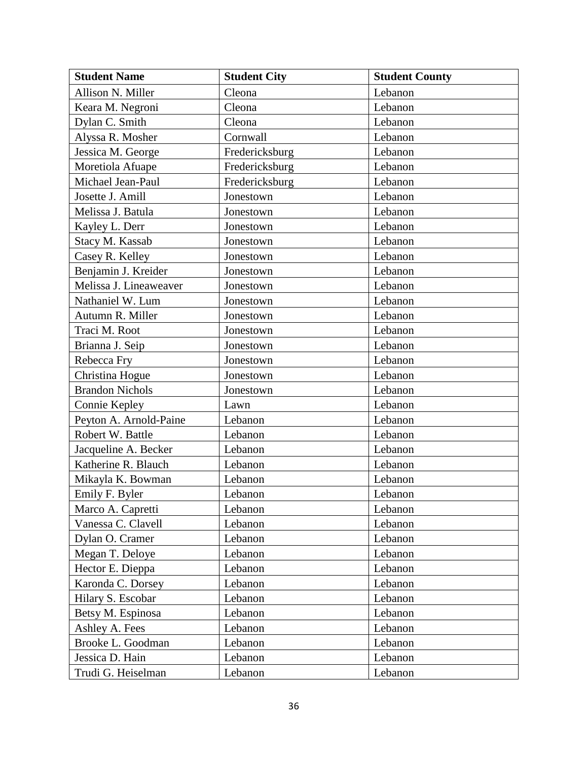| <b>Student Name</b>    | <b>Student City</b> | <b>Student County</b> |
|------------------------|---------------------|-----------------------|
| Allison N. Miller      | Cleona              | Lebanon               |
| Keara M. Negroni       | Cleona              | Lebanon               |
| Dylan C. Smith         | Cleona              | Lebanon               |
| Alyssa R. Mosher       | Cornwall            | Lebanon               |
| Jessica M. George      | Fredericksburg      | Lebanon               |
| Moretiola Afuape       | Fredericksburg      | Lebanon               |
| Michael Jean-Paul      | Fredericksburg      | Lebanon               |
| Josette J. Amill       | Jonestown           | Lebanon               |
| Melissa J. Batula      | Jonestown           | Lebanon               |
| Kayley L. Derr         | Jonestown           | Lebanon               |
| Stacy M. Kassab        | Jonestown           | Lebanon               |
| Casey R. Kelley        | Jonestown           | Lebanon               |
| Benjamin J. Kreider    | Jonestown           | Lebanon               |
| Melissa J. Lineaweaver | Jonestown           | Lebanon               |
| Nathaniel W. Lum       | Jonestown           | Lebanon               |
| Autumn R. Miller       | Jonestown           | Lebanon               |
| Traci M. Root          | Jonestown           | Lebanon               |
| Brianna J. Seip        | Jonestown           | Lebanon               |
| Rebecca Fry            | Jonestown           | Lebanon               |
| Christina Hogue        | Jonestown           | Lebanon               |
| <b>Brandon Nichols</b> | Jonestown           | Lebanon               |
| Connie Kepley          | Lawn                | Lebanon               |
| Peyton A. Arnold-Paine | Lebanon             | Lebanon               |
| Robert W. Battle       | Lebanon             | Lebanon               |
| Jacqueline A. Becker   | Lebanon             | Lebanon               |
| Katherine R. Blauch    | Lebanon             | Lebanon               |
| Mikayla K. Bowman      | Lebanon             | Lebanon               |
| Emily F. Byler         | Lebanon             | Lebanon               |
| Marco A. Capretti      | Lebanon             | Lebanon               |
| Vanessa C. Clavell     | Lebanon             | Lebanon               |
| Dylan O. Cramer        | Lebanon             | Lebanon               |
| Megan T. Deloye        | Lebanon             | Lebanon               |
| Hector E. Dieppa       | Lebanon             | Lebanon               |
| Karonda C. Dorsey      | Lebanon             | Lebanon               |
| Hilary S. Escobar      | Lebanon             | Lebanon               |
| Betsy M. Espinosa      | Lebanon             | Lebanon               |
| Ashley A. Fees         | Lebanon             | Lebanon               |
| Brooke L. Goodman      | Lebanon             | Lebanon               |
| Jessica D. Hain        | Lebanon             | Lebanon               |
| Trudi G. Heiselman     | Lebanon             | Lebanon               |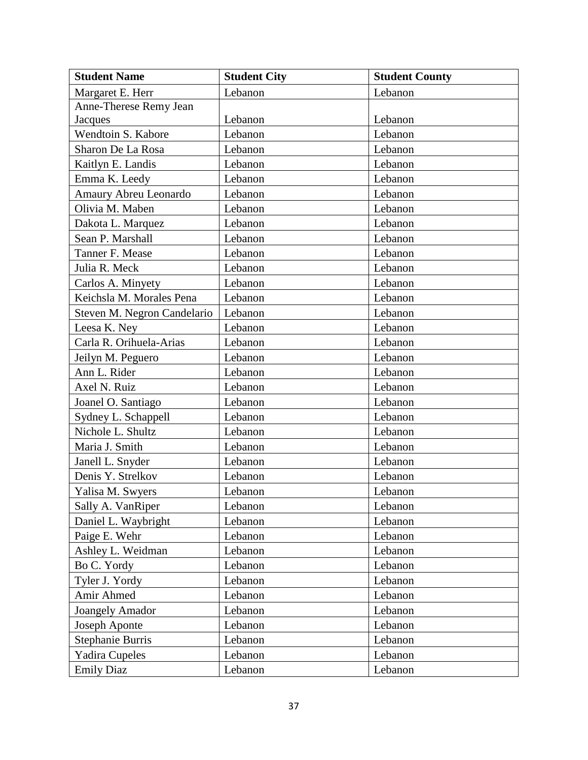| <b>Student Name</b>         | <b>Student City</b> | <b>Student County</b> |
|-----------------------------|---------------------|-----------------------|
| Margaret E. Herr            | Lebanon             | Lebanon               |
| Anne-Therese Remy Jean      |                     |                       |
| Jacques                     | Lebanon             | Lebanon               |
| Wendtoin S. Kabore          | Lebanon             | Lebanon               |
| Sharon De La Rosa           | Lebanon             | Lebanon               |
| Kaitlyn E. Landis           | Lebanon             | Lebanon               |
| Emma K. Leedy               | Lebanon             | Lebanon               |
| Amaury Abreu Leonardo       | Lebanon             | Lebanon               |
| Olivia M. Maben             | Lebanon             | Lebanon               |
| Dakota L. Marquez           | Lebanon             | Lebanon               |
| Sean P. Marshall            | Lebanon             | Lebanon               |
| Tanner F. Mease             | Lebanon             | Lebanon               |
| Julia R. Meck               | Lebanon             | Lebanon               |
| Carlos A. Minyety           | Lebanon             | Lebanon               |
| Keichsla M. Morales Pena    | Lebanon             | Lebanon               |
| Steven M. Negron Candelario | Lebanon             | Lebanon               |
| Leesa K. Ney                | Lebanon             | Lebanon               |
| Carla R. Orihuela-Arias     | Lebanon             | Lebanon               |
| Jeilyn M. Peguero           | Lebanon             | Lebanon               |
| Ann L. Rider                | Lebanon             | Lebanon               |
| Axel N. Ruiz                | Lebanon             | Lebanon               |
| Joanel O. Santiago          | Lebanon             | Lebanon               |
| Sydney L. Schappell         | Lebanon             | Lebanon               |
| Nichole L. Shultz           | Lebanon             | Lebanon               |
| Maria J. Smith              | Lebanon             | Lebanon               |
| Janell L. Snyder            | Lebanon             | Lebanon               |
| Denis Y. Strelkov           | Lebanon             | Lebanon               |
| Yalisa M. Swyers            | Lebanon             | Lebanon               |
| Sally A. VanRiper           | Lebanon             | Lebanon               |
| Daniel L. Waybright         | Lebanon             | Lebanon               |
| Paige E. Wehr               | Lebanon             | Lebanon               |
| Ashley L. Weidman           | Lebanon             | Lebanon               |
| Bo C. Yordy                 | Lebanon             | Lebanon               |
| Tyler J. Yordy              | Lebanon             | Lebanon               |
| Amir Ahmed                  | Lebanon             | Lebanon               |
| <b>Joangely Amador</b>      | Lebanon             | Lebanon               |
| Joseph Aponte               | Lebanon             | Lebanon               |
| <b>Stephanie Burris</b>     | Lebanon             | Lebanon               |
| <b>Yadira Cupeles</b>       | Lebanon             | Lebanon               |
| <b>Emily Diaz</b>           | Lebanon             | Lebanon               |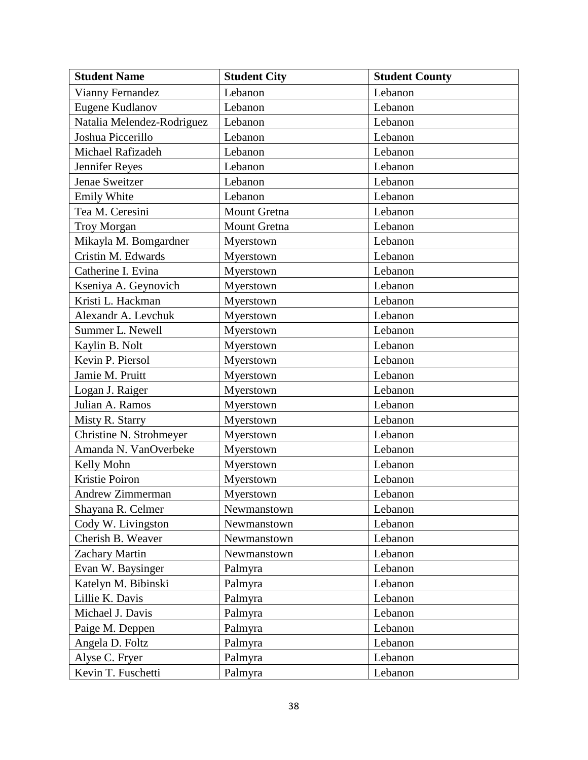| <b>Student Name</b>        | <b>Student City</b> | <b>Student County</b> |
|----------------------------|---------------------|-----------------------|
| Vianny Fernandez           | Lebanon             | Lebanon               |
| Eugene Kudlanov            | Lebanon             | Lebanon               |
| Natalia Melendez-Rodriguez | Lebanon             | Lebanon               |
| Joshua Piccerillo          | Lebanon             | Lebanon               |
| Michael Rafizadeh          | Lebanon             | Lebanon               |
| Jennifer Reyes             | Lebanon             | Lebanon               |
| Jenae Sweitzer             | Lebanon             | Lebanon               |
| <b>Emily White</b>         | Lebanon             | Lebanon               |
| Tea M. Ceresini            | Mount Gretna        | Lebanon               |
| <b>Troy Morgan</b>         | Mount Gretna        | Lebanon               |
| Mikayla M. Bomgardner      | Myerstown           | Lebanon               |
| Cristin M. Edwards         | Myerstown           | Lebanon               |
| Catherine I. Evina         | Myerstown           | Lebanon               |
| Kseniya A. Geynovich       | Myerstown           | Lebanon               |
| Kristi L. Hackman          | Myerstown           | Lebanon               |
| Alexandr A. Levchuk        | Myerstown           | Lebanon               |
| Summer L. Newell           | Myerstown           | Lebanon               |
| Kaylin B. Nolt             | Myerstown           | Lebanon               |
| Kevin P. Piersol           | Myerstown           | Lebanon               |
| Jamie M. Pruitt            | Myerstown           | Lebanon               |
| Logan J. Raiger            | Myerstown           | Lebanon               |
| Julian A. Ramos            | Myerstown           | Lebanon               |
| Misty R. Starry            | Myerstown           | Lebanon               |
| Christine N. Strohmeyer    | Myerstown           | Lebanon               |
| Amanda N. VanOverbeke      | Myerstown           | Lebanon               |
| Kelly Mohn                 | Myerstown           | Lebanon               |
| Kristie Poiron             | Myerstown           | Lebanon               |
| Andrew Zimmerman           | Myerstown           | Lebanon               |
| Shayana R. Celmer          | Newmanstown         | Lebanon               |
| Cody W. Livingston         | Newmanstown         | Lebanon               |
| Cherish B. Weaver          | Newmanstown         | Lebanon               |
| <b>Zachary Martin</b>      | Newmanstown         | Lebanon               |
| Evan W. Baysinger          | Palmyra             | Lebanon               |
| Katelyn M. Bibinski        | Palmyra             | Lebanon               |
| Lillie K. Davis            | Palmyra             | Lebanon               |
| Michael J. Davis           | Palmyra             | Lebanon               |
| Paige M. Deppen            | Palmyra             | Lebanon               |
| Angela D. Foltz            | Palmyra             | Lebanon               |
| Alyse C. Fryer             | Palmyra             | Lebanon               |
| Kevin T. Fuschetti         | Palmyra             | Lebanon               |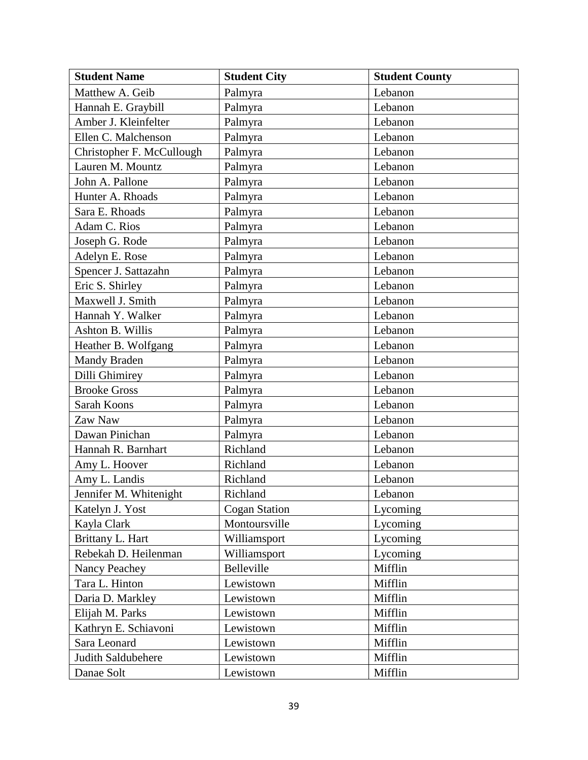| <b>Student Name</b>       | <b>Student City</b>  | <b>Student County</b> |
|---------------------------|----------------------|-----------------------|
| Matthew A. Geib           | Palmyra              | Lebanon               |
| Hannah E. Graybill        | Palmyra              | Lebanon               |
| Amber J. Kleinfelter      | Palmyra              | Lebanon               |
| Ellen C. Malchenson       | Palmyra              | Lebanon               |
| Christopher F. McCullough | Palmyra              | Lebanon               |
| Lauren M. Mountz          | Palmyra              | Lebanon               |
| John A. Pallone           | Palmyra              | Lebanon               |
| Hunter A. Rhoads          | Palmyra              | Lebanon               |
| Sara E. Rhoads            | Palmyra              | Lebanon               |
| Adam C. Rios              | Palmyra              | Lebanon               |
| Joseph G. Rode            | Palmyra              | Lebanon               |
| Adelyn E. Rose            | Palmyra              | Lebanon               |
| Spencer J. Sattazahn      | Palmyra              | Lebanon               |
| Eric S. Shirley           | Palmyra              | Lebanon               |
| Maxwell J. Smith          | Palmyra              | Lebanon               |
| Hannah Y. Walker          | Palmyra              | Lebanon               |
| Ashton B. Willis          | Palmyra              | Lebanon               |
| Heather B. Wolfgang       | Palmyra              | Lebanon               |
| Mandy Braden              | Palmyra              | Lebanon               |
| Dilli Ghimirey            | Palmyra              | Lebanon               |
| <b>Brooke Gross</b>       | Palmyra              | Lebanon               |
| Sarah Koons               | Palmyra              | Lebanon               |
| Zaw Naw                   | Palmyra              | Lebanon               |
| Dawan Pinichan            | Palmyra              | Lebanon               |
| Hannah R. Barnhart        | Richland             | Lebanon               |
| Amy L. Hoover             | Richland             | Lebanon               |
| Amy L. Landis             | Richland             | Lebanon               |
| Jennifer M. Whitenight    | Richland             | Lebanon               |
| Katelyn J. Yost           | <b>Cogan Station</b> | Lycoming              |
| Kayla Clark               | Montoursville        | Lycoming              |
| Brittany L. Hart          | Williamsport         | Lycoming              |
| Rebekah D. Heilenman      | Williamsport         | Lycoming              |
| Nancy Peachey             | Belleville           | Mifflin               |
| Tara L. Hinton            | Lewistown            | Mifflin               |
| Daria D. Markley          | Lewistown            | Mifflin               |
| Elijah M. Parks           | Lewistown            | Mifflin               |
| Kathryn E. Schiavoni      | Lewistown            | Mifflin               |
| Sara Leonard              | Lewistown            | Mifflin               |
| Judith Saldubehere        | Lewistown            | Mifflin               |
| Danae Solt                | Lewistown            | Mifflin               |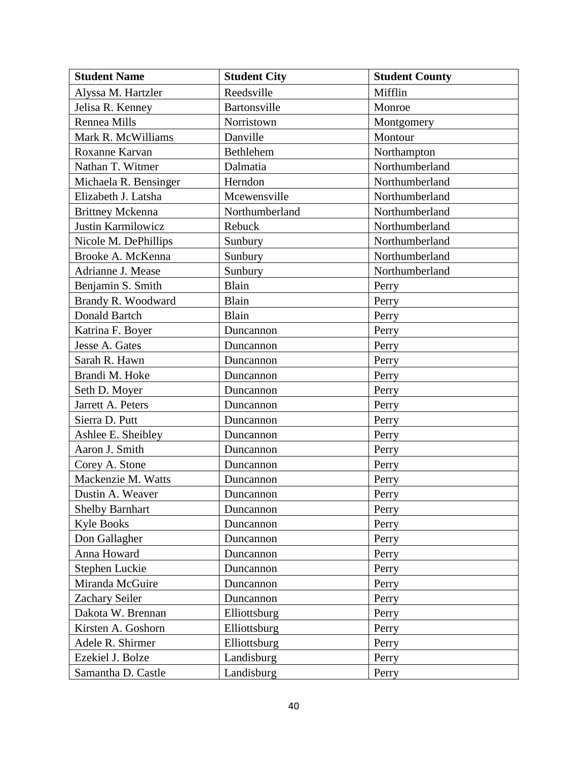| <b>Student Name</b>     | <b>Student City</b> | <b>Student County</b> |
|-------------------------|---------------------|-----------------------|
| Alyssa M. Hartzler      | Reedsville          | Mifflin               |
| Jelisa R. Kenney        | Bartonsville        | Monroe                |
| <b>Rennea Mills</b>     | Norristown          | Montgomery            |
| Mark R. McWilliams      | Danville            | Montour               |
| Roxanne Karvan          | Bethlehem           | Northampton           |
| Nathan T. Witmer        | Dalmatia            | Northumberland        |
| Michaela R. Bensinger   | Herndon             | Northumberland        |
| Elizabeth J. Latsha     | Mcewensville        | Northumberland        |
| <b>Brittney Mckenna</b> | Northumberland      | Northumberland        |
| Justin Karmilowicz      | Rebuck              | Northumberland        |
| Nicole M. DePhillips    | Sunbury             | Northumberland        |
| Brooke A. McKenna       | Sunbury             | Northumberland        |
| Adrianne J. Mease       | Sunbury             | Northumberland        |
| Benjamin S. Smith       | Blain               | Perry                 |
| Brandy R. Woodward      | Blain               | Perry                 |
| Donald Bartch           | Blain               | Perry                 |
| Katrina F. Boyer        | Duncannon           | Perry                 |
| Jesse A. Gates          | Duncannon           | Perry                 |
| Sarah R. Hawn           | Duncannon           | Perry                 |
| Brandi M. Hoke          | Duncannon           | Perry                 |
| Seth D. Moyer           | Duncannon           | Perry                 |
| Jarrett A. Peters       | Duncannon           | Perry                 |
| Sierra D. Putt          | Duncannon           | Perry                 |
| Ashlee E. Sheibley      | Duncannon           | Perry                 |
| Aaron J. Smith          | Duncannon           | Perry                 |
| Corey A. Stone          | Duncannon           | Perry                 |
| Mackenzie M. Watts      | Duncannon           | Perry                 |
| Dustin A. Weaver        | Duncannon           | Perry                 |
| <b>Shelby Barnhart</b>  | Duncannon           | Perry                 |
| <b>Kyle Books</b>       | Duncannon           | Perry                 |
| Don Gallagher           | Duncannon           | Perry                 |
| Anna Howard             | Duncannon           | Perry                 |
| Stephen Luckie          | Duncannon           | Perry                 |
| Miranda McGuire         | Duncannon           | Perry                 |
| Zachary Seiler          | Duncannon           | Perry                 |
| Dakota W. Brennan       | Elliottsburg        | Perry                 |
| Kirsten A. Goshorn      | Elliottsburg        | Perry                 |
| Adele R. Shirmer        | Elliottsburg        | Perry                 |
| Ezekiel J. Bolze        | Landisburg          | Perry                 |
| Samantha D. Castle      | Landisburg          | Perry                 |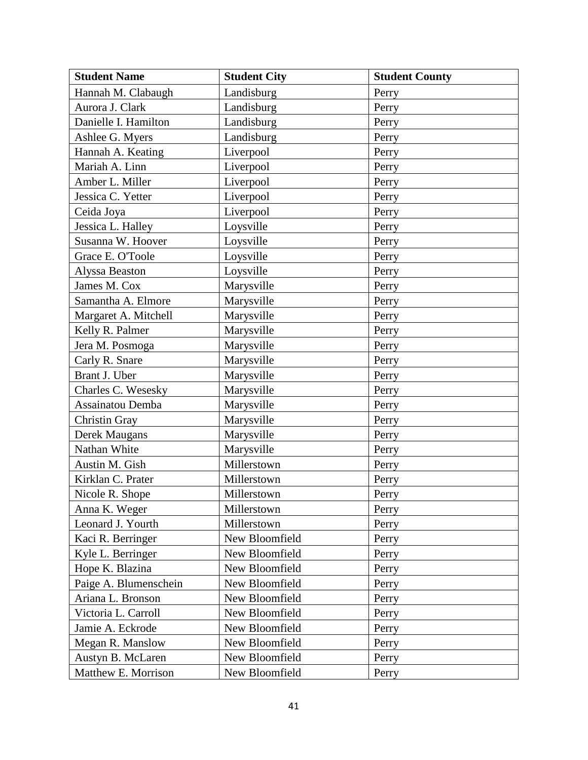| <b>Student Name</b>   | <b>Student City</b> | <b>Student County</b> |
|-----------------------|---------------------|-----------------------|
| Hannah M. Clabaugh    | Landisburg          | Perry                 |
| Aurora J. Clark       | Landisburg          | Perry                 |
| Danielle I. Hamilton  | Landisburg          | Perry                 |
| Ashlee G. Myers       | Landisburg          | Perry                 |
| Hannah A. Keating     | Liverpool           | Perry                 |
| Mariah A. Linn        | Liverpool           | Perry                 |
| Amber L. Miller       | Liverpool           | Perry                 |
| Jessica C. Yetter     | Liverpool           | Perry                 |
| Ceida Joya            | Liverpool           | Perry                 |
| Jessica L. Halley     | Loysville           | Perry                 |
| Susanna W. Hoover     | Loysville           | Perry                 |
| Grace E. O'Toole      | Loysville           | Perry                 |
| Alyssa Beaston        | Loysville           | Perry                 |
| James M. Cox          | Marysville          | Perry                 |
| Samantha A. Elmore    | Marysville          | Perry                 |
| Margaret A. Mitchell  | Marysville          | Perry                 |
| Kelly R. Palmer       | Marysville          | Perry                 |
| Jera M. Posmoga       | Marysville          | Perry                 |
| Carly R. Snare        | Marysville          | Perry                 |
| Brant J. Uber         | Marysville          | Perry                 |
| Charles C. Wesesky    | Marysville          | Perry                 |
| Assainatou Demba      | Marysville          | Perry                 |
| Christin Gray         | Marysville          | Perry                 |
| Derek Maugans         | Marysville          | Perry                 |
| Nathan White          | Marysville          | Perry                 |
| Austin M. Gish        | Millerstown         | Perry                 |
| Kirklan C. Prater     | Millerstown         | Perry                 |
| Nicole R. Shope       | Millerstown         | Perry                 |
| Anna K. Weger         | Millerstown         | Perry                 |
| Leonard J. Yourth     | Millerstown         | Perry                 |
| Kaci R. Berringer     | New Bloomfield      | Perry                 |
| Kyle L. Berringer     | New Bloomfield      | Perry                 |
| Hope K. Blazina       | New Bloomfield      | Perry                 |
| Paige A. Blumenschein | New Bloomfield      | Perry                 |
| Ariana L. Bronson     | New Bloomfield      | Perry                 |
| Victoria L. Carroll   | New Bloomfield      | Perry                 |
| Jamie A. Eckrode      | New Bloomfield      | Perry                 |
| Megan R. Manslow      | New Bloomfield      | Perry                 |
| Austyn B. McLaren     | New Bloomfield      | Perry                 |
| Matthew E. Morrison   | New Bloomfield      | Perry                 |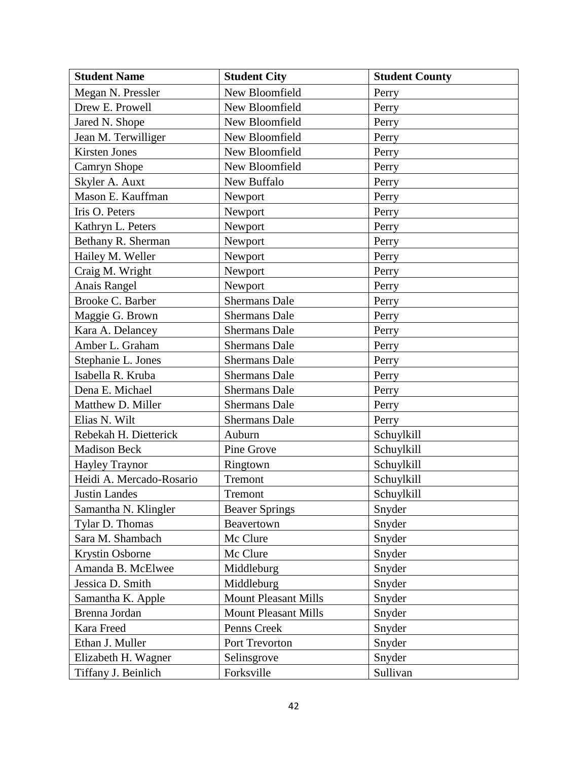| <b>Student Name</b>      | <b>Student City</b>         | <b>Student County</b> |
|--------------------------|-----------------------------|-----------------------|
| Megan N. Pressler        | New Bloomfield              | Perry                 |
| Drew E. Prowell          | New Bloomfield              | Perry                 |
| Jared N. Shope           | New Bloomfield              | Perry                 |
| Jean M. Terwilliger      | New Bloomfield              | Perry                 |
| <b>Kirsten Jones</b>     | New Bloomfield              | Perry                 |
| Camryn Shope             | New Bloomfield              | Perry                 |
| Skyler A. Auxt           | New Buffalo                 | Perry                 |
| Mason E. Kauffman        | Newport                     | Perry                 |
| Iris O. Peters           | Newport                     | Perry                 |
| Kathryn L. Peters        | Newport                     | Perry                 |
| Bethany R. Sherman       | Newport                     | Perry                 |
| Hailey M. Weller         | Newport                     | Perry                 |
| Craig M. Wright          | Newport                     | Perry                 |
| Anais Rangel             | Newport                     | Perry                 |
| Brooke C. Barber         | <b>Shermans Dale</b>        | Perry                 |
| Maggie G. Brown          | <b>Shermans Dale</b>        | Perry                 |
| Kara A. Delancey         | <b>Shermans Dale</b>        | Perry                 |
| Amber L. Graham          | <b>Shermans Dale</b>        | Perry                 |
| Stephanie L. Jones       | <b>Shermans Dale</b>        | Perry                 |
| Isabella R. Kruba        | <b>Shermans Dale</b>        | Perry                 |
| Dena E. Michael          | <b>Shermans Dale</b>        | Perry                 |
| Matthew D. Miller        | <b>Shermans Dale</b>        | Perry                 |
| Elias N. Wilt            | <b>Shermans Dale</b>        | Perry                 |
| Rebekah H. Dietterick    | Auburn                      | Schuylkill            |
| <b>Madison Beck</b>      | Pine Grove                  | Schuylkill            |
| <b>Hayley Traynor</b>    | Ringtown                    | Schuylkill            |
| Heidi A. Mercado-Rosario | Tremont                     | Schuylkill            |
| <b>Justin Landes</b>     | Tremont                     | Schuylkill            |
| Samantha N. Klingler     | <b>Beaver Springs</b>       | Snyder                |
| Tylar D. Thomas          | Beavertown                  | Snyder                |
| Sara M. Shambach         | Mc Clure                    | Snyder                |
| <b>Krystin Osborne</b>   | Mc Clure                    | Snyder                |
| Amanda B. McElwee        | Middleburg                  | Snyder                |
| Jessica D. Smith         | Middleburg                  | Snyder                |
| Samantha K. Apple        | <b>Mount Pleasant Mills</b> | Snyder                |
| Brenna Jordan            | <b>Mount Pleasant Mills</b> | Snyder                |
| Kara Freed               | Penns Creek                 | Snyder                |
| Ethan J. Muller          | Port Trevorton              | Snyder                |
| Elizabeth H. Wagner      | Selinsgrove                 | Snyder                |
| Tiffany J. Beinlich      | Forksville                  | Sullivan              |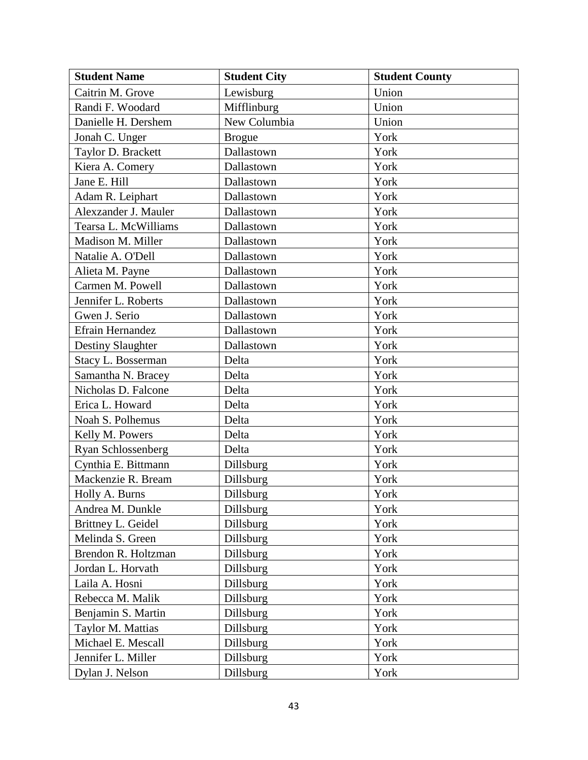| <b>Student Name</b>  | <b>Student City</b> | <b>Student County</b> |
|----------------------|---------------------|-----------------------|
| Caitrin M. Grove     | Lewisburg           | Union                 |
| Randi F. Woodard     | Mifflinburg         | Union                 |
| Danielle H. Dershem  | New Columbia        | Union                 |
| Jonah C. Unger       | <b>Brogue</b>       | York                  |
| Taylor D. Brackett   | Dallastown          | York                  |
| Kiera A. Comery      | Dallastown          | York                  |
| Jane E. Hill         | Dallastown          | York                  |
| Adam R. Leiphart     | Dallastown          | York                  |
| Alexzander J. Mauler | Dallastown          | York                  |
| Tearsa L. McWilliams | Dallastown          | York                  |
| Madison M. Miller    | Dallastown          | York                  |
| Natalie A. O'Dell    | Dallastown          | York                  |
| Alieta M. Payne      | Dallastown          | York                  |
| Carmen M. Powell     | Dallastown          | York                  |
| Jennifer L. Roberts  | Dallastown          | York                  |
| Gwen J. Serio        | Dallastown          | York                  |
| Efrain Hernandez     | Dallastown          | York                  |
| Destiny Slaughter    | Dallastown          | York                  |
| Stacy L. Bosserman   | Delta               | York                  |
| Samantha N. Bracey   | Delta               | York                  |
| Nicholas D. Falcone  | Delta               | York                  |
| Erica L. Howard      | Delta               | York                  |
| Noah S. Polhemus     | Delta               | York                  |
| Kelly M. Powers      | Delta               | York                  |
| Ryan Schlossenberg   | Delta               | York                  |
| Cynthia E. Bittmann  | Dillsburg           | York                  |
| Mackenzie R. Bream   | Dillsburg           | York                  |
| Holly A. Burns       | Dillsburg           | York                  |
| Andrea M. Dunkle     | Dillsburg           | York                  |
| Brittney L. Geidel   | Dillsburg           | York                  |
| Melinda S. Green     | Dillsburg           | York                  |
| Brendon R. Holtzman  | <b>Dillsburg</b>    | York                  |
| Jordan L. Horvath    | Dillsburg           | York                  |
| Laila A. Hosni       | Dillsburg           | York                  |
| Rebecca M. Malik     | Dillsburg           | York                  |
| Benjamin S. Martin   | Dillsburg           | York                  |
| Taylor M. Mattias    | Dillsburg           | York                  |
| Michael E. Mescall   | Dillsburg           | York                  |
| Jennifer L. Miller   | Dillsburg           | York                  |
| Dylan J. Nelson      | Dillsburg           | York                  |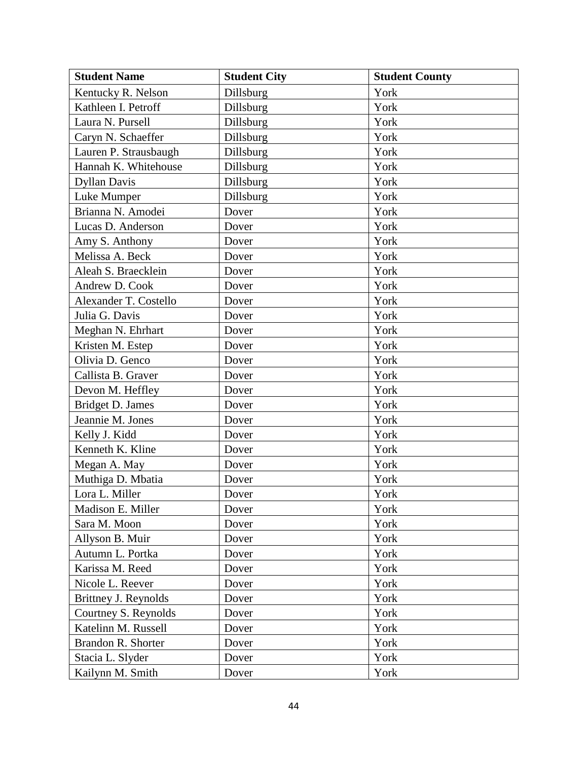| <b>Student Name</b>   | <b>Student City</b> | <b>Student County</b> |
|-----------------------|---------------------|-----------------------|
| Kentucky R. Nelson    | Dillsburg           | York                  |
| Kathleen I. Petroff   | Dillsburg           | York                  |
| Laura N. Pursell      | Dillsburg           | York                  |
| Caryn N. Schaeffer    | Dillsburg           | York                  |
| Lauren P. Strausbaugh | Dillsburg           | York                  |
| Hannah K. Whitehouse  | Dillsburg           | York                  |
| <b>Dyllan Davis</b>   | Dillsburg           | York                  |
| Luke Mumper           | Dillsburg           | York                  |
| Brianna N. Amodei     | Dover               | York                  |
| Lucas D. Anderson     | Dover               | York                  |
| Amy S. Anthony        | Dover               | York                  |
| Melissa A. Beck       | Dover               | York                  |
| Aleah S. Braecklein   | Dover               | York                  |
| Andrew D. Cook        | Dover               | York                  |
| Alexander T. Costello | Dover               | York                  |
| Julia G. Davis        | Dover               | York                  |
| Meghan N. Ehrhart     | Dover               | York                  |
| Kristen M. Estep      | Dover               | York                  |
| Olivia D. Genco       | Dover               | York                  |
| Callista B. Graver    | Dover               | York                  |
| Devon M. Heffley      | Dover               | York                  |
| Bridget D. James      | Dover               | York                  |
| Jeannie M. Jones      | Dover               | York                  |
| Kelly J. Kidd         | Dover               | York                  |
| Kenneth K. Kline      | Dover               | York                  |
| Megan A. May          | Dover               | York                  |
| Muthiga D. Mbatia     | Dover               | York                  |
| Lora L. Miller        | Dover               | York                  |
| Madison E. Miller     | Dover               | York                  |
| Sara M. Moon          | Dover               | York                  |
| Allyson B. Muir       | Dover               | York                  |
| Autumn L. Portka      | Dover               | York                  |
| Karissa M. Reed       | Dover               | York                  |
| Nicole L. Reever      | Dover               | York                  |
| Brittney J. Reynolds  | Dover               | York                  |
| Courtney S. Reynolds  | Dover               | York                  |
| Katelinn M. Russell   | Dover               | York                  |
| Brandon R. Shorter    | Dover               | York                  |
| Stacia L. Slyder      | Dover               | York                  |
| Kailynn M. Smith      | Dover               | York                  |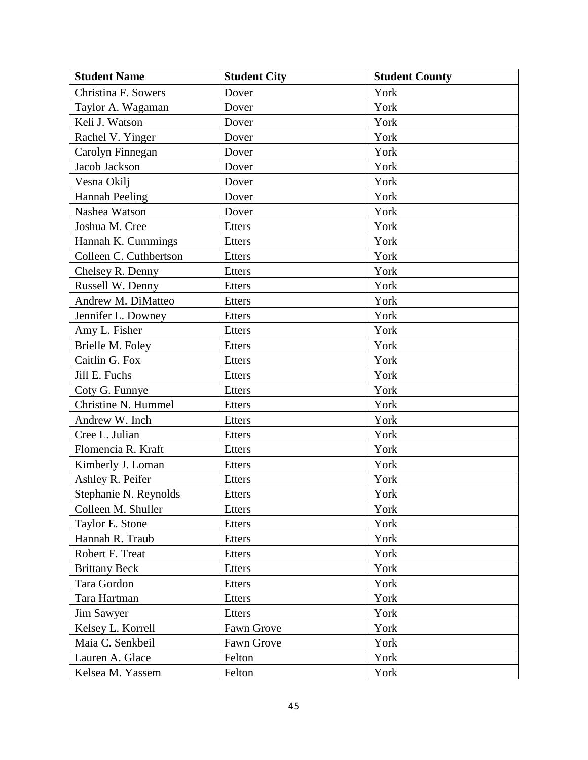| <b>Student Name</b>    | <b>Student City</b> | <b>Student County</b> |
|------------------------|---------------------|-----------------------|
| Christina F. Sowers    | Dover               | York                  |
| Taylor A. Wagaman      | Dover               | York                  |
| Keli J. Watson         | Dover               | York                  |
| Rachel V. Yinger       | Dover               | York                  |
| Carolyn Finnegan       | Dover               | York                  |
| Jacob Jackson          | Dover               | York                  |
| Vesna Okilj            | Dover               | York                  |
| <b>Hannah Peeling</b>  | Dover               | York                  |
| Nashea Watson          | Dover               | York                  |
| Joshua M. Cree         | <b>Etters</b>       | York                  |
| Hannah K. Cummings     | <b>Etters</b>       | York                  |
| Colleen C. Cuthbertson | <b>Etters</b>       | York                  |
| Chelsey R. Denny       | <b>Etters</b>       | York                  |
| Russell W. Denny       | <b>Etters</b>       | York                  |
| Andrew M. DiMatteo     | <b>Etters</b>       | York                  |
| Jennifer L. Downey     | <b>Etters</b>       | York                  |
| Amy L. Fisher          | <b>Etters</b>       | York                  |
| Brielle M. Foley       | <b>Etters</b>       | York                  |
| Caitlin G. Fox         | <b>Etters</b>       | York                  |
| Jill E. Fuchs          | <b>Etters</b>       | York                  |
| Coty G. Funnye         | <b>Etters</b>       | York                  |
| Christine N. Hummel    | <b>Etters</b>       | York                  |
| Andrew W. Inch         | <b>Etters</b>       | York                  |
| Cree L. Julian         | Etters              | York                  |
| Flomencia R. Kraft     | <b>Etters</b>       | York                  |
| Kimberly J. Loman      | Etters              | York                  |
| Ashley R. Peifer       | <b>Etters</b>       | York                  |
| Stephanie N. Reynolds  | <b>Etters</b>       | York                  |
| Colleen M. Shuller     | <b>Etters</b>       | York                  |
| Taylor E. Stone        | <b>Etters</b>       | York                  |
| Hannah R. Traub        | <b>Etters</b>       | York                  |
| Robert F. Treat        | <b>Etters</b>       | York                  |
| <b>Brittany Beck</b>   | <b>Etters</b>       | York                  |
| Tara Gordon            | <b>Etters</b>       | York                  |
| Tara Hartman           | Etters              | York                  |
| <b>Jim Sawyer</b>      | Etters              | York                  |
| Kelsey L. Korrell      | Fawn Grove          | York                  |
| Maia C. Senkbeil       | Fawn Grove          | York                  |
| Lauren A. Glace        | Felton              | York                  |
| Kelsea M. Yassem       | Felton              | York                  |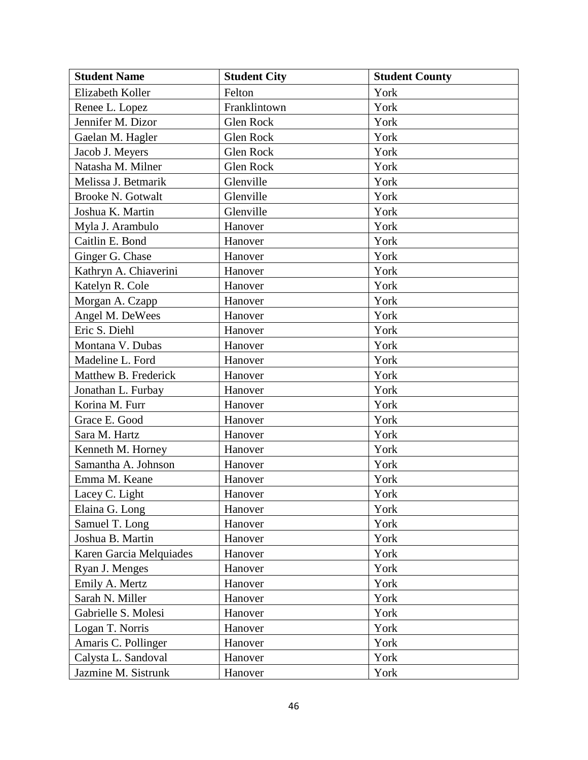| <b>Student Name</b>      | <b>Student City</b> | <b>Student County</b> |
|--------------------------|---------------------|-----------------------|
| Elizabeth Koller         | Felton              | York                  |
| Renee L. Lopez           | Franklintown        | York                  |
| Jennifer M. Dizor        | Glen Rock           | York                  |
| Gaelan M. Hagler         | Glen Rock           | York                  |
| Jacob J. Meyers          | Glen Rock           | York                  |
| Natasha M. Milner        | Glen Rock           | York                  |
| Melissa J. Betmarik      | Glenville           | York                  |
| <b>Brooke N. Gotwalt</b> | Glenville           | York                  |
| Joshua K. Martin         | Glenville           | York                  |
| Myla J. Arambulo         | Hanover             | York                  |
| Caitlin E. Bond          | Hanover             | York                  |
| Ginger G. Chase          | Hanover             | York                  |
| Kathryn A. Chiaverini    | Hanover             | York                  |
| Katelyn R. Cole          | Hanover             | York                  |
| Morgan A. Czapp          | Hanover             | York                  |
| Angel M. DeWees          | Hanover             | York                  |
| Eric S. Diehl            | Hanover             | York                  |
| Montana V. Dubas         | Hanover             | York                  |
| Madeline L. Ford         | Hanover             | York                  |
| Matthew B. Frederick     | Hanover             | York                  |
| Jonathan L. Furbay       | Hanover             | York                  |
| Korina M. Furr           | Hanover             | York                  |
| Grace E. Good            | Hanover             | York                  |
| Sara M. Hartz            | Hanover             | York                  |
| Kenneth M. Horney        | Hanover             | York                  |
| Samantha A. Johnson      | Hanover             | York                  |
| Emma M. Keane            | Hanover             | York                  |
| Lacey C. Light           | Hanover             | York                  |
| Elaina G. Long           | Hanover             | York                  |
| Samuel T. Long           | Hanover             | York                  |
| Joshua B. Martin         | Hanover             | York                  |
| Karen Garcia Melquiades  | Hanover             | York                  |
| Ryan J. Menges           | Hanover             | York                  |
| Emily A. Mertz           | Hanover             | York                  |
| Sarah N. Miller          | Hanover             | York                  |
| Gabrielle S. Molesi      | Hanover             | York                  |
| Logan T. Norris          | Hanover             | York                  |
| Amaris C. Pollinger      | Hanover             | York                  |
| Calysta L. Sandoval      | Hanover             | York                  |
| Jazmine M. Sistrunk      | Hanover             | York                  |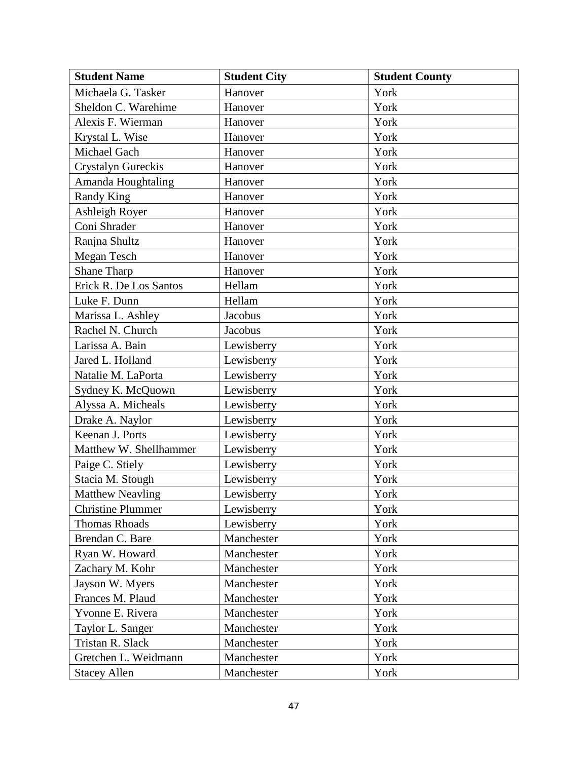| <b>Student Name</b>      | <b>Student City</b> | <b>Student County</b> |
|--------------------------|---------------------|-----------------------|
| Michaela G. Tasker       | Hanover             | York                  |
| Sheldon C. Warehime      | Hanover             | York                  |
| Alexis F. Wierman        | Hanover             | York                  |
| Krystal L. Wise          | Hanover             | York                  |
| Michael Gach             | Hanover             | York                  |
| Crystalyn Gureckis       | Hanover             | York                  |
| Amanda Houghtaling       | Hanover             | York                  |
| <b>Randy King</b>        | Hanover             | York                  |
| Ashleigh Royer           | Hanover             | York                  |
| Coni Shrader             | Hanover             | York                  |
| Ranjna Shultz            | Hanover             | York                  |
| Megan Tesch              | Hanover             | York                  |
| <b>Shane Tharp</b>       | Hanover             | York                  |
| Erick R. De Los Santos   | Hellam              | York                  |
| Luke F. Dunn             | Hellam              | York                  |
| Marissa L. Ashley        | Jacobus             | York                  |
| Rachel N. Church         | Jacobus             | York                  |
| Larissa A. Bain          | Lewisberry          | York                  |
| Jared L. Holland         | Lewisberry          | York                  |
| Natalie M. LaPorta       | Lewisberry          | York                  |
| Sydney K. McQuown        | Lewisberry          | York                  |
| Alyssa A. Micheals       | Lewisberry          | York                  |
| Drake A. Naylor          | Lewisberry          | York                  |
| Keenan J. Ports          | Lewisberry          | York                  |
| Matthew W. Shellhammer   | Lewisberry          | York                  |
| Paige C. Stiely          | Lewisberry          | York                  |
| Stacia M. Stough         | Lewisberry          | York                  |
| <b>Matthew Neavling</b>  | Lewisberry          | York                  |
| <b>Christine Plummer</b> | Lewisberry          | York                  |
| Thomas Rhoads            | Lewisberry          | York                  |
| Brendan C. Bare          | Manchester          | York                  |
| Ryan W. Howard           | Manchester          | York                  |
| Zachary M. Kohr          | Manchester          | York                  |
| Jayson W. Myers          | Manchester          | York                  |
| Frances M. Plaud         | Manchester          | York                  |
| Yvonne E. Rivera         | Manchester          | York                  |
| Taylor L. Sanger         | Manchester          | York                  |
| Tristan R. Slack         | Manchester          | York                  |
| Gretchen L. Weidmann     | Manchester          | York                  |
| <b>Stacey Allen</b>      | Manchester          | York                  |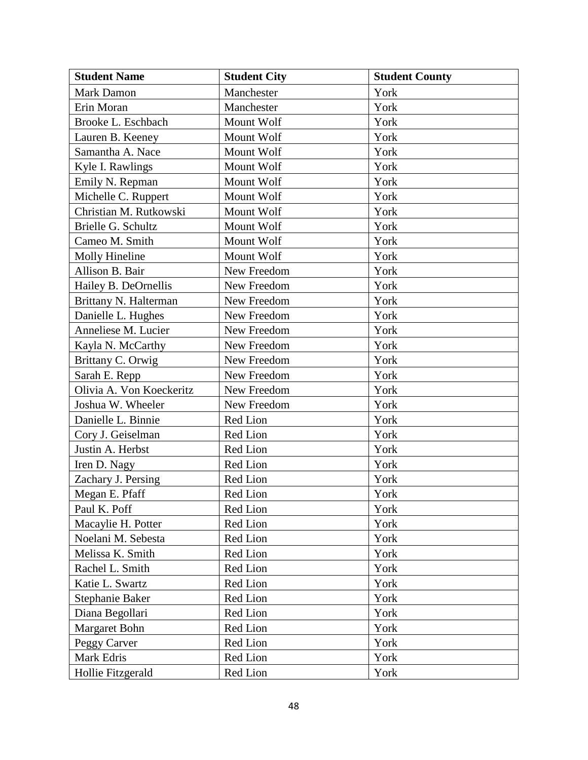| <b>Student Name</b>      | <b>Student City</b> | <b>Student County</b> |
|--------------------------|---------------------|-----------------------|
| <b>Mark Damon</b>        | Manchester          | York                  |
| Erin Moran               | Manchester          | York                  |
| Brooke L. Eschbach       | Mount Wolf          | York                  |
| Lauren B. Keeney         | Mount Wolf          | York                  |
| Samantha A. Nace         | Mount Wolf          | York                  |
| Kyle I. Rawlings         | Mount Wolf          | York                  |
| Emily N. Repman          | Mount Wolf          | York                  |
| Michelle C. Ruppert      | Mount Wolf          | York                  |
| Christian M. Rutkowski   | Mount Wolf          | York                  |
| Brielle G. Schultz       | Mount Wolf          | York                  |
| Cameo M. Smith           | Mount Wolf          | York                  |
| Molly Hineline           | Mount Wolf          | York                  |
| Allison B. Bair          | New Freedom         | York                  |
| Hailey B. DeOrnellis     | New Freedom         | York                  |
| Brittany N. Halterman    | New Freedom         | York                  |
| Danielle L. Hughes       | New Freedom         | York                  |
| Anneliese M. Lucier      | New Freedom         | York                  |
| Kayla N. McCarthy        | New Freedom         | York                  |
| Brittany C. Orwig        | New Freedom         | York                  |
| Sarah E. Repp            | New Freedom         | York                  |
| Olivia A. Von Koeckeritz | New Freedom         | York                  |
| Joshua W. Wheeler        | New Freedom         | York                  |
| Danielle L. Binnie       | Red Lion            | York                  |
| Cory J. Geiselman        | Red Lion            | York                  |
| Justin A. Herbst         | Red Lion            | York                  |
| Iren D. Nagy             | Red Lion            | York                  |
| Zachary J. Persing       | Red Lion            | York                  |
| Megan E. Pfaff           | Red Lion            | York                  |
| Paul K. Poff             | Red Lion            | York                  |
| Macaylie H. Potter       | Red Lion            | York                  |
| Noelani M. Sebesta       | Red Lion            | York                  |
| Melissa K. Smith         | Red Lion            | York                  |
| Rachel L. Smith          | Red Lion            | York                  |
| Katie L. Swartz          | Red Lion            | York                  |
| Stephanie Baker          | Red Lion            | York                  |
| Diana Begollari          | Red Lion            | York                  |
| Margaret Bohn            | Red Lion            | York                  |
| Peggy Carver             | Red Lion            | York                  |
| Mark Edris               | Red Lion            | York                  |
| Hollie Fitzgerald        | Red Lion            | York                  |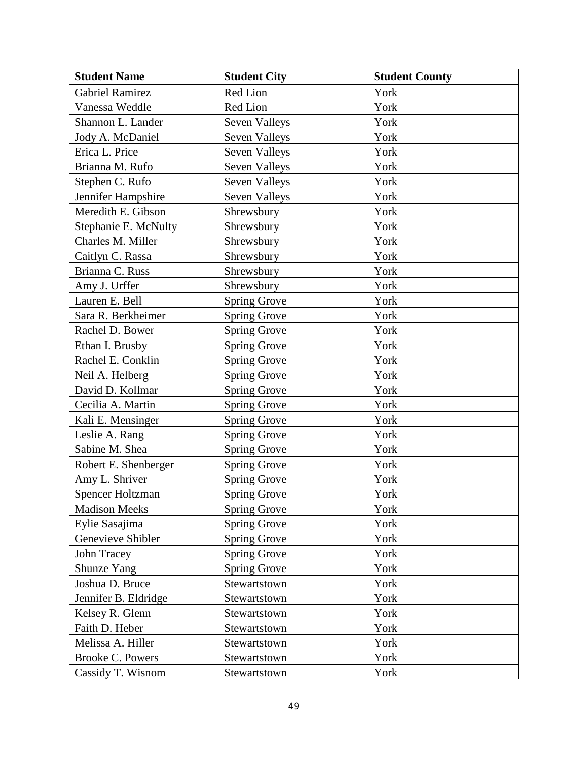| <b>Student Name</b>     | <b>Student City</b>  | <b>Student County</b> |
|-------------------------|----------------------|-----------------------|
| <b>Gabriel Ramirez</b>  | Red Lion             | York                  |
| Vanessa Weddle          | Red Lion             | York                  |
| Shannon L. Lander       | Seven Valleys        | York                  |
| Jody A. McDaniel        | <b>Seven Valleys</b> | York                  |
| Erica L. Price          | Seven Valleys        | York                  |
| Brianna M. Rufo         | Seven Valleys        | York                  |
| Stephen C. Rufo         | <b>Seven Valleys</b> | York                  |
| Jennifer Hampshire      | Seven Valleys        | York                  |
| Meredith E. Gibson      | Shrewsbury           | York                  |
| Stephanie E. McNulty    | Shrewsbury           | York                  |
| Charles M. Miller       | Shrewsbury           | York                  |
| Caitlyn C. Rassa        | Shrewsbury           | York                  |
| Brianna C. Russ         | Shrewsbury           | York                  |
| Amy J. Urffer           | Shrewsbury           | York                  |
| Lauren E. Bell          | <b>Spring Grove</b>  | York                  |
| Sara R. Berkheimer      | <b>Spring Grove</b>  | York                  |
| Rachel D. Bower         | <b>Spring Grove</b>  | York                  |
| Ethan I. Brusby         | <b>Spring Grove</b>  | York                  |
| Rachel E. Conklin       | <b>Spring Grove</b>  | York                  |
| Neil A. Helberg         | <b>Spring Grove</b>  | York                  |
| David D. Kollmar        | <b>Spring Grove</b>  | York                  |
| Cecilia A. Martin       | <b>Spring Grove</b>  | York                  |
| Kali E. Mensinger       | <b>Spring Grove</b>  | York                  |
| Leslie A. Rang          | <b>Spring Grove</b>  | York                  |
| Sabine M. Shea          | <b>Spring Grove</b>  | York                  |
| Robert E. Shenberger    | <b>Spring Grove</b>  | York                  |
| Amy L. Shriver          | Spring Grove         | York                  |
| <b>Spencer Holtzman</b> | <b>Spring Grove</b>  | York                  |
| <b>Madison Meeks</b>    | <b>Spring Grove</b>  | York                  |
| Eylie Sasajima          | <b>Spring Grove</b>  | York                  |
| Genevieve Shibler       | <b>Spring Grove</b>  | York                  |
| John Tracey             | <b>Spring Grove</b>  | York                  |
| Shunze Yang             | <b>Spring Grove</b>  | York                  |
| Joshua D. Bruce         | Stewartstown         | York                  |
| Jennifer B. Eldridge    | Stewartstown         | York                  |
| Kelsey R. Glenn         | Stewartstown         | York                  |
| Faith D. Heber          | Stewartstown         | York                  |
| Melissa A. Hiller       | Stewartstown         | York                  |
| <b>Brooke C. Powers</b> | Stewartstown         | York                  |
| Cassidy T. Wisnom       | Stewartstown         | York                  |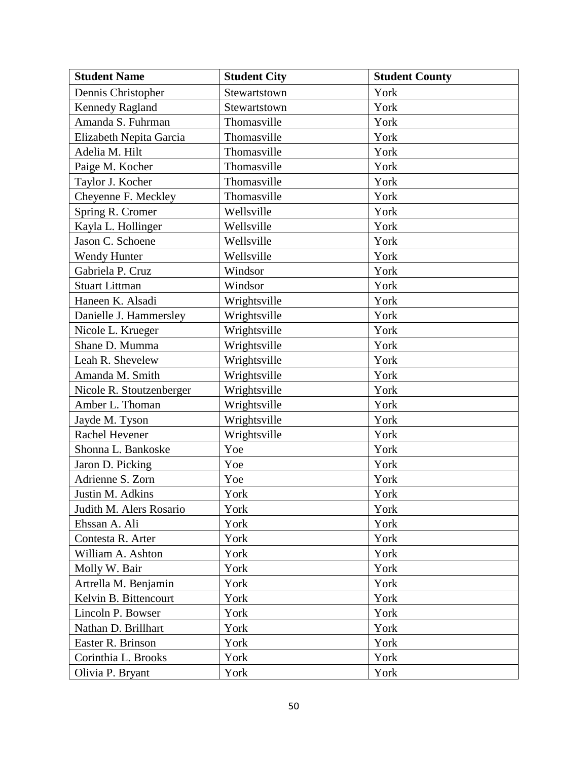| <b>Student Name</b>      | <b>Student City</b> | <b>Student County</b> |
|--------------------------|---------------------|-----------------------|
| Dennis Christopher       | Stewartstown        | York                  |
| <b>Kennedy Ragland</b>   | Stewartstown        | York                  |
| Amanda S. Fuhrman        | Thomasville         | York                  |
| Elizabeth Nepita Garcia  | Thomasville         | York                  |
| Adelia M. Hilt           | Thomasville         | York                  |
| Paige M. Kocher          | Thomasville         | York                  |
| Taylor J. Kocher         | Thomasville         | York                  |
| Cheyenne F. Meckley      | Thomasville         | York                  |
| Spring R. Cromer         | Wellsville          | York                  |
| Kayla L. Hollinger       | Wellsville          | York                  |
| Jason C. Schoene         | Wellsville          | York                  |
| <b>Wendy Hunter</b>      | Wellsville          | York                  |
| Gabriela P. Cruz         | Windsor             | York                  |
| <b>Stuart Littman</b>    | Windsor             | York                  |
| Haneen K. Alsadi         | Wrightsville        | York                  |
| Danielle J. Hammersley   | Wrightsville        | York                  |
| Nicole L. Krueger        | Wrightsville        | York                  |
| Shane D. Mumma           | Wrightsville        | York                  |
| Leah R. Shevelew         | Wrightsville        | York                  |
| Amanda M. Smith          | Wrightsville        | York                  |
| Nicole R. Stoutzenberger | Wrightsville        | York                  |
| Amber L. Thoman          | Wrightsville        | York                  |
| Jayde M. Tyson           | Wrightsville        | York                  |
| Rachel Hevener           | Wrightsville        | York                  |
| Shonna L. Bankoske       | Yoe                 | York                  |
| Jaron D. Picking         | Yoe                 | York                  |
| Adrienne S. Zorn         | Yoe                 | York                  |
| Justin M. Adkins         | York                | York                  |
| Judith M. Alers Rosario  | York                | York                  |
| Ehssan A. Ali            | York                | York                  |
| Contesta R. Arter        | York                | York                  |
| William A. Ashton        | York                | York                  |
| Molly W. Bair            | York                | York                  |
| Artrella M. Benjamin     | York                | York                  |
| Kelvin B. Bittencourt    | York                | York                  |
| Lincoln P. Bowser        | York                | York                  |
| Nathan D. Brillhart      | York                | York                  |
| Easter R. Brinson        | York                | York                  |
| Corinthia L. Brooks      | York                | York                  |
| Olivia P. Bryant         | York                | York                  |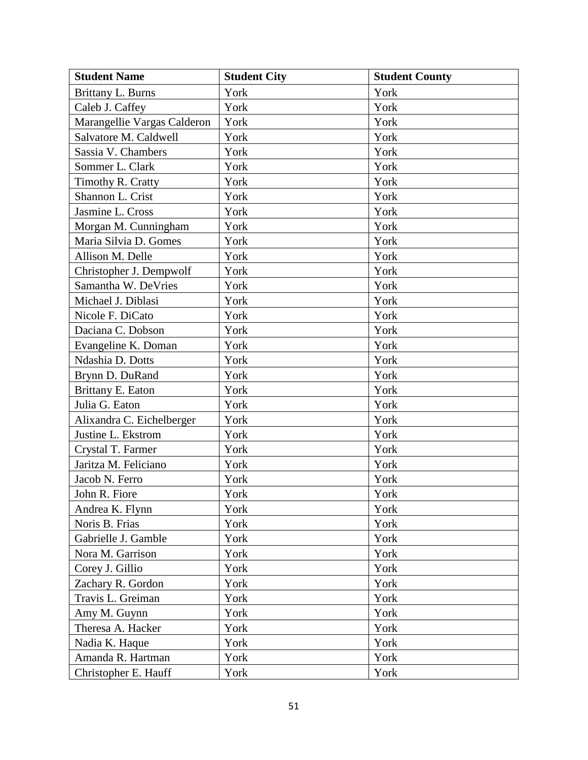| <b>Student Name</b>         | <b>Student City</b> | <b>Student County</b> |
|-----------------------------|---------------------|-----------------------|
| Brittany L. Burns           | York                | York                  |
| Caleb J. Caffey             | York                | York                  |
| Marangellie Vargas Calderon | York                | York                  |
| Salvatore M. Caldwell       | York                | York                  |
| Sassia V. Chambers          | York                | York                  |
| Sommer L. Clark             | York                | York                  |
| Timothy R. Cratty           | York                | York                  |
| Shannon L. Crist            | York                | York                  |
| Jasmine L. Cross            | York                | York                  |
| Morgan M. Cunningham        | York                | York                  |
| Maria Silvia D. Gomes       | York                | York                  |
| Allison M. Delle            | York                | York                  |
| Christopher J. Dempwolf     | York                | York                  |
| Samantha W. DeVries         | York                | York                  |
| Michael J. Diblasi          | York                | York                  |
| Nicole F. DiCato            | York                | York                  |
| Daciana C. Dobson           | York                | York                  |
| Evangeline K. Doman         | York                | York                  |
| Ndashia D. Dotts            | York                | York                  |
| Brynn D. DuRand             | York                | York                  |
| Brittany E. Eaton           | York                | York                  |
| Julia G. Eaton              | York                | York                  |
| Alixandra C. Eichelberger   | York                | York                  |
| Justine L. Ekstrom          | York                | York                  |
| Crystal T. Farmer           | York                | York                  |
| Jaritza M. Feliciano        | York                | York                  |
| Jacob N. Ferro              | York                | York                  |
| John R. Fiore               | York                | York                  |
| Andrea K. Flynn             | York                | York                  |
| Noris B. Frias              | York                | York                  |
| Gabrielle J. Gamble         | York                | York                  |
| Nora M. Garrison            | York                | York                  |
| Corey J. Gillio             | York                | York                  |
| Zachary R. Gordon           | York                | York                  |
| Travis L. Greiman           | York                | York                  |
| Amy M. Guynn                | York                | York                  |
| Theresa A. Hacker           | York                | York                  |
| Nadia K. Haque              | York                | York                  |
| Amanda R. Hartman           | York                | York                  |
| Christopher E. Hauff        | York                | York                  |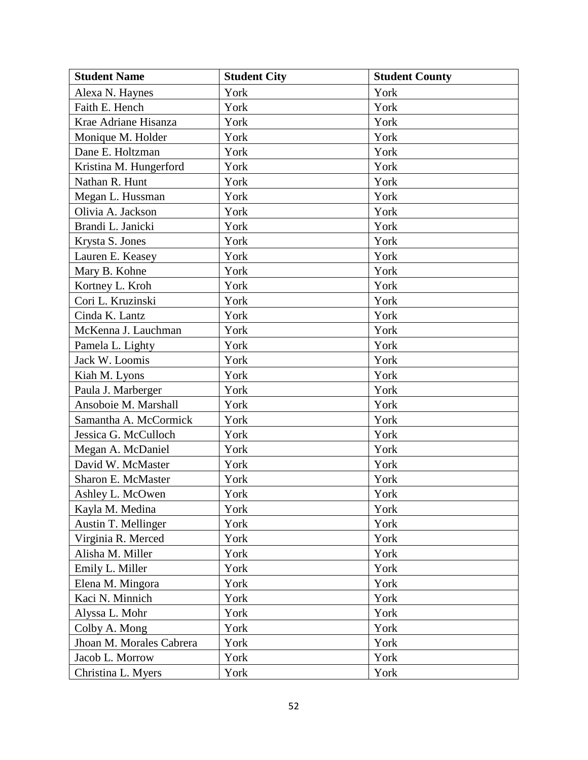| <b>Student Name</b>      | <b>Student City</b> | <b>Student County</b> |
|--------------------------|---------------------|-----------------------|
| Alexa N. Haynes          | York                | York                  |
| Faith E. Hench           | York                | York                  |
| Krae Adriane Hisanza     | York                | York                  |
| Monique M. Holder        | York                | York                  |
| Dane E. Holtzman         | York                | York                  |
| Kristina M. Hungerford   | York                | York                  |
| Nathan R. Hunt           | York                | York                  |
| Megan L. Hussman         | York                | York                  |
| Olivia A. Jackson        | York                | York                  |
| Brandi L. Janicki        | York                | York                  |
| Krysta S. Jones          | York                | York                  |
| Lauren E. Keasey         | York                | York                  |
| Mary B. Kohne            | York                | York                  |
| Kortney L. Kroh          | York                | York                  |
| Cori L. Kruzinski        | York                | York                  |
| Cinda K. Lantz           | York                | York                  |
| McKenna J. Lauchman      | York                | York                  |
| Pamela L. Lighty         | York                | York                  |
| Jack W. Loomis           | York                | York                  |
| Kiah M. Lyons            | York                | York                  |
| Paula J. Marberger       | York                | York                  |
| Ansoboie M. Marshall     | York                | York                  |
| Samantha A. McCormick    | York                | York                  |
| Jessica G. McCulloch     | York                | York                  |
| Megan A. McDaniel        | York                | York                  |
| David W. McMaster        | York                | York                  |
| Sharon E. McMaster       | York                | York                  |
| Ashley L. McOwen         | York                | York                  |
| Kayla M. Medina          | York                | York                  |
| Austin T. Mellinger      | York                | York                  |
| Virginia R. Merced       | York                | York                  |
| Alisha M. Miller         | York                | York                  |
| Emily L. Miller          | York                | York                  |
| Elena M. Mingora         | York                | York                  |
| Kaci N. Minnich          | York                | York                  |
| Alyssa L. Mohr           | York                | York                  |
| Colby A. Mong            | York                | York                  |
| Jhoan M. Morales Cabrera | York                | York                  |
| Jacob L. Morrow          | York                | York                  |
| Christina L. Myers       | York                | York                  |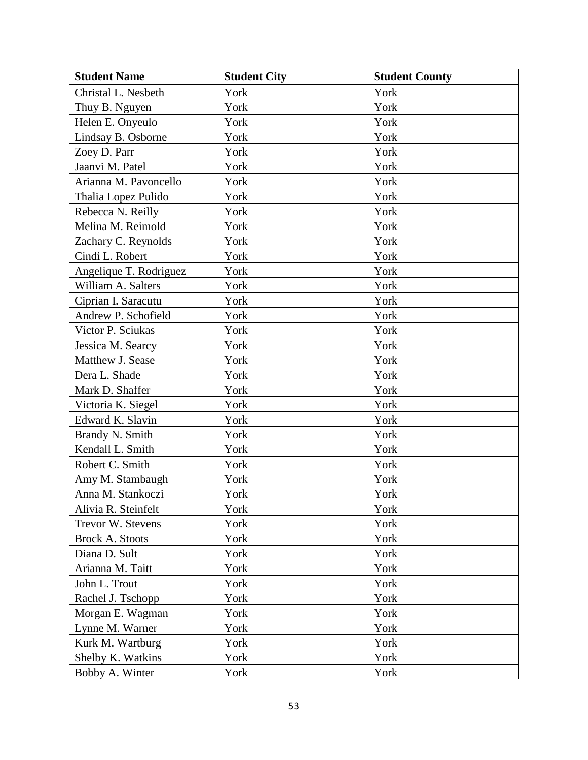| <b>Student Name</b>    | <b>Student City</b> | <b>Student County</b> |
|------------------------|---------------------|-----------------------|
| Christal L. Nesbeth    | York                | York                  |
| Thuy B. Nguyen         | York                | York                  |
| Helen E. Onyeulo       | York                | York                  |
| Lindsay B. Osborne     | York                | York                  |
| Zoey D. Parr           | York                | York                  |
| Jaanvi M. Patel        | York                | York                  |
| Arianna M. Pavoncello  | York                | York                  |
| Thalia Lopez Pulido    | York                | York                  |
| Rebecca N. Reilly      | York                | York                  |
| Melina M. Reimold      | York                | York                  |
| Zachary C. Reynolds    | York                | York                  |
| Cindi L. Robert        | York                | York                  |
| Angelique T. Rodriguez | York                | York                  |
| William A. Salters     | York                | York                  |
| Ciprian I. Saracutu    | York                | York                  |
| Andrew P. Schofield    | York                | York                  |
| Victor P. Sciukas      | York                | York                  |
| Jessica M. Searcy      | York                | York                  |
| Matthew J. Sease       | York                | York                  |
| Dera L. Shade          | York                | York                  |
| Mark D. Shaffer        | York                | York                  |
| Victoria K. Siegel     | York                | York                  |
| Edward K. Slavin       | York                | York                  |
| Brandy N. Smith        | York                | York                  |
| Kendall L. Smith       | York                | York                  |
| Robert C. Smith        | York                | York                  |
| Amy M. Stambaugh       | York                | York                  |
| Anna M. Stankoczi      | York                | York                  |
| Alivia R. Steinfelt    | York                | York                  |
| Trevor W. Stevens      | York                | York                  |
| <b>Brock A. Stoots</b> | York                | York                  |
| Diana D. Sult          | York                | York                  |
| Arianna M. Taitt       | York                | York                  |
| John L. Trout          | York                | York                  |
| Rachel J. Tschopp      | York                | York                  |
| Morgan E. Wagman       | York                | York                  |
| Lynne M. Warner        | York                | York                  |
| Kurk M. Wartburg       | York                | York                  |
| Shelby K. Watkins      | York                | York                  |
| Bobby A. Winter        | York                | York                  |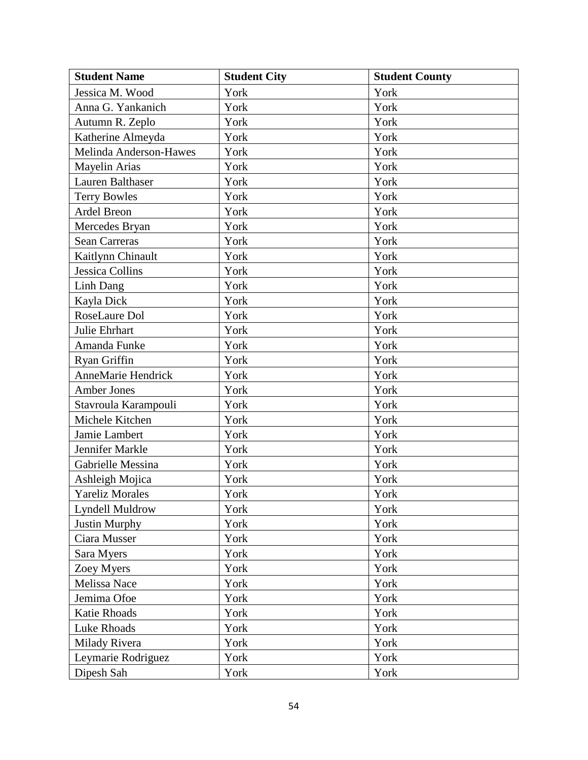| <b>Student Name</b>       | <b>Student City</b> | <b>Student County</b> |
|---------------------------|---------------------|-----------------------|
| Jessica M. Wood           | York                | York                  |
| Anna G. Yankanich         | York                | York                  |
| Autumn R. Zeplo           | York                | York                  |
| Katherine Almeyda         | York                | York                  |
| Melinda Anderson-Hawes    | York                | York                  |
| Mayelin Arias             | York                | York                  |
| Lauren Balthaser          | York                | York                  |
| <b>Terry Bowles</b>       | York                | York                  |
| Ardel Breon               | York                | York                  |
| Mercedes Bryan            | York                | York                  |
| <b>Sean Carreras</b>      | York                | York                  |
| Kaitlynn Chinault         | York                | York                  |
| <b>Jessica Collins</b>    | York                | York                  |
| Linh Dang                 | York                | York                  |
| Kayla Dick                | York                | York                  |
| RoseLaure Dol             | York                | York                  |
| Julie Ehrhart             | York                | York                  |
| Amanda Funke              | York                | York                  |
| Ryan Griffin              | York                | York                  |
| <b>AnneMarie Hendrick</b> | York                | York                  |
| Amber Jones               | York                | York                  |
| Stavroula Karampouli      | York                | York                  |
| Michele Kitchen           | York                | York                  |
| Jamie Lambert             | York                | York                  |
| Jennifer Markle           | York                | York                  |
| Gabrielle Messina         | York                | York                  |
| Ashleigh Mojica           | York                | York                  |
| <b>Yareliz Morales</b>    | York                | York                  |
| <b>Lyndell Muldrow</b>    | York                | York                  |
| <b>Justin Murphy</b>      | York                | York                  |
| Ciara Musser              | York                | York                  |
| Sara Myers                | York                | York                  |
| Zoey Myers                | York                | York                  |
| Melissa Nace              | York                | York                  |
| Jemima Ofoe               | York                | York                  |
| Katie Rhoads              | York                | York                  |
| Luke Rhoads               | York                | York                  |
| Milady Rivera             | York                | York                  |
| Leymarie Rodriguez        | York                | York                  |
| Dipesh Sah                | York                | York                  |